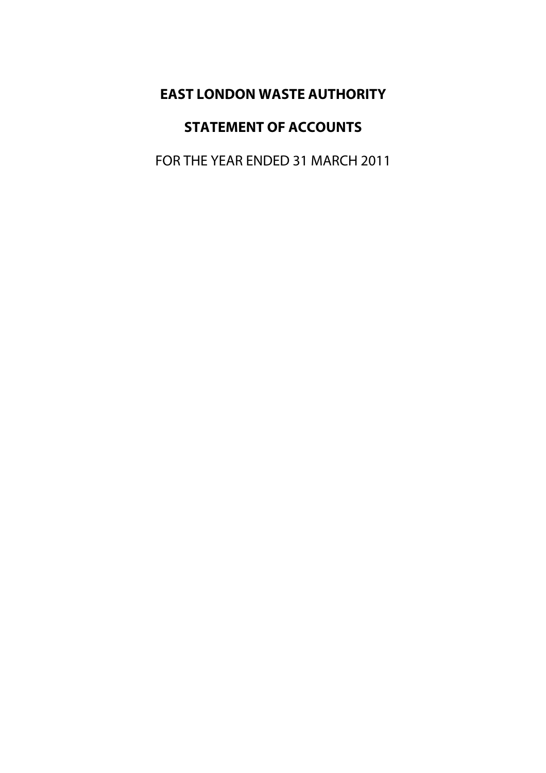# **EAST LONDON WASTE AUTHORITY**

# **STATEMENT OF ACCOUNTS**

FOR THE YEAR ENDED 31 MARCH 2011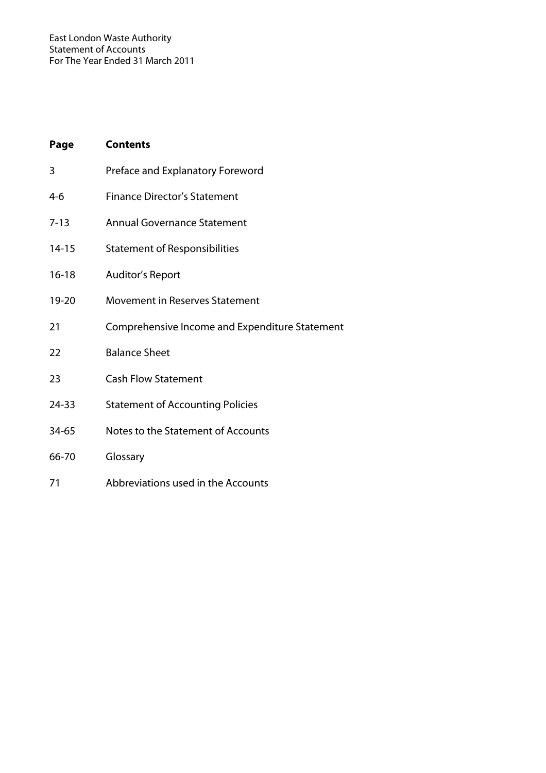| Page      | <b>Contents</b>                                |
|-----------|------------------------------------------------|
| 3         | Preface and Explanatory Foreword               |
| 4-6       | <b>Finance Director's Statement</b>            |
| $7 - 13$  | <b>Annual Governance Statement</b>             |
| $14 - 15$ | <b>Statement of Responsibilities</b>           |
| $16 - 18$ | <b>Auditor's Report</b>                        |
| 19-20     | Movement in Reserves Statement                 |
| 21        | Comprehensive Income and Expenditure Statement |
| 22        | <b>Balance Sheet</b>                           |
| 23        | <b>Cash Flow Statement</b>                     |
| 24-33     | <b>Statement of Accounting Policies</b>        |
| 34-65     | Notes to the Statement of Accounts             |
| 66-70     | Glossary                                       |
| 71        | Abbreviations used in the Accounts             |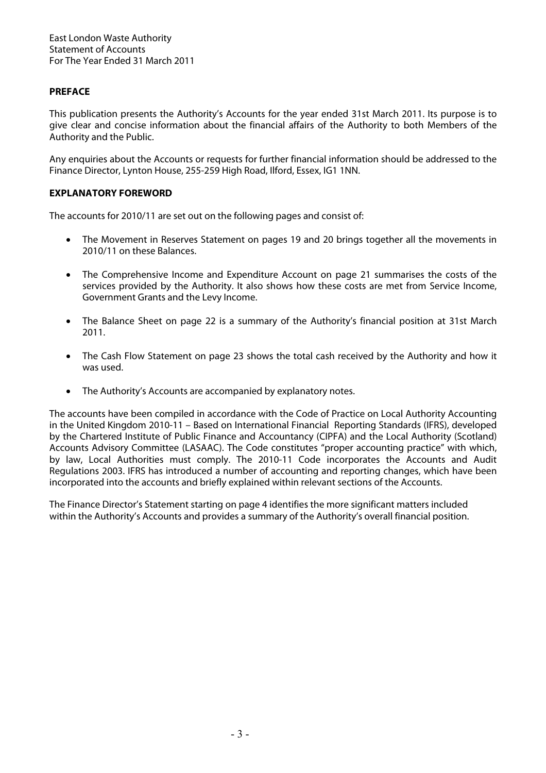## **PREFACE**

This publication presents the Authority's Accounts for the year ended 31st March 2011. Its purpose is to give clear and concise information about the financial affairs of the Authority to both Members of the Authority and the Public.

Any enquiries about the Accounts or requests for further financial information should be addressed to the Finance Director, Lynton House, 255-259 High Road, Ilford, Essex, IG1 1NN.

## **EXPLANATORY FOREWORD**

The accounts for 2010/11 are set out on the following pages and consist of:

- The Movement in Reserves Statement on pages 19 and 20 brings together all the movements in 2010/11 on these Balances.
- The Comprehensive Income and Expenditure Account on page 21 summarises the costs of the services provided by the Authority. It also shows how these costs are met from Service Income, Government Grants and the Levy Income.
- The Balance Sheet on page 22 is a summary of the Authority's financial position at 31st March 2011.
- The Cash Flow Statement on page 23 shows the total cash received by the Authority and how it was used.
- The Authority's Accounts are accompanied by explanatory notes.

The accounts have been compiled in accordance with the Code of Practice on Local Authority Accounting in the United Kingdom 2010-11 – Based on International Financial Reporting Standards (IFRS), developed by the Chartered Institute of Public Finance and Accountancy (CIPFA) and the Local Authority (Scotland) Accounts Advisory Committee (LASAAC). The Code constitutes "proper accounting practice" with which, by law, Local Authorities must comply. The 2010-11 Code incorporates the Accounts and Audit Regulations 2003. IFRS has introduced a number of accounting and reporting changes, which have been incorporated into the accounts and briefly explained within relevant sections of the Accounts.

The Finance Director's Statement starting on page 4 identifies the more significant matters included within the Authority's Accounts and provides a summary of the Authority's overall financial position.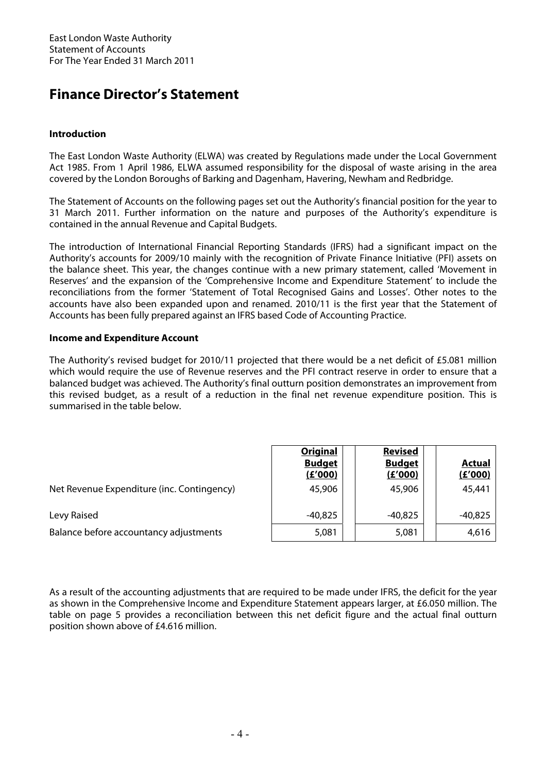# **Finance Director's Statement**

## **Introduction**

The East London Waste Authority (ELWA) was created by Regulations made under the Local Government Act 1985. From 1 April 1986, ELWA assumed responsibility for the disposal of waste arising in the area covered by the London Boroughs of Barking and Dagenham, Havering, Newham and Redbridge.

The Statement of Accounts on the following pages set out the Authority's financial position for the year to 31 March 2011. Further information on the nature and purposes of the Authority's expenditure is contained in the annual Revenue and Capital Budgets.

The introduction of International Financial Reporting Standards (IFRS) had a significant impact on the Authority's accounts for 2009/10 mainly with the recognition of Private Finance Initiative (PFI) assets on the balance sheet. This year, the changes continue with a new primary statement, called 'Movement in Reserves' and the expansion of the 'Comprehensive Income and Expenditure Statement' to include the reconciliations from the former 'Statement of Total Recognised Gains and Losses'. Other notes to the accounts have also been expanded upon and renamed. 2010/11 is the first year that the Statement of Accounts has been fully prepared against an IFRS based Code of Accounting Practice.

## **Income and Expenditure Account**

The Authority's revised budget for 2010/11 projected that there would be a net deficit of £5.081 million which would require the use of Revenue reserves and the PFI contract reserve in order to ensure that a balanced budget was achieved. The Authority's final outturn position demonstrates an improvement from this revised budget, as a result of a reduction in the final net revenue expenditure position. This is summarised in the table below.

|                                            | <b>Original</b><br><b>Budget</b><br>(E'000) | <b>Revised</b><br><b>Budget</b><br>(E'000) | <b>Actual</b><br>(E'000) |
|--------------------------------------------|---------------------------------------------|--------------------------------------------|--------------------------|
| Net Revenue Expenditure (inc. Contingency) | 45,906                                      | 45,906                                     | 45,441                   |
| Levy Raised                                | $-40,825$                                   | $-40,825$                                  | $-40,825$                |
| Balance before accountancy adjustments     | 5,081                                       | 5,081                                      | 4,616                    |

As a result of the accounting adjustments that are required to be made under IFRS, the deficit for the year as shown in the Comprehensive Income and Expenditure Statement appears larger, at £6.050 million. The table on page 5 provides a reconciliation between this net deficit figure and the actual final outturn position shown above of £4.616 million.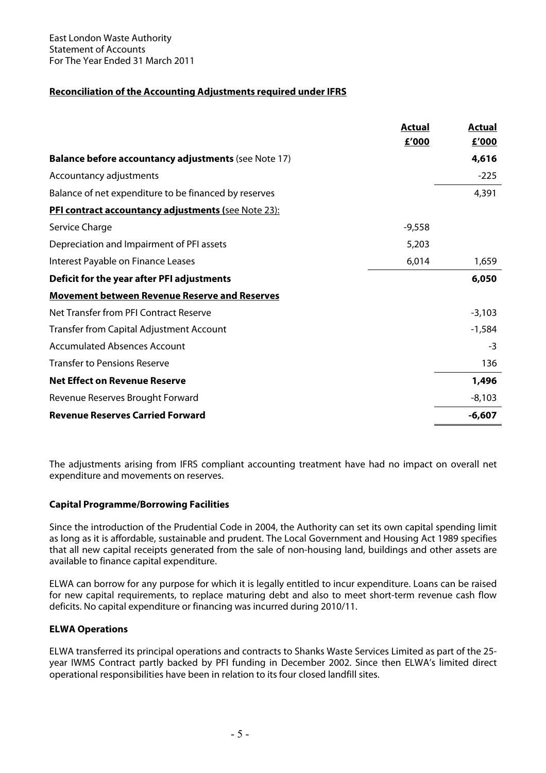# **Reconciliation of the Accounting Adjustments required under IFRS**

|                                                             | <b>Actual</b> | <b>Actual</b> |
|-------------------------------------------------------------|---------------|---------------|
|                                                             | £'000         | £'000         |
| <b>Balance before accountancy adjustments (see Note 17)</b> |               | 4,616         |
| Accountancy adjustments                                     |               | $-225$        |
| Balance of net expenditure to be financed by reserves       |               | 4,391         |
| <b>PFI contract accountancy adjustments (see Note 23):</b>  |               |               |
| Service Charge                                              | $-9,558$      |               |
| Depreciation and Impairment of PFI assets                   | 5,203         |               |
| Interest Payable on Finance Leases                          | 6,014         | 1,659         |
| Deficit for the year after PFI adjustments                  |               | 6,050         |
| <b>Movement between Revenue Reserve and Reserves</b>        |               |               |
| Net Transfer from PFI Contract Reserve                      |               | $-3,103$      |
| <b>Transfer from Capital Adjustment Account</b>             |               | $-1,584$      |
| <b>Accumulated Absences Account</b>                         |               | $-3$          |
| <b>Transfer to Pensions Reserve</b>                         |               | 136           |
| <b>Net Effect on Revenue Reserve</b>                        |               | 1,496         |
| Revenue Reserves Brought Forward                            |               | $-8,103$      |
| <b>Revenue Reserves Carried Forward</b>                     |               | $-6,607$      |

The adjustments arising from IFRS compliant accounting treatment have had no impact on overall net expenditure and movements on reserves.

### **Capital Programme/Borrowing Facilities**

Since the introduction of the Prudential Code in 2004, the Authority can set its own capital spending limit as long as it is affordable, sustainable and prudent. The Local Government and Housing Act 1989 specifies that all new capital receipts generated from the sale of non-housing land, buildings and other assets are available to finance capital expenditure.

ELWA can borrow for any purpose for which it is legally entitled to incur expenditure. Loans can be raised for new capital requirements, to replace maturing debt and also to meet short-term revenue cash flow deficits. No capital expenditure or financing was incurred during 2010/11.

## **ELWA Operations**

ELWA transferred its principal operations and contracts to Shanks Waste Services Limited as part of the 25 year IWMS Contract partly backed by PFI funding in December 2002. Since then ELWA's limited direct operational responsibilities have been in relation to its four closed landfill sites.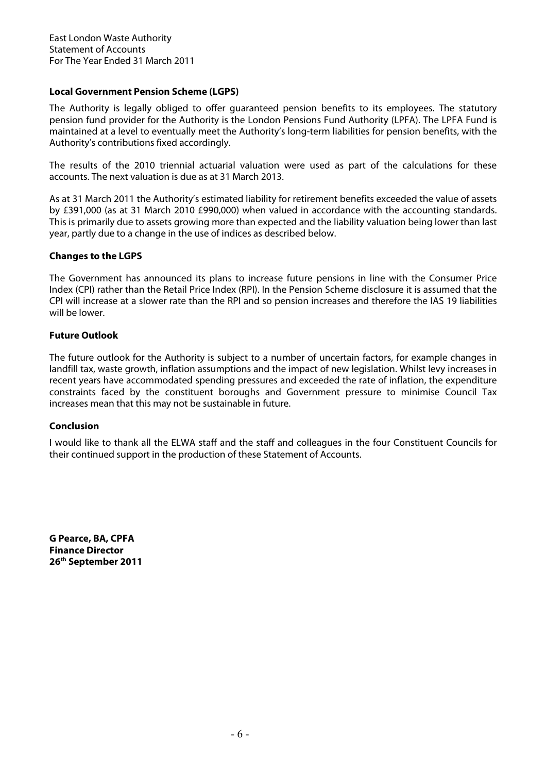## **Local Government Pension Scheme (LGPS)**

The Authority is legally obliged to offer guaranteed pension benefits to its employees. The statutory pension fund provider for the Authority is the London Pensions Fund Authority (LPFA). The LPFA Fund is maintained at a level to eventually meet the Authority's long-term liabilities for pension benefits, with the Authority's contributions fixed accordingly.

The results of the 2010 triennial actuarial valuation were used as part of the calculations for these accounts. The next valuation is due as at 31 March 2013.

As at 31 March 2011 the Authority's estimated liability for retirement benefits exceeded the value of assets by £391,000 (as at 31 March 2010 £990,000) when valued in accordance with the accounting standards. This is primarily due to assets growing more than expected and the liability valuation being lower than last year, partly due to a change in the use of indices as described below.

## **Changes to the LGPS**

The Government has announced its plans to increase future pensions in line with the Consumer Price Index (CPI) rather than the Retail Price Index (RPI). In the Pension Scheme disclosure it is assumed that the CPI will increase at a slower rate than the RPI and so pension increases and therefore the IAS 19 liabilities will be lower.

## **Future Outlook**

The future outlook for the Authority is subject to a number of uncertain factors, for example changes in landfill tax, waste growth, inflation assumptions and the impact of new legislation. Whilst levy increases in recent years have accommodated spending pressures and exceeded the rate of inflation, the expenditure constraints faced by the constituent boroughs and Government pressure to minimise Council Tax increases mean that this may not be sustainable in future.

### **Conclusion**

I would like to thank all the ELWA staff and the staff and colleagues in the four Constituent Councils for their continued support in the production of these Statement of Accounts.

**G Pearce, BA, CPFA Finance Director 26th September 2011**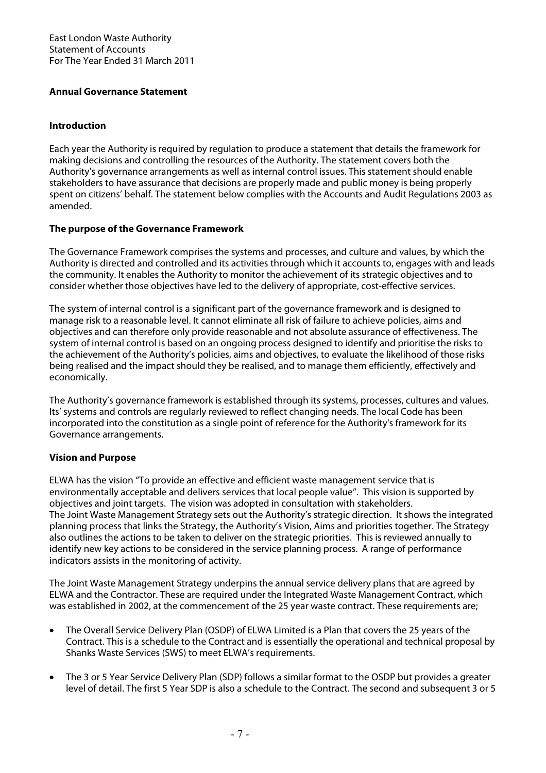## **Annual Governance Statement**

## **Introduction**

Each year the Authority is required by regulation to produce a statement that details the framework for making decisions and controlling the resources of the Authority. The statement covers both the Authority's governance arrangements as well as internal control issues. This statement should enable stakeholders to have assurance that decisions are properly made and public money is being properly spent on citizens' behalf. The statement below complies with the Accounts and Audit Regulations 2003 as amended.

## **The purpose of the Governance Framework**

The Governance Framework comprises the systems and processes, and culture and values, by which the Authority is directed and controlled and its activities through which it accounts to, engages with and leads the community. It enables the Authority to monitor the achievement of its strategic objectives and to consider whether those objectives have led to the delivery of appropriate, cost-effective services.

The system of internal control is a significant part of the governance framework and is designed to manage risk to a reasonable level. It cannot eliminate all risk of failure to achieve policies, aims and objectives and can therefore only provide reasonable and not absolute assurance of effectiveness. The system of internal control is based on an ongoing process designed to identify and prioritise the risks to the achievement of the Authority's policies, aims and objectives, to evaluate the likelihood of those risks being realised and the impact should they be realised, and to manage them efficiently, effectively and economically.

The Authority's governance framework is established through its systems, processes, cultures and values. Its' systems and controls are regularly reviewed to reflect changing needs. The local Code has been incorporated into the constitution as a single point of reference for the Authority's framework for its Governance arrangements.

## **Vision and Purpose**

ELWA has the vision "To provide an effective and efficient waste management service that is environmentally acceptable and delivers services that local people value". This vision is supported by objectives and joint targets. The vision was adopted in consultation with stakeholders. The Joint Waste Management Strategy sets out the Authority's strategic direction. It shows the integrated planning process that links the Strategy, the Authority's Vision, Aims and priorities together. The Strategy also outlines the actions to be taken to deliver on the strategic priorities. This is reviewed annually to identify new key actions to be considered in the service planning process. A range of performance indicators assists in the monitoring of activity.

The Joint Waste Management Strategy underpins the annual service delivery plans that are agreed by ELWA and the Contractor. These are required under the Integrated Waste Management Contract, which was established in 2002, at the commencement of the 25 year waste contract. These requirements are;

- The Overall Service Delivery Plan (OSDP) of ELWA Limited is a Plan that covers the 25 years of the Contract. This is a schedule to the Contract and is essentially the operational and technical proposal by Shanks Waste Services (SWS) to meet ELWA's requirements.
- The 3 or 5 Year Service Delivery Plan (SDP) follows a similar format to the OSDP but provides a greater level of detail. The first 5 Year SDP is also a schedule to the Contract. The second and subsequent 3 or 5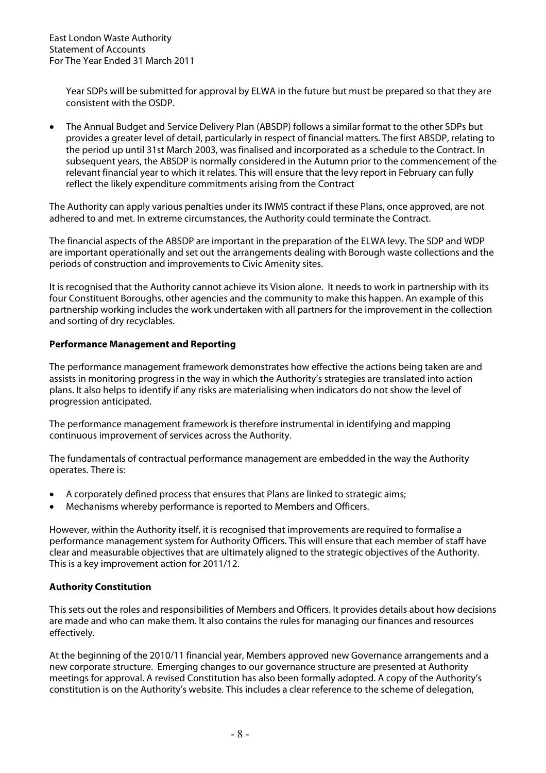Year SDPs will be submitted for approval by ELWA in the future but must be prepared so that they are consistent with the OSDP.

• The Annual Budget and Service Delivery Plan (ABSDP) follows a similar format to the other SDPs but provides a greater level of detail, particularly in respect of financial matters. The first ABSDP, relating to the period up until 31st March 2003, was finalised and incorporated as a schedule to the Contract. In subsequent years, the ABSDP is normally considered in the Autumn prior to the commencement of the relevant financial year to which it relates. This will ensure that the levy report in February can fully reflect the likely expenditure commitments arising from the Contract

The Authority can apply various penalties under its IWMS contract if these Plans, once approved, are not adhered to and met. In extreme circumstances, the Authority could terminate the Contract.

The financial aspects of the ABSDP are important in the preparation of the ELWA levy. The SDP and WDP are important operationally and set out the arrangements dealing with Borough waste collections and the periods of construction and improvements to Civic Amenity sites.

It is recognised that the Authority cannot achieve its Vision alone. It needs to work in partnership with its four Constituent Boroughs, other agencies and the community to make this happen. An example of this partnership working includes the work undertaken with all partners for the improvement in the collection and sorting of dry recyclables.

## **Performance Management and Reporting**

The performance management framework demonstrates how effective the actions being taken are and assists in monitoring progress in the way in which the Authority's strategies are translated into action plans. It also helps to identify if any risks are materialising when indicators do not show the level of progression anticipated.

The performance management framework is therefore instrumental in identifying and mapping continuous improvement of services across the Authority.

The fundamentals of contractual performance management are embedded in the way the Authority operates. There is:

- A corporately defined process that ensures that Plans are linked to strategic aims;
- Mechanisms whereby performance is reported to Members and Officers.

However, within the Authority itself, it is recognised that improvements are required to formalise a performance management system for Authority Officers. This will ensure that each member of staff have clear and measurable objectives that are ultimately aligned to the strategic objectives of the Authority. This is a key improvement action for 2011/12.

### **Authority Constitution**

This sets out the roles and responsibilities of Members and Officers. It provides details about how decisions are made and who can make them. It also contains the rules for managing our finances and resources effectively.

At the beginning of the 2010/11 financial year, Members approved new Governance arrangements and a new corporate structure. Emerging changes to our governance structure are presented at Authority meetings for approval. A revised Constitution has also been formally adopted. A copy of the Authority's constitution is on the Authority's website. This includes a clear reference to the scheme of delegation,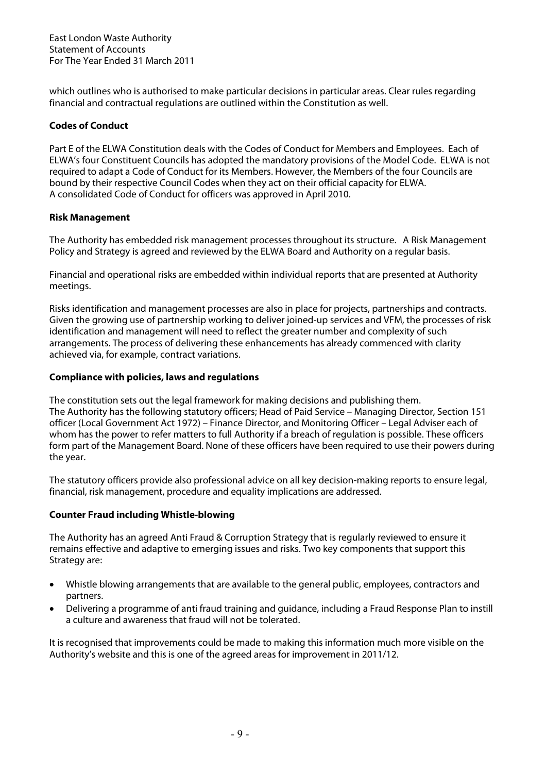which outlines who is authorised to make particular decisions in particular areas. Clear rules regarding financial and contractual regulations are outlined within the Constitution as well.

## **Codes of Conduct**

Part E of the ELWA Constitution deals with the Codes of Conduct for Members and Employees. Each of ELWA's four Constituent Councils has adopted the mandatory provisions of the Model Code. ELWA is not required to adapt a Code of Conduct for its Members. However, the Members of the four Councils are bound by their respective Council Codes when they act on their official capacity for ELWA. A consolidated Code of Conduct for officers was approved in April 2010.

## **Risk Management**

The Authority has embedded risk management processes throughout its structure. A Risk Management Policy and Strategy is agreed and reviewed by the ELWA Board and Authority on a regular basis.

Financial and operational risks are embedded within individual reports that are presented at Authority meetings.

Risks identification and management processes are also in place for projects, partnerships and contracts. Given the growing use of partnership working to deliver joined-up services and VFM, the processes of risk identification and management will need to reflect the greater number and complexity of such arrangements. The process of delivering these enhancements has already commenced with clarity achieved via, for example, contract variations.

## **Compliance with policies, laws and regulations**

The constitution sets out the legal framework for making decisions and publishing them. The Authority has the following statutory officers; Head of Paid Service – Managing Director, Section 151 officer (Local Government Act 1972) – Finance Director, and Monitoring Officer – Legal Adviser each of whom has the power to refer matters to full Authority if a breach of regulation is possible. These officers form part of the Management Board. None of these officers have been required to use their powers during the year.

The statutory officers provide also professional advice on all key decision-making reports to ensure legal, financial, risk management, procedure and equality implications are addressed.

## **Counter Fraud including Whistle-blowing**

The Authority has an agreed Anti Fraud & Corruption Strategy that is regularly reviewed to ensure it remains effective and adaptive to emerging issues and risks. Two key components that support this Strategy are:

- Whistle blowing arrangements that are available to the general public, employees, contractors and partners.
- Delivering a programme of anti fraud training and guidance, including a Fraud Response Plan to instill a culture and awareness that fraud will not be tolerated.

It is recognised that improvements could be made to making this information much more visible on the Authority's website and this is one of the agreed areas for improvement in 2011/12.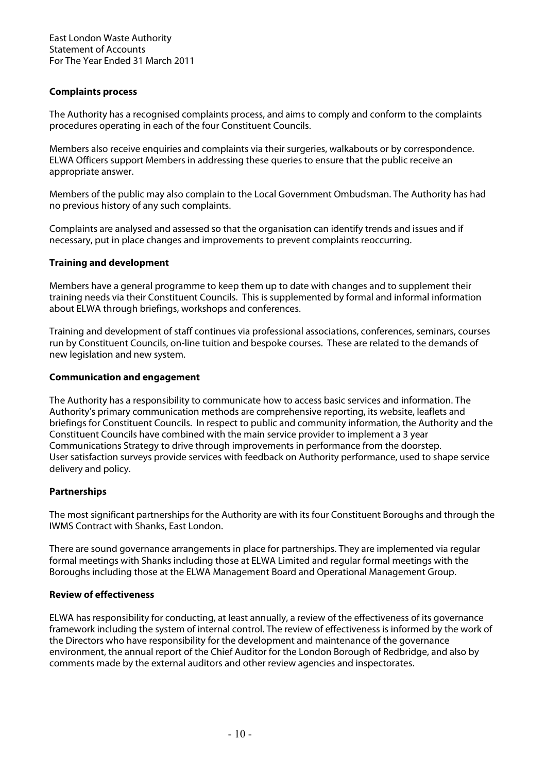## **Complaints process**

The Authority has a recognised complaints process, and aims to comply and conform to the complaints procedures operating in each of the four Constituent Councils.

Members also receive enquiries and complaints via their surgeries, walkabouts or by correspondence. ELWA Officers support Members in addressing these queries to ensure that the public receive an appropriate answer.

Members of the public may also complain to the Local Government Ombudsman. The Authority has had no previous history of any such complaints.

Complaints are analysed and assessed so that the organisation can identify trends and issues and if necessary, put in place changes and improvements to prevent complaints reoccurring.

## **Training and development**

Members have a general programme to keep them up to date with changes and to supplement their training needs via their Constituent Councils. This is supplemented by formal and informal information about ELWA through briefings, workshops and conferences.

Training and development of staff continues via professional associations, conferences, seminars, courses run by Constituent Councils, on-line tuition and bespoke courses. These are related to the demands of new legislation and new system.

## **Communication and engagement**

The Authority has a responsibility to communicate how to access basic services and information. The Authority's primary communication methods are comprehensive reporting, its website, leaflets and briefings for Constituent Councils. In respect to public and community information, the Authority and the Constituent Councils have combined with the main service provider to implement a 3 year Communications Strategy to drive through improvements in performance from the doorstep. User satisfaction surveys provide services with feedback on Authority performance, used to shape service delivery and policy.

## **Partnerships**

The most significant partnerships for the Authority are with its four Constituent Boroughs and through the IWMS Contract with Shanks, East London.

There are sound governance arrangements in place for partnerships. They are implemented via regular formal meetings with Shanks including those at ELWA Limited and regular formal meetings with the Boroughs including those at the ELWA Management Board and Operational Management Group.

### **Review of effectiveness**

ELWA has responsibility for conducting, at least annually, a review of the effectiveness of its governance framework including the system of internal control. The review of effectiveness is informed by the work of the Directors who have responsibility for the development and maintenance of the governance environment, the annual report of the Chief Auditor for the London Borough of Redbridge, and also by comments made by the external auditors and other review agencies and inspectorates.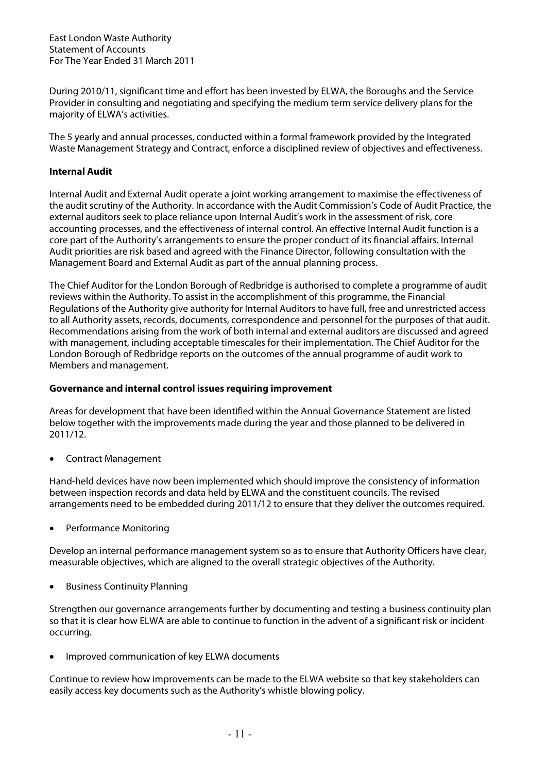During 2010/11, significant time and effort has been invested by ELWA, the Boroughs and the Service Provider in consulting and negotiating and specifying the medium term service delivery plans for the majority of ELWA's activities.

The 5 yearly and annual processes, conducted within a formal framework provided by the Integrated Waste Management Strategy and Contract, enforce a disciplined review of objectives and effectiveness.

## **Internal Audit**

Internal Audit and External Audit operate a joint working arrangement to maximise the effectiveness of the audit scrutiny of the Authority. In accordance with the Audit Commission's Code of Audit Practice, the external auditors seek to place reliance upon Internal Audit's work in the assessment of risk, core accounting processes, and the effectiveness of internal control. An effective Internal Audit function is a core part of the Authority's arrangements to ensure the proper conduct of its financial affairs. Internal Audit priorities are risk based and agreed with the Finance Director, following consultation with the Management Board and External Audit as part of the annual planning process.

The Chief Auditor for the London Borough of Redbridge is authorised to complete a programme of audit reviews within the Authority. To assist in the accomplishment of this programme, the Financial Regulations of the Authority give authority for Internal Auditors to have full, free and unrestricted access to all Authority assets, records, documents, correspondence and personnel for the purposes of that audit. Recommendations arising from the work of both internal and external auditors are discussed and agreed with management, including acceptable timescales for their implementation. The Chief Auditor for the London Borough of Redbridge reports on the outcomes of the annual programme of audit work to Members and management.

### **Governance and internal control issues requiring improvement**

Areas for development that have been identified within the Annual Governance Statement are listed below together with the improvements made during the year and those planned to be delivered in 2011/12.

• Contract Management

Hand-held devices have now been implemented which should improve the consistency of information between inspection records and data held by ELWA and the constituent councils. The revised arrangements need to be embedded during 2011/12 to ensure that they deliver the outcomes required.

• Performance Monitoring

Develop an internal performance management system so as to ensure that Authority Officers have clear, measurable objectives, which are aligned to the overall strategic objectives of the Authority.

• Business Continuity Planning

Strengthen our governance arrangements further by documenting and testing a business continuity plan so that it is clear how ELWA are able to continue to function in the advent of a significant risk or incident occurring.

• Improved communication of key ELWA documents

Continue to review how improvements can be made to the ELWA website so that key stakeholders can easily access key documents such as the Authority's whistle blowing policy.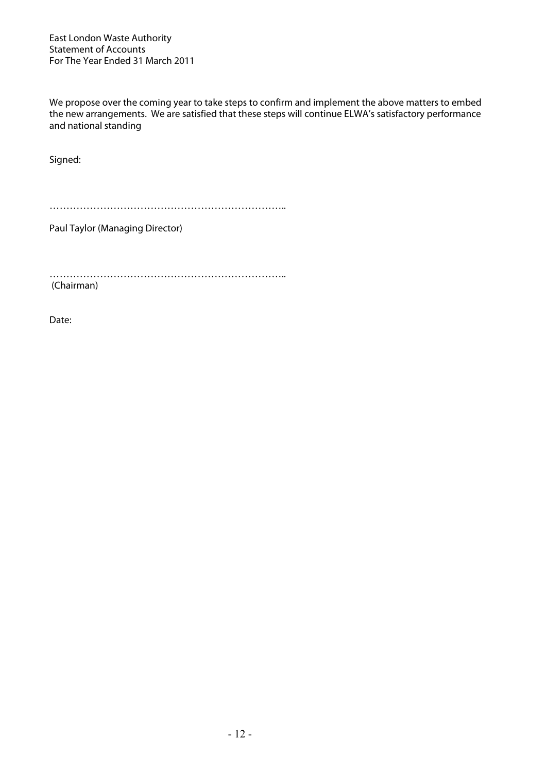We propose over the coming year to take steps to confirm and implement the above matters to embed the new arrangements. We are satisfied that these steps will continue ELWA's satisfactory performance and national standing

Signed:

……………………………………………………………..

Paul Taylor (Managing Director)

…………………………………………………………….. (Chairman)

Date: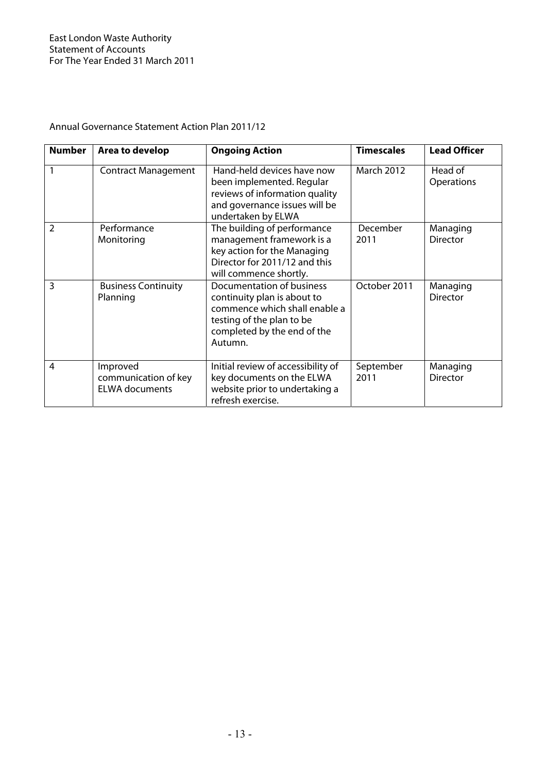| <b>Number</b> | Area to develop                                           | <b>Ongoing Action</b>                                                                                                                                            | <b>Timescales</b> | <b>Lead Officer</b>         |
|---------------|-----------------------------------------------------------|------------------------------------------------------------------------------------------------------------------------------------------------------------------|-------------------|-----------------------------|
|               | <b>Contract Management</b>                                | Hand-held devices have now<br>been implemented. Regular<br>reviews of information quality<br>and governance issues will be<br>undertaken by ELWA                 | <b>March 2012</b> | Head of<br>Operations       |
| 2             | Performance<br>Monitoring                                 | The building of performance<br>management framework is a<br>key action for the Managing<br>Director for 2011/12 and this<br>will commence shortly.               | December<br>2011  | Managing<br><b>Director</b> |
| 3             | <b>Business Continuity</b><br>Planning                    | Documentation of business<br>continuity plan is about to<br>commence which shall enable a<br>testing of the plan to be<br>completed by the end of the<br>Autumn. | October 2011      | Managing<br><b>Director</b> |
| 4             | Improved<br>communication of key<br><b>ELWA documents</b> | Initial review of accessibility of<br>key documents on the ELWA<br>website prior to undertaking a<br>refresh exercise.                                           | September<br>2011 | Managing<br><b>Director</b> |

# Annual Governance Statement Action Plan 2011/12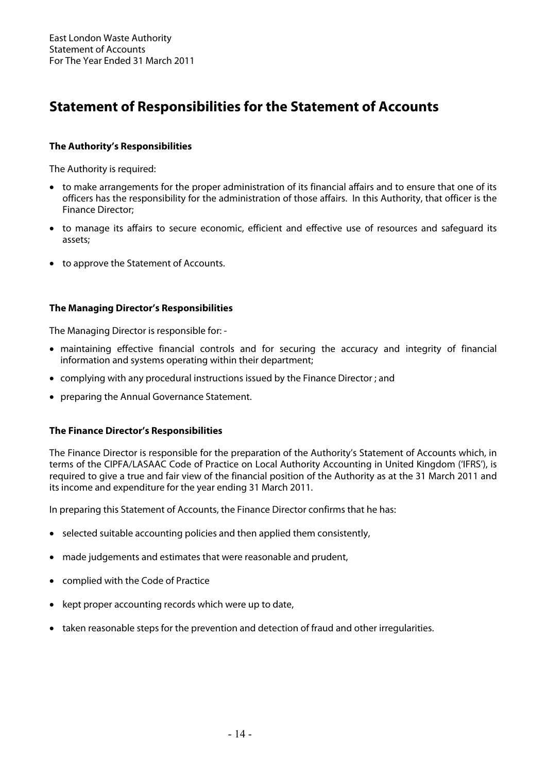# **Statement of Responsibilities for the Statement of Accounts**

## **The Authority's Responsibilities**

The Authority is required:

- to make arrangements for the proper administration of its financial affairs and to ensure that one of its officers has the responsibility for the administration of those affairs. In this Authority, that officer is the Finance Director;
- to manage its affairs to secure economic, efficient and effective use of resources and safeguard its assets;
- to approve the Statement of Accounts.

## **The Managing Director's Responsibilities**

The Managing Director is responsible for: -

- maintaining effective financial controls and for securing the accuracy and integrity of financial information and systems operating within their department;
- complying with any procedural instructions issued by the Finance Director ; and
- preparing the Annual Governance Statement.

## **The Finance Director's Responsibilities**

The Finance Director is responsible for the preparation of the Authority's Statement of Accounts which, in terms of the CIPFA/LASAAC Code of Practice on Local Authority Accounting in United Kingdom ('IFRS'), is required to give a true and fair view of the financial position of the Authority as at the 31 March 2011 and its income and expenditure for the year ending 31 March 2011.

In preparing this Statement of Accounts, the Finance Director confirms that he has:

- selected suitable accounting policies and then applied them consistently,
- made judgements and estimates that were reasonable and prudent,
- complied with the Code of Practice
- kept proper accounting records which were up to date,
- taken reasonable steps for the prevention and detection of fraud and other irregularities.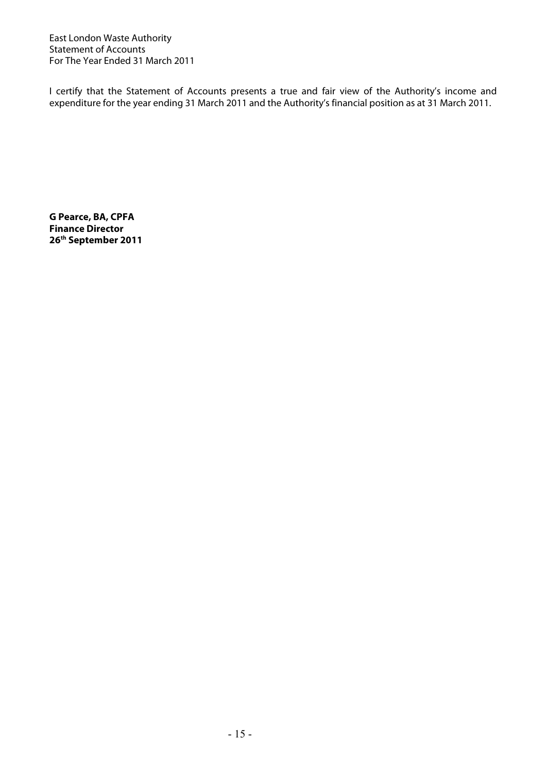I certify that the Statement of Accounts presents a true and fair view of the Authority's income and expenditure for the year ending 31 March 2011 and the Authority's financial position as at 31 March 2011.

**G Pearce, BA, CPFA Finance Director 26th September 2011**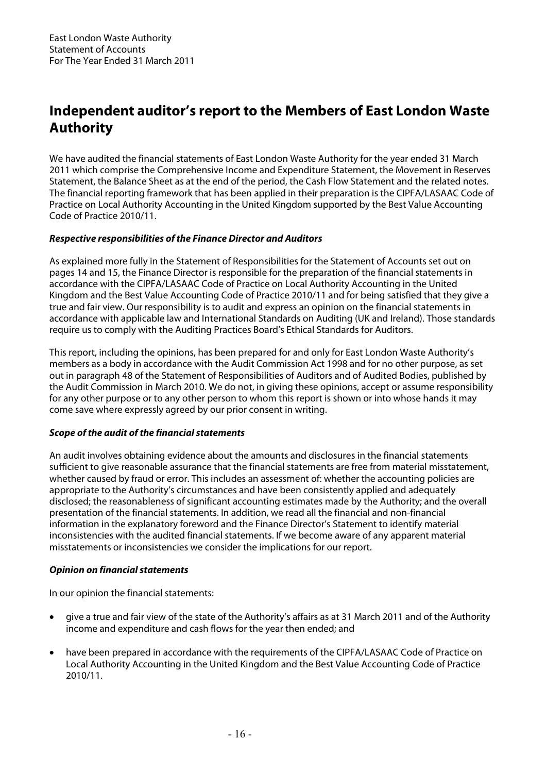# **Independent auditor's report to the Members of East London Waste Authority**

We have audited the financial statements of East London Waste Authority for the year ended 31 March 2011 which comprise the Comprehensive Income and Expenditure Statement, the Movement in Reserves Statement, the Balance Sheet as at the end of the period, the Cash Flow Statement and the related notes. The financial reporting framework that has been applied in their preparation is the CIPFA/LASAAC Code of Practice on Local Authority Accounting in the United Kingdom supported by the Best Value Accounting Code of Practice 2010/11.

## **Respective responsibilities of the Finance Director and Auditors**

As explained more fully in the Statement of Responsibilities for the Statement of Accounts set out on pages 14 and 15, the Finance Director is responsible for the preparation of the financial statements in accordance with the CIPFA/LASAAC Code of Practice on Local Authority Accounting in the United Kingdom and the Best Value Accounting Code of Practice 2010/11 and for being satisfied that they give a true and fair view. Our responsibility is to audit and express an opinion on the financial statements in accordance with applicable law and International Standards on Auditing (UK and Ireland). Those standards require us to comply with the Auditing Practices Board's Ethical Standards for Auditors.

This report, including the opinions, has been prepared for and only for East London Waste Authority's members as a body in accordance with the Audit Commission Act 1998 and for no other purpose, as set out in paragraph 48 of the Statement of Responsibilities of Auditors and of Audited Bodies, published by the Audit Commission in March 2010. We do not, in giving these opinions, accept or assume responsibility for any other purpose or to any other person to whom this report is shown or into whose hands it may come save where expressly agreed by our prior consent in writing.

## **Scope of the audit of the financial statements**

An audit involves obtaining evidence about the amounts and disclosures in the financial statements sufficient to give reasonable assurance that the financial statements are free from material misstatement, whether caused by fraud or error. This includes an assessment of: whether the accounting policies are appropriate to the Authority's circumstances and have been consistently applied and adequately disclosed; the reasonableness of significant accounting estimates made by the Authority; and the overall presentation of the financial statements. In addition, we read all the financial and non-financial information in the explanatory foreword and the Finance Director's Statement to identify material inconsistencies with the audited financial statements. If we become aware of any apparent material misstatements or inconsistencies we consider the implications for our report.

## **Opinion on financial statements**

In our opinion the financial statements:

- give a true and fair view of the state of the Authority's affairs as at 31 March 2011 and of the Authority income and expenditure and cash flows for the year then ended; and
- have been prepared in accordance with the requirements of the CIPFA/LASAAC Code of Practice on Local Authority Accounting in the United Kingdom and the Best Value Accounting Code of Practice 2010/11.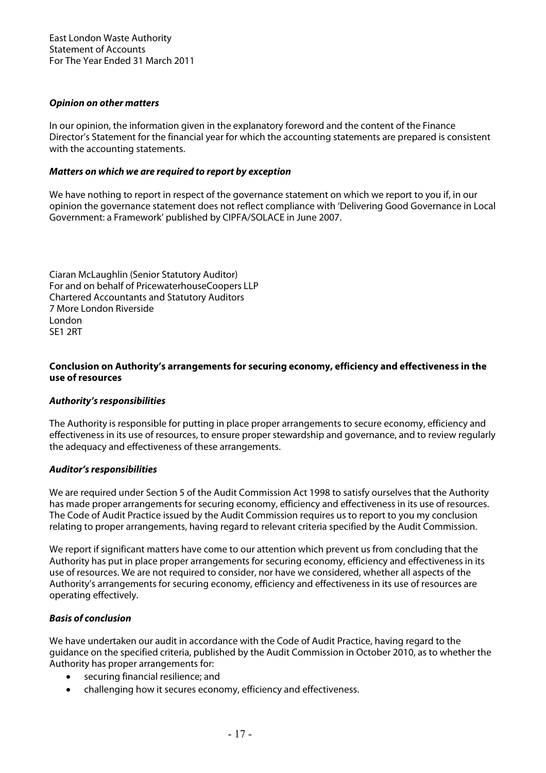## **Opinion on other matters**

In our opinion, the information given in the explanatory foreword and the content of the Finance Director's Statement for the financial year for which the accounting statements are prepared is consistent with the accounting statements.

## **Matters on which we are required to report by exception**

We have nothing to report in respect of the governance statement on which we report to you if, in our opinion the governance statement does not reflect compliance with 'Delivering Good Governance in Local Government: a Framework' published by CIPFA/SOLACE in June 2007.

Ciaran McLaughlin (Senior Statutory Auditor) For and on behalf of PricewaterhouseCoopers LLP Chartered Accountants and Statutory Auditors 7 More London Riverside London SE1 2RT

## **Conclusion on Authority's arrangements for securing economy, efficiency and effectiveness in the use of resources**

### **Authority's responsibilities**

The Authority is responsible for putting in place proper arrangements to secure economy, efficiency and effectiveness in its use of resources, to ensure proper stewardship and governance, and to review regularly the adequacy and effectiveness of these arrangements.

### **Auditor's responsibilities**

We are required under Section 5 of the Audit Commission Act 1998 to satisfy ourselves that the Authority has made proper arrangements for securing economy, efficiency and effectiveness in its use of resources. The Code of Audit Practice issued by the Audit Commission requires us to report to you my conclusion relating to proper arrangements, having regard to relevant criteria specified by the Audit Commission.

We report if significant matters have come to our attention which prevent us from concluding that the Authority has put in place proper arrangements for securing economy, efficiency and effectiveness in its use of resources. We are not required to consider, nor have we considered, whether all aspects of the Authority's arrangements for securing economy, efficiency and effectiveness in its use of resources are operating effectively.

## **Basis of conclusion**

We have undertaken our audit in accordance with the Code of Audit Practice, having regard to the guidance on the specified criteria, published by the Audit Commission in October 2010, as to whether the Authority has proper arrangements for:

- securing financial resilience; and
- challenging how it secures economy, efficiency and effectiveness.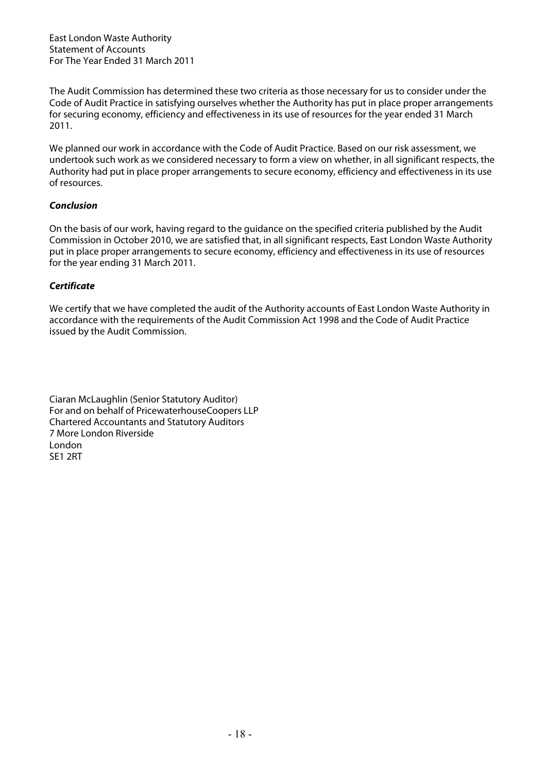The Audit Commission has determined these two criteria as those necessary for us to consider under the Code of Audit Practice in satisfying ourselves whether the Authority has put in place proper arrangements for securing economy, efficiency and effectiveness in its use of resources for the year ended 31 March 2011.

We planned our work in accordance with the Code of Audit Practice. Based on our risk assessment, we undertook such work as we considered necessary to form a view on whether, in all significant respects, the Authority had put in place proper arrangements to secure economy, efficiency and effectiveness in its use of resources.

## **Conclusion**

On the basis of our work, having regard to the guidance on the specified criteria published by the Audit Commission in October 2010, we are satisfied that, in all significant respects, East London Waste Authority put in place proper arrangements to secure economy, efficiency and effectiveness in its use of resources for the year ending 31 March 2011.

## **Certificate**

We certify that we have completed the audit of the Authority accounts of East London Waste Authority in accordance with the requirements of the Audit Commission Act 1998 and the Code of Audit Practice issued by the Audit Commission.

Ciaran McLaughlin (Senior Statutory Auditor) For and on behalf of PricewaterhouseCoopers LLP Chartered Accountants and Statutory Auditors 7 More London Riverside London SE1 2RT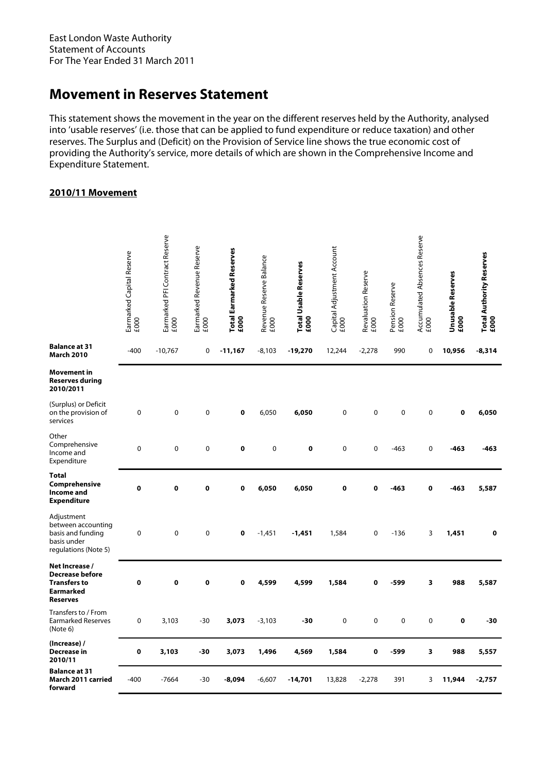# **Movement in Reserves Statement**

This statement shows the movement in the year on the different reserves held by the Authority, analysed into 'usable reserves' (i.e. those that can be applied to fund expenditure or reduce taxation) and other reserves. The Surplus and (Deficit) on the Provision of Service line shows the true economic cost of providing the Authority's service, more details of which are shown in the Comprehensive Income and Expenditure Statement.

## **2010/11 Movement**

|                                                                                                        | Earmarked Capital Reserve<br>£000 | Earmarked PFI Contract Reserve<br>£000 | Earmarked Revenue Reserve<br>£000 | <b>Total Earmarked Reserves</b><br>£000 | Revenue Reserve Balance<br>£000 | <b>Total Usable Reserves</b><br>£000 | Capital Adjustment Account<br>£000 | Revaluation Reserve<br>£000 | Pension Reserve<br>£000 | Accumulated Absences Reserve<br>£000 | Unusable Reserves<br>£000 | Total Authority Reserves<br>£000 |
|--------------------------------------------------------------------------------------------------------|-----------------------------------|----------------------------------------|-----------------------------------|-----------------------------------------|---------------------------------|--------------------------------------|------------------------------------|-----------------------------|-------------------------|--------------------------------------|---------------------------|----------------------------------|
| <b>Balance at 31</b><br><b>March 2010</b>                                                              | $-400$                            | $-10,767$                              | 0                                 | $-11,167$                               | $-8,103$                        | -19,270                              | 12,244                             | $-2,278$                    | 990                     | 0                                    | 10,956                    | $-8,314$                         |
| Movement in<br><b>Reserves during</b><br>2010/2011                                                     |                                   |                                        |                                   |                                         |                                 |                                      |                                    |                             |                         |                                      |                           |                                  |
| (Surplus) or Deficit<br>on the provision of<br>services                                                | 0                                 | 0                                      | $\mathbf 0$                       | 0                                       | 6,050                           | 6,050                                | 0                                  | $\mathbf 0$                 | $\mathbf 0$             | 0                                    | $\mathbf 0$               | 6,050                            |
| Other<br>Comprehensive<br>Income and<br>Expenditure                                                    | $\mathbf 0$                       | 0                                      | $\mathbf 0$                       | 0                                       | 0                               | $\pmb{0}$                            | 0                                  | $\pmb{0}$                   | $-463$                  | 0                                    | $-463$                    | -463                             |
| <b>Total</b><br>Comprehensive<br><b>Income</b> and<br><b>Expenditure</b>                               | 0                                 | $\mathbf 0$                            | $\mathbf 0$                       | 0                                       | 6,050                           | 6,050                                | 0                                  | $\mathbf 0$                 | -463                    | 0                                    | $-463$                    | 5,587                            |
| Adjustment<br>between accounting<br>basis and funding<br>basis under<br>regulations (Note 5)           | 0                                 | 0                                      | $\mathbf 0$                       | 0                                       | $-1,451$                        | $-1,451$                             | 1,584                              | $\pmb{0}$                   | $-136$                  | 3                                    | 1,451                     | $\mathbf 0$                      |
| Net Increase /<br><b>Decrease before</b><br><b>Transfers to</b><br><b>Earmarked</b><br><b>Reserves</b> | 0                                 | 0                                      | $\pmb{0}$                         | 0                                       | 4,599                           | 4,599                                | 1,584                              | 0                           | $-599$                  | $\overline{\mathbf{3}}$              | 988                       | 5,587                            |
| Transfers to / From<br><b>Earmarked Reserves</b><br>(Note 6)                                           | 0                                 | 3,103                                  | $-30$                             | 3,073                                   | $-3,103$                        | $-30$                                | 0                                  | $\mathbf 0$                 | $\mathbf 0$             | $\mathbf 0$                          | $\mathbf{o}$              | -30                              |
| (Increase) /<br>Decrease in<br>2010/11                                                                 | 0                                 | 3,103                                  | -30                               | 3,073                                   | 1,496                           | 4,569                                | 1,584                              | $\mathbf 0$                 | $-599$                  | 3                                    | 988                       | 5,557                            |
| <b>Balance at 31</b><br>March 2011 carried<br>forward                                                  | $-400$                            | $-7664$                                | $-30$                             | -8,094                                  | $-6,607$                        | -14,701                              | 13,828                             | $-2,278$                    | 391                     | 3                                    | 11,944                    | $-2,757$                         |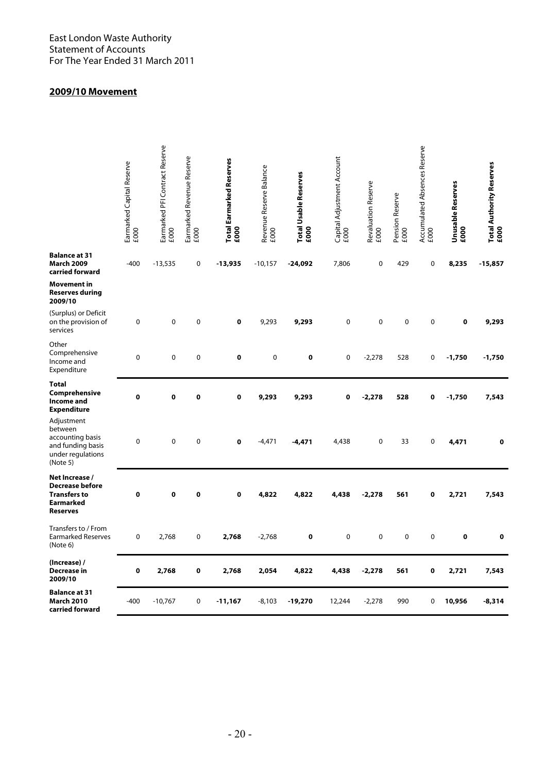## **2009/10 Movement**

|                                                                                                        | Earmarked Capital Reserve<br>£000 | Earmarked PFI Contract Reserve<br>£000 | Earmarked Revenue Reserve<br>£000 | Total Earmarked Reserves<br>£000 | Revenue Reserve Balance<br>£000 | Total Usable Reserves<br>£000 | Capital Adjustment Account<br>£000 | Revaluation Reserve<br>£000 | Pension Reserve<br>£000 | Accumulated Absences Reserve<br>£000 | <b>Unusable Reserves</b><br>£000 | Total Authority Reserves<br>£000 |
|--------------------------------------------------------------------------------------------------------|-----------------------------------|----------------------------------------|-----------------------------------|----------------------------------|---------------------------------|-------------------------------|------------------------------------|-----------------------------|-------------------------|--------------------------------------|----------------------------------|----------------------------------|
| <b>Balance at 31</b><br><b>March 2009</b><br>carried forward                                           | $-400$                            | $-13,535$                              | 0                                 | $-13,935$                        | $-10,157$                       | $-24,092$                     | 7,806                              | $\pmb{0}$                   | 429                     | $\pmb{0}$                            | 8,235                            | $-15,857$                        |
| <b>Movement</b> in<br><b>Reserves during</b><br>2009/10                                                |                                   |                                        |                                   |                                  |                                 |                               |                                    |                             |                         |                                      |                                  |                                  |
| (Surplus) or Deficit<br>on the provision of<br>services                                                | 0                                 | 0                                      | 0                                 | $\pmb{0}$                        | 9,293                           | 9,293                         | 0                                  | $\pmb{0}$                   | 0                       | $\pmb{0}$                            | 0                                | 9,293                            |
| Other<br>Comprehensive<br>Income and<br>Expenditure                                                    | 0                                 | 0                                      | 0                                 | 0                                | $\pmb{0}$                       | 0                             | 0                                  | $-2,278$                    | 528                     | 0                                    | $-1,750$                         | $-1,750$                         |
| <b>Total</b><br>Comprehensive<br>Income and<br><b>Expenditure</b>                                      | 0                                 | 0                                      | 0                                 | $\pmb{0}$                        | 9,293                           | 9,293                         | $\mathbf 0$                        | $-2,278$                    | 528                     | 0                                    | $-1,750$                         | 7,543                            |
| Adjustment<br>between<br>accounting basis<br>and funding basis<br>under regulations<br>(Note 5)        | 0                                 | 0                                      | 0                                 | $\mathbf 0$                      | $-4,471$                        | -4,471                        | 4,438                              | 0                           | 33                      | 0                                    | 4,471                            | 0                                |
| Net Increase /<br><b>Decrease before</b><br><b>Transfers to</b><br><b>Earmarked</b><br><b>Reserves</b> | 0                                 | O                                      | 0                                 | 0                                | 4,822                           | 4,822                         | 4,438                              | $-2,278$                    | 561                     | $\bf{0}$                             | 2,721                            | 7,543                            |
| Transfers to / From<br><b>Earmarked Reserves</b><br>(Note 6)                                           | 0                                 | 2,768                                  | 0                                 | 2,768                            | $-2,768$                        | 0                             | 0                                  | $\pmb{0}$                   | 0                       | $\pmb{0}$                            | 0                                | 0                                |
| (Increase) /<br><b>Decrease in</b><br>2009/10                                                          | 0                                 | 2,768                                  | 0                                 | 2,768                            | 2,054                           | 4,822                         | 4,438                              | $-2,278$                    | 561                     | 0                                    | 2,721                            | 7,543                            |
| <b>Balance at 31</b><br><b>March 2010</b><br>carried forward                                           | -400                              | $-10,767$                              | 0                                 | $-11,167$                        | $-8,103$                        | $-19,270$                     | 12,244                             | $-2,278$                    | 990                     | 0                                    | 10,956                           | $-8,314$                         |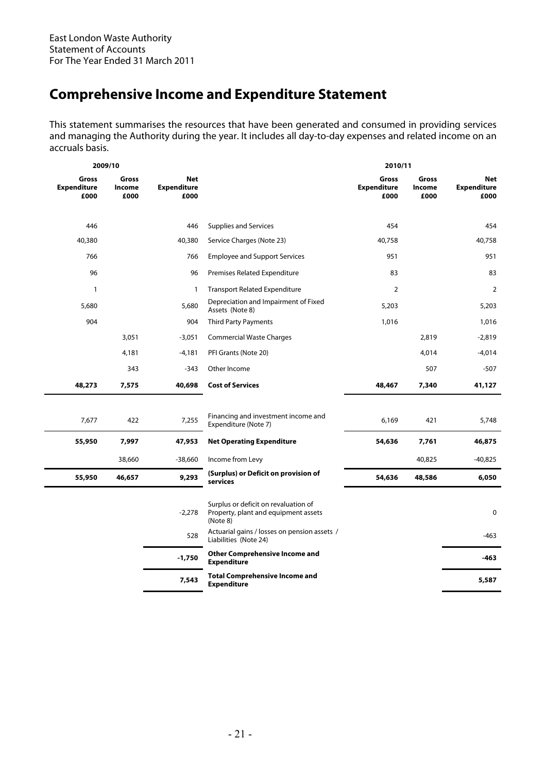# **Comprehensive Income and Expenditure Statement**

This statement summarises the resources that have been generated and consumed in providing services and managing the Authority during the year. It includes all day-to-day expenses and related income on an accruals basis.

|                                     | 2009/10                 |                                          |                                                                                          | 2010/11                             |                         |                                   |
|-------------------------------------|-------------------------|------------------------------------------|------------------------------------------------------------------------------------------|-------------------------------------|-------------------------|-----------------------------------|
| Gross<br><b>Expenditure</b><br>£000 | Gross<br>Income<br>£000 | <b>Net</b><br><b>Expenditure</b><br>£000 |                                                                                          | Gross<br><b>Expenditure</b><br>£000 | Gross<br>Income<br>£000 | Net<br><b>Expenditure</b><br>£000 |
| 446                                 |                         | 446                                      | <b>Supplies and Services</b>                                                             | 454                                 |                         | 454                               |
| 40,380                              |                         | 40,380                                   | Service Charges (Note 23)                                                                | 40,758                              |                         | 40,758                            |
| 766                                 |                         | 766                                      | <b>Employee and Support Services</b>                                                     | 951                                 |                         | 951                               |
| 96                                  |                         | 96                                       | Premises Related Expenditure                                                             | 83                                  |                         | 83                                |
| $\mathbf{1}$                        |                         | $\mathbf{1}$                             | <b>Transport Related Expenditure</b>                                                     | $\overline{2}$                      |                         | 2                                 |
| 5,680                               |                         | 5,680                                    | Depreciation and Impairment of Fixed<br>Assets (Note 8)                                  | 5,203                               |                         | 5,203                             |
| 904                                 |                         | 904                                      | <b>Third Party Payments</b>                                                              | 1,016                               |                         | 1,016                             |
|                                     | 3,051                   | $-3,051$                                 | <b>Commercial Waste Charges</b>                                                          |                                     | 2,819                   | $-2,819$                          |
|                                     | 4,181                   | $-4,181$                                 | PFI Grants (Note 20)                                                                     |                                     | 4,014                   | $-4,014$                          |
|                                     | 343                     | $-343$                                   | Other Income                                                                             |                                     | 507                     | $-507$                            |
| 48,273                              | 7,575                   | 40,698                                   | <b>Cost of Services</b>                                                                  | 48,467                              | 7,340                   | 41,127                            |
|                                     |                         |                                          |                                                                                          |                                     |                         |                                   |
| 7,677                               | 422                     | 7,255                                    | Financing and investment income and<br>Expenditure (Note 7)                              | 6,169                               | 421                     | 5,748                             |
| 55,950                              | 7,997                   | 47,953                                   | <b>Net Operating Expenditure</b>                                                         | 54,636                              | 7,761                   | 46,875                            |
|                                     | 38,660                  | $-38,660$                                | Income from Levy                                                                         |                                     | 40,825                  | $-40,825$                         |
| 55,950                              | 46,657                  | 9,293                                    | (Surplus) or Deficit on provision of<br>services                                         | 54,636                              | 48,586                  | 6,050                             |
|                                     |                         | $-2,278$                                 | Surplus or deficit on revaluation of<br>Property, plant and equipment assets<br>(Note 8) |                                     |                         | 0                                 |
|                                     |                         | 528                                      | Actuarial gains / losses on pension assets /<br>Liabilities (Note 24)                    |                                     |                         | $-463$                            |
|                                     |                         | $-1,750$                                 | <b>Other Comprehensive Income and</b><br><b>Expenditure</b>                              |                                     |                         | -463                              |
|                                     |                         | 7,543                                    | <b>Total Comprehensive Income and</b><br><b>Expenditure</b>                              |                                     |                         | 5,587                             |
|                                     |                         |                                          |                                                                                          |                                     |                         |                                   |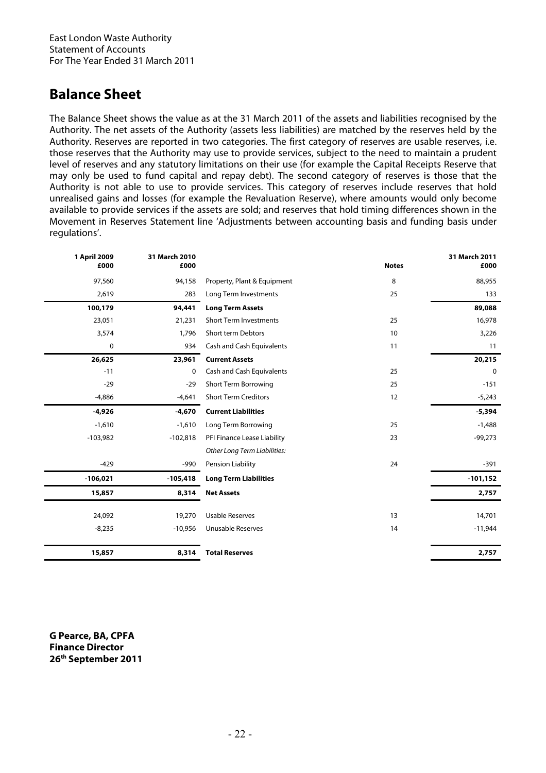# **Balance Sheet**

The Balance Sheet shows the value as at the 31 March 2011 of the assets and liabilities recognised by the Authority. The net assets of the Authority (assets less liabilities) are matched by the reserves held by the Authority. Reserves are reported in two categories. The first category of reserves are usable reserves, i.e. those reserves that the Authority may use to provide services, subject to the need to maintain a prudent level of reserves and any statutory limitations on their use (for example the Capital Receipts Reserve that may only be used to fund capital and repay debt). The second category of reserves is those that the Authority is not able to use to provide services. This category of reserves include reserves that hold unrealised gains and losses (for example the Revaluation Reserve), where amounts would only become available to provide services if the assets are sold; and reserves that hold timing differences shown in the Movement in Reserves Statement line 'Adjustments between accounting basis and funding basis under regulations'.

| 1 April 2009<br>31 March 2010<br>£000<br>£000 |                                     | <b>Notes</b> | 31 March 2011<br>£000 |
|-----------------------------------------------|-------------------------------------|--------------|-----------------------|
| 97,560<br>94,158                              | Property, Plant & Equipment         | 8            | 88,955                |
| 2,619<br>283                                  | Long Term Investments               | 25           | 133                   |
| 100,179<br>94,441                             | <b>Long Term Assets</b>             |              | 89,088                |
| 21,231<br>23,051                              | <b>Short Term Investments</b><br>25 |              | 16,978                |
| 1,796<br>3,574                                | Short term Debtors                  | 10           | 3,226                 |
| 0<br>934                                      | Cash and Cash Equivalents           | 11           | 11                    |
| 26,625<br>23,961                              | <b>Current Assets</b>               |              | 20,215                |
| $-11$<br>0                                    | Cash and Cash Equivalents           | 25           | 0                     |
| $-29$<br>$-29$                                | <b>Short Term Borrowing</b>         | 25           | $-151$                |
| $-4,886$<br>$-4,641$                          | <b>Short Term Creditors</b><br>12   |              | $-5,243$              |
| $-4,926$<br>$-4,670$                          | <b>Current Liabilities</b>          |              | $-5,394$              |
| $-1,610$<br>$-1,610$                          | Long Term Borrowing                 | 25           | $-1,488$              |
| $-103,982$<br>$-102,818$                      | PFI Finance Lease Liability         | 23           | $-99,273$             |
|                                               | Other Long Term Liabilities:        |              |                       |
| $-429$<br>$-990$                              | Pension Liability                   | 24           | $-391$                |
| $-106,021$<br>$-105,418$                      | <b>Long Term Liabilities</b>        |              | $-101,152$            |
| 15,857<br>8,314                               | <b>Net Assets</b>                   |              | 2,757                 |
| 24,092<br>19,270                              | <b>Usable Reserves</b>              | 13           | 14,701                |
| $-8,235$<br>$-10,956$                         | <b>Unusable Reserves</b>            | 14           | $-11,944$             |
|                                               |                                     |              |                       |
| 15,857<br>8,314                               | <b>Total Reserves</b>               |              | 2,757                 |

**G Pearce, BA, CPFA Finance Director 26th September 2011**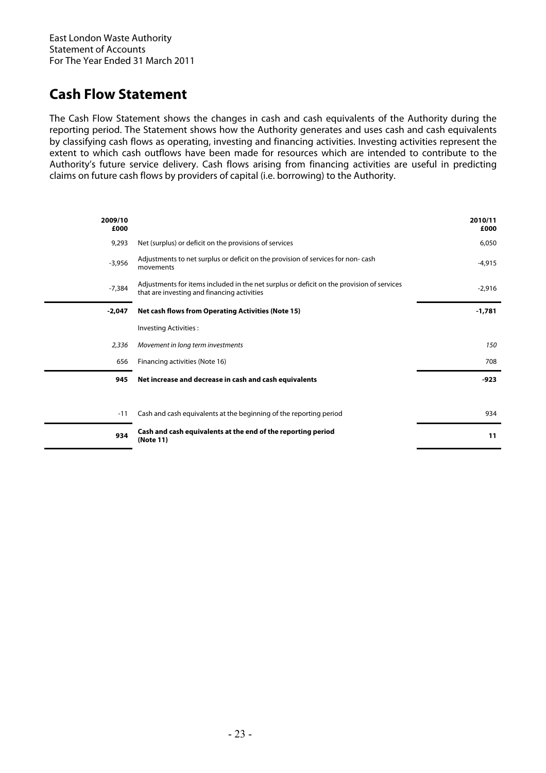# **Cash Flow Statement**

The Cash Flow Statement shows the changes in cash and cash equivalents of the Authority during the reporting period. The Statement shows how the Authority generates and uses cash and cash equivalents by classifying cash flows as operating, investing and financing activities. Investing activities represent the extent to which cash outflows have been made for resources which are intended to contribute to the Authority's future service delivery. Cash flows arising from financing activities are useful in predicting claims on future cash flows by providers of capital (i.e. borrowing) to the Authority.

| 2009/10<br>£000 |                                                                                                                                          | 2010/11<br>£000 |
|-----------------|------------------------------------------------------------------------------------------------------------------------------------------|-----------------|
| 9,293           | Net (surplus) or deficit on the provisions of services                                                                                   | 6,050           |
| $-3,956$        | Adjustments to net surplus or deficit on the provision of services for non-cash<br>movements                                             | $-4,915$        |
| $-7,384$        | Adjustments for items included in the net surplus or deficit on the provision of services<br>that are investing and financing activities | $-2,916$        |
| $-2,047$        | <b>Net cash flows from Operating Activities (Note 15)</b>                                                                                | $-1,781$        |
|                 | Investing Activities:                                                                                                                    |                 |
| 2,336           | Movement in long term investments                                                                                                        | 150             |
| 656             | Financing activities (Note 16)                                                                                                           | 708             |
| 945             | Net increase and decrease in cash and cash equivalents                                                                                   | $-923$          |
|                 |                                                                                                                                          |                 |
| $-11$           | Cash and cash equivalents at the beginning of the reporting period                                                                       | 934             |
| 934             | Cash and cash equivalents at the end of the reporting period<br>(Note 11)                                                                | 11              |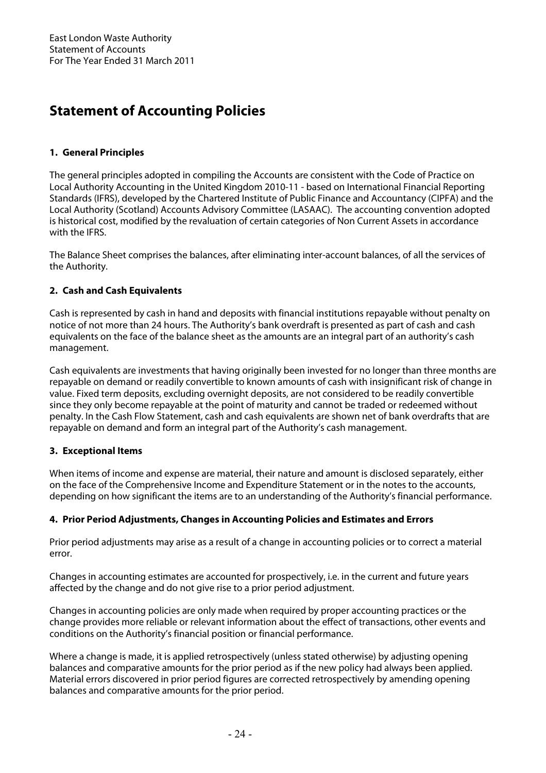# **Statement of Accounting Policies**

# **1. General Principles**

The general principles adopted in compiling the Accounts are consistent with the Code of Practice on Local Authority Accounting in the United Kingdom 2010-11 - based on International Financial Reporting Standards (IFRS), developed by the Chartered Institute of Public Finance and Accountancy (CIPFA) and the Local Authority (Scotland) Accounts Advisory Committee (LASAAC). The accounting convention adopted is historical cost, modified by the revaluation of certain categories of Non Current Assets in accordance with the IFRS.

The Balance Sheet comprises the balances, after eliminating inter-account balances, of all the services of the Authority.

# **2. Cash and Cash Equivalents**

Cash is represented by cash in hand and deposits with financial institutions repayable without penalty on notice of not more than 24 hours. The Authority's bank overdraft is presented as part of cash and cash equivalents on the face of the balance sheet as the amounts are an integral part of an authority's cash management.

Cash equivalents are investments that having originally been invested for no longer than three months are repayable on demand or readily convertible to known amounts of cash with insignificant risk of change in value. Fixed term deposits, excluding overnight deposits, are not considered to be readily convertible since they only become repayable at the point of maturity and cannot be traded or redeemed without penalty. In the Cash Flow Statement, cash and cash equivalents are shown net of bank overdrafts that are repayable on demand and form an integral part of the Authority's cash management.

## **3. Exceptional Items**

When items of income and expense are material, their nature and amount is disclosed separately, either on the face of the Comprehensive Income and Expenditure Statement or in the notes to the accounts, depending on how significant the items are to an understanding of the Authority's financial performance.

## **4. Prior Period Adjustments, Changes in Accounting Policies and Estimates and Errors**

Prior period adjustments may arise as a result of a change in accounting policies or to correct a material error.

Changes in accounting estimates are accounted for prospectively, i.e. in the current and future years affected by the change and do not give rise to a prior period adjustment.

Changes in accounting policies are only made when required by proper accounting practices or the change provides more reliable or relevant information about the effect of transactions, other events and conditions on the Authority's financial position or financial performance.

Where a change is made, it is applied retrospectively (unless stated otherwise) by adjusting opening balances and comparative amounts for the prior period as if the new policy had always been applied. Material errors discovered in prior period figures are corrected retrospectively by amending opening balances and comparative amounts for the prior period.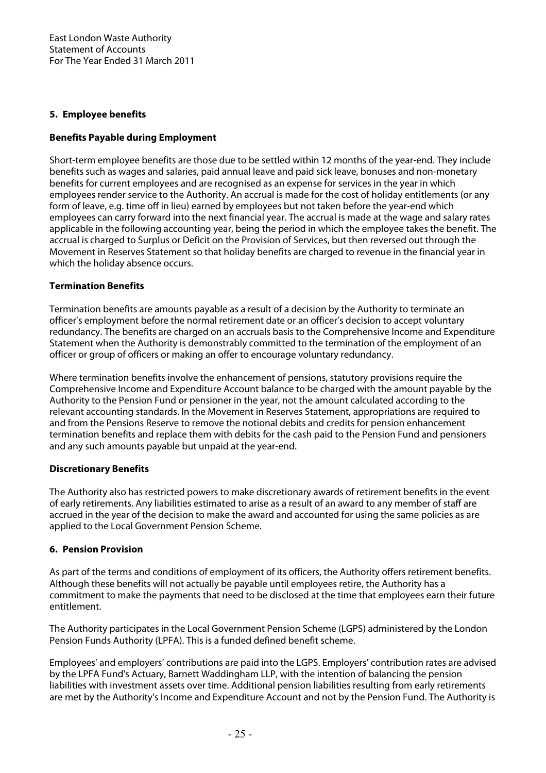## **5. Employee benefits**

## **Benefits Payable during Employment**

Short-term employee benefits are those due to be settled within 12 months of the year-end. They include benefits such as wages and salaries, paid annual leave and paid sick leave, bonuses and non-monetary benefits for current employees and are recognised as an expense for services in the year in which employees render service to the Authority. An accrual is made for the cost of holiday entitlements (or any form of leave, e.g. time off in lieu) earned by employees but not taken before the year-end which employees can carry forward into the next financial year. The accrual is made at the wage and salary rates applicable in the following accounting year, being the period in which the employee takes the benefit. The accrual is charged to Surplus or Deficit on the Provision of Services, but then reversed out through the Movement in Reserves Statement so that holiday benefits are charged to revenue in the financial year in which the holiday absence occurs.

## **Termination Benefits**

Termination benefits are amounts payable as a result of a decision by the Authority to terminate an officer's employment before the normal retirement date or an officer's decision to accept voluntary redundancy. The benefits are charged on an accruals basis to the Comprehensive Income and Expenditure Statement when the Authority is demonstrably committed to the termination of the employment of an officer or group of officers or making an offer to encourage voluntary redundancy.

Where termination benefits involve the enhancement of pensions, statutory provisions require the Comprehensive Income and Expenditure Account balance to be charged with the amount payable by the Authority to the Pension Fund or pensioner in the year, not the amount calculated according to the relevant accounting standards. In the Movement in Reserves Statement, appropriations are required to and from the Pensions Reserve to remove the notional debits and credits for pension enhancement termination benefits and replace them with debits for the cash paid to the Pension Fund and pensioners and any such amounts payable but unpaid at the year-end.

### **Discretionary Benefits**

The Authority also has restricted powers to make discretionary awards of retirement benefits in the event of early retirements. Any liabilities estimated to arise as a result of an award to any member of staff are accrued in the year of the decision to make the award and accounted for using the same policies as are applied to the Local Government Pension Scheme.

### **6. Pension Provision**

As part of the terms and conditions of employment of its officers, the Authority offers retirement benefits. Although these benefits will not actually be payable until employees retire, the Authority has a commitment to make the payments that need to be disclosed at the time that employees earn their future entitlement.

The Authority participates in the Local Government Pension Scheme (LGPS) administered by the London Pension Funds Authority (LPFA). This is a funded defined benefit scheme.

Employees' and employers' contributions are paid into the LGPS. Employers' contribution rates are advised by the LPFA Fund's Actuary, Barnett Waddingham LLP, with the intention of balancing the pension liabilities with investment assets over time. Additional pension liabilities resulting from early retirements are met by the Authority's Income and Expenditure Account and not by the Pension Fund. The Authority is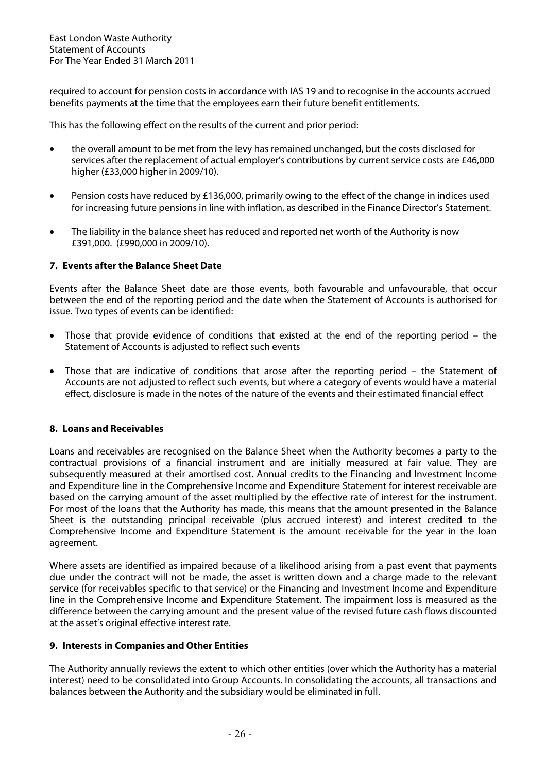required to account for pension costs in accordance with IAS 19 and to recognise in the accounts accrued benefits payments at the time that the employees earn their future benefit entitlements.

This has the following effect on the results of the current and prior period:

- the overall amount to be met from the levy has remained unchanged, but the costs disclosed for services after the replacement of actual employer's contributions by current service costs are £46,000 higher (£33,000 higher in 2009/10).
- Pension costs have reduced by £136,000, primarily owing to the effect of the change in indices used for increasing future pensions in line with inflation, as described in the Finance Director's Statement.
- The liability in the balance sheet has reduced and reported net worth of the Authority is now £391,000. (£990,000 in 2009/10).

## **7. Events after the Balance Sheet Date**

Events after the Balance Sheet date are those events, both favourable and unfavourable, that occur between the end of the reporting period and the date when the Statement of Accounts is authorised for issue. Two types of events can be identified:

- Those that provide evidence of conditions that existed at the end of the reporting period the Statement of Accounts is adjusted to reflect such events
- Those that are indicative of conditions that arose after the reporting period the Statement of Accounts are not adjusted to reflect such events, but where a category of events would have a material effect, disclosure is made in the notes of the nature of the events and their estimated financial effect

### **8. Loans and Receivables**

Loans and receivables are recognised on the Balance Sheet when the Authority becomes a party to the contractual provisions of a financial instrument and are initially measured at fair value. They are subsequently measured at their amortised cost. Annual credits to the Financing and Investment Income and Expenditure line in the Comprehensive Income and Expenditure Statement for interest receivable are based on the carrying amount of the asset multiplied by the effective rate of interest for the instrument. For most of the loans that the Authority has made, this means that the amount presented in the Balance Sheet is the outstanding principal receivable (plus accrued interest) and interest credited to the Comprehensive Income and Expenditure Statement is the amount receivable for the year in the loan agreement.

Where assets are identified as impaired because of a likelihood arising from a past event that payments due under the contract will not be made, the asset is written down and a charge made to the relevant service (for receivables specific to that service) or the Financing and Investment Income and Expenditure line in the Comprehensive Income and Expenditure Statement. The impairment loss is measured as the difference between the carrying amount and the present value of the revised future cash flows discounted at the asset's original effective interest rate.

### **9. Interests in Companies and Other Entities**

The Authority annually reviews the extent to which other entities (over which the Authority has a material interest) need to be consolidated into Group Accounts. In consolidating the accounts, all transactions and balances between the Authority and the subsidiary would be eliminated in full.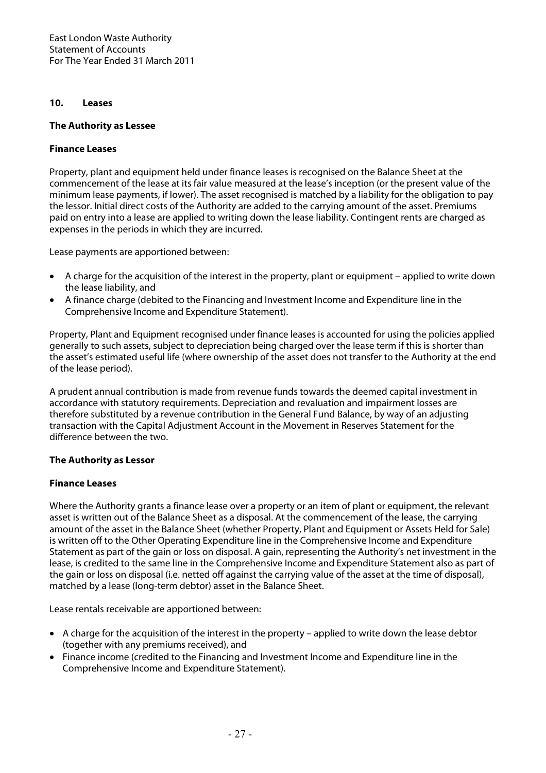## **10. Leases**

## **The Authority as Lessee**

## **Finance Leases**

Property, plant and equipment held under finance leases is recognised on the Balance Sheet at the commencement of the lease at its fair value measured at the lease's inception (or the present value of the minimum lease payments, if lower). The asset recognised is matched by a liability for the obligation to pay the lessor. Initial direct costs of the Authority are added to the carrying amount of the asset. Premiums paid on entry into a lease are applied to writing down the lease liability. Contingent rents are charged as expenses in the periods in which they are incurred.

Lease payments are apportioned between:

- A charge for the acquisition of the interest in the property, plant or equipment applied to write down the lease liability, and
- A finance charge (debited to the Financing and Investment Income and Expenditure line in the Comprehensive Income and Expenditure Statement).

Property, Plant and Equipment recognised under finance leases is accounted for using the policies applied generally to such assets, subject to depreciation being charged over the lease term if this is shorter than the asset's estimated useful life (where ownership of the asset does not transfer to the Authority at the end of the lease period).

A prudent annual contribution is made from revenue funds towards the deemed capital investment in accordance with statutory requirements. Depreciation and revaluation and impairment losses are therefore substituted by a revenue contribution in the General Fund Balance, by way of an adjusting transaction with the Capital Adjustment Account in the Movement in Reserves Statement for the difference between the two.

## **The Authority as Lessor**

## **Finance Leases**

Where the Authority grants a finance lease over a property or an item of plant or equipment, the relevant asset is written out of the Balance Sheet as a disposal. At the commencement of the lease, the carrying amount of the asset in the Balance Sheet (whether Property, Plant and Equipment or Assets Held for Sale) is written off to the Other Operating Expenditure line in the Comprehensive Income and Expenditure Statement as part of the gain or loss on disposal. A gain, representing the Authority's net investment in the lease, is credited to the same line in the Comprehensive Income and Expenditure Statement also as part of the gain or loss on disposal (i.e. netted off against the carrying value of the asset at the time of disposal), matched by a lease (long-term debtor) asset in the Balance Sheet.

Lease rentals receivable are apportioned between:

- A charge for the acquisition of the interest in the property applied to write down the lease debtor (together with any premiums received), and
- Finance income (credited to the Financing and Investment Income and Expenditure line in the Comprehensive Income and Expenditure Statement).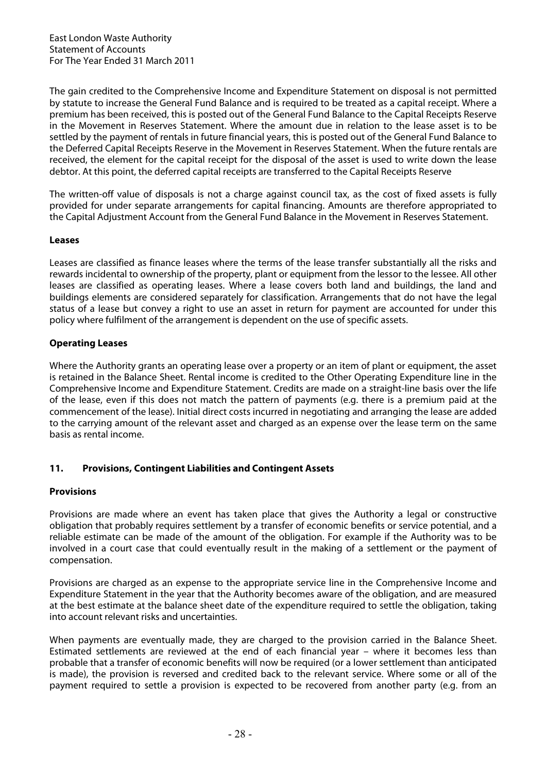The gain credited to the Comprehensive Income and Expenditure Statement on disposal is not permitted by statute to increase the General Fund Balance and is required to be treated as a capital receipt. Where a premium has been received, this is posted out of the General Fund Balance to the Capital Receipts Reserve in the Movement in Reserves Statement. Where the amount due in relation to the lease asset is to be settled by the payment of rentals in future financial years, this is posted out of the General Fund Balance to the Deferred Capital Receipts Reserve in the Movement in Reserves Statement. When the future rentals are received, the element for the capital receipt for the disposal of the asset is used to write down the lease debtor. At this point, the deferred capital receipts are transferred to the Capital Receipts Reserve

The written-off value of disposals is not a charge against council tax, as the cost of fixed assets is fully provided for under separate arrangements for capital financing. Amounts are therefore appropriated to the Capital Adjustment Account from the General Fund Balance in the Movement in Reserves Statement.

## **Leases**

Leases are classified as finance leases where the terms of the lease transfer substantially all the risks and rewards incidental to ownership of the property, plant or equipment from the lessor to the lessee. All other leases are classified as operating leases. Where a lease covers both land and buildings, the land and buildings elements are considered separately for classification. Arrangements that do not have the legal status of a lease but convey a right to use an asset in return for payment are accounted for under this policy where fulfilment of the arrangement is dependent on the use of specific assets.

## **Operating Leases**

Where the Authority grants an operating lease over a property or an item of plant or equipment, the asset is retained in the Balance Sheet. Rental income is credited to the Other Operating Expenditure line in the Comprehensive Income and Expenditure Statement. Credits are made on a straight-line basis over the life of the lease, even if this does not match the pattern of payments (e.g. there is a premium paid at the commencement of the lease). Initial direct costs incurred in negotiating and arranging the lease are added to the carrying amount of the relevant asset and charged as an expense over the lease term on the same basis as rental income.

## **11. Provisions, Contingent Liabilities and Contingent Assets**

## **Provisions**

Provisions are made where an event has taken place that gives the Authority a legal or constructive obligation that probably requires settlement by a transfer of economic benefits or service potential, and a reliable estimate can be made of the amount of the obligation. For example if the Authority was to be involved in a court case that could eventually result in the making of a settlement or the payment of compensation.

Provisions are charged as an expense to the appropriate service line in the Comprehensive Income and Expenditure Statement in the year that the Authority becomes aware of the obligation, and are measured at the best estimate at the balance sheet date of the expenditure required to settle the obligation, taking into account relevant risks and uncertainties.

When payments are eventually made, they are charged to the provision carried in the Balance Sheet. Estimated settlements are reviewed at the end of each financial year – where it becomes less than probable that a transfer of economic benefits will now be required (or a lower settlement than anticipated is made), the provision is reversed and credited back to the relevant service. Where some or all of the payment required to settle a provision is expected to be recovered from another party (e.g. from an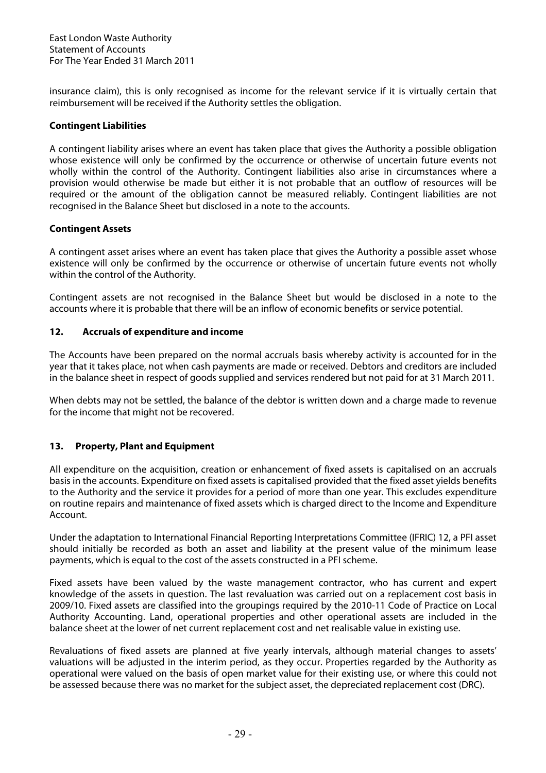insurance claim), this is only recognised as income for the relevant service if it is virtually certain that reimbursement will be received if the Authority settles the obligation.

## **Contingent Liabilities**

A contingent liability arises where an event has taken place that gives the Authority a possible obligation whose existence will only be confirmed by the occurrence or otherwise of uncertain future events not wholly within the control of the Authority. Contingent liabilities also arise in circumstances where a provision would otherwise be made but either it is not probable that an outflow of resources will be required or the amount of the obligation cannot be measured reliably. Contingent liabilities are not recognised in the Balance Sheet but disclosed in a note to the accounts.

## **Contingent Assets**

A contingent asset arises where an event has taken place that gives the Authority a possible asset whose existence will only be confirmed by the occurrence or otherwise of uncertain future events not wholly within the control of the Authority.

Contingent assets are not recognised in the Balance Sheet but would be disclosed in a note to the accounts where it is probable that there will be an inflow of economic benefits or service potential.

## **12. Accruals of expenditure and income**

The Accounts have been prepared on the normal accruals basis whereby activity is accounted for in the year that it takes place, not when cash payments are made or received. Debtors and creditors are included in the balance sheet in respect of goods supplied and services rendered but not paid for at 31 March 2011.

When debts may not be settled, the balance of the debtor is written down and a charge made to revenue for the income that might not be recovered.

## **13. Property, Plant and Equipment**

All expenditure on the acquisition, creation or enhancement of fixed assets is capitalised on an accruals basis in the accounts. Expenditure on fixed assets is capitalised provided that the fixed asset yields benefits to the Authority and the service it provides for a period of more than one year. This excludes expenditure on routine repairs and maintenance of fixed assets which is charged direct to the Income and Expenditure Account.

Under the adaptation to International Financial Reporting Interpretations Committee (IFRIC) 12, a PFI asset should initially be recorded as both an asset and liability at the present value of the minimum lease payments, which is equal to the cost of the assets constructed in a PFI scheme.

Fixed assets have been valued by the waste management contractor, who has current and expert knowledge of the assets in question. The last revaluation was carried out on a replacement cost basis in 2009/10. Fixed assets are classified into the groupings required by the 2010-11 Code of Practice on Local Authority Accounting. Land, operational properties and other operational assets are included in the balance sheet at the lower of net current replacement cost and net realisable value in existing use.

Revaluations of fixed assets are planned at five yearly intervals, although material changes to assets' valuations will be adjusted in the interim period, as they occur. Properties regarded by the Authority as operational were valued on the basis of open market value for their existing use, or where this could not be assessed because there was no market for the subject asset, the depreciated replacement cost (DRC).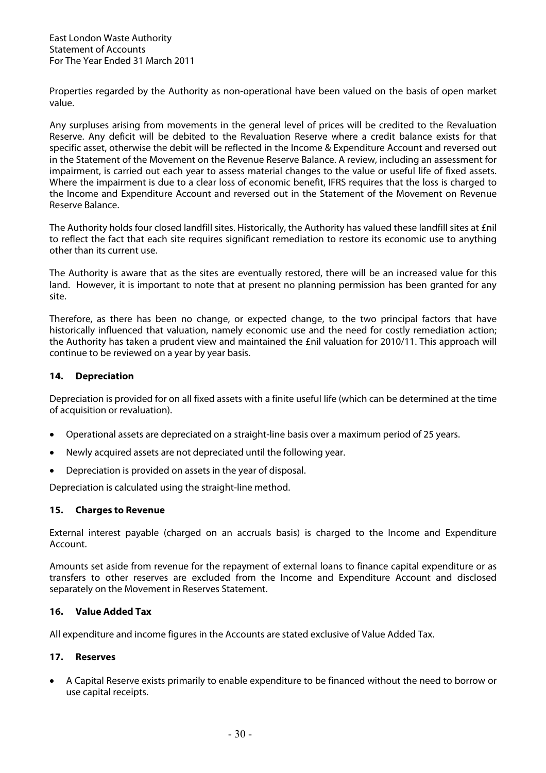Properties regarded by the Authority as non-operational have been valued on the basis of open market value.

Any surpluses arising from movements in the general level of prices will be credited to the Revaluation Reserve. Any deficit will be debited to the Revaluation Reserve where a credit balance exists for that specific asset, otherwise the debit will be reflected in the Income & Expenditure Account and reversed out in the Statement of the Movement on the Revenue Reserve Balance. A review, including an assessment for impairment, is carried out each year to assess material changes to the value or useful life of fixed assets. Where the impairment is due to a clear loss of economic benefit, IFRS requires that the loss is charged to the Income and Expenditure Account and reversed out in the Statement of the Movement on Revenue Reserve Balance.

The Authority holds four closed landfill sites. Historically, the Authority has valued these landfill sites at £nil to reflect the fact that each site requires significant remediation to restore its economic use to anything other than its current use.

The Authority is aware that as the sites are eventually restored, there will be an increased value for this land. However, it is important to note that at present no planning permission has been granted for any site.

Therefore, as there has been no change, or expected change, to the two principal factors that have historically influenced that valuation, namely economic use and the need for costly remediation action; the Authority has taken a prudent view and maintained the £nil valuation for 2010/11. This approach will continue to be reviewed on a year by year basis.

## **14. Depreciation**

Depreciation is provided for on all fixed assets with a finite useful life (which can be determined at the time of acquisition or revaluation).

- Operational assets are depreciated on a straight-line basis over a maximum period of 25 years.
- Newly acquired assets are not depreciated until the following year.
- Depreciation is provided on assets in the year of disposal.

Depreciation is calculated using the straight-line method.

### **15. Charges to Revenue**

External interest payable (charged on an accruals basis) is charged to the Income and Expenditure Account.

Amounts set aside from revenue for the repayment of external loans to finance capital expenditure or as transfers to other reserves are excluded from the Income and Expenditure Account and disclosed separately on the Movement in Reserves Statement.

## **16. Value Added Tax**

All expenditure and income figures in the Accounts are stated exclusive of Value Added Tax.

### **17. Reserves**

• A Capital Reserve exists primarily to enable expenditure to be financed without the need to borrow or use capital receipts.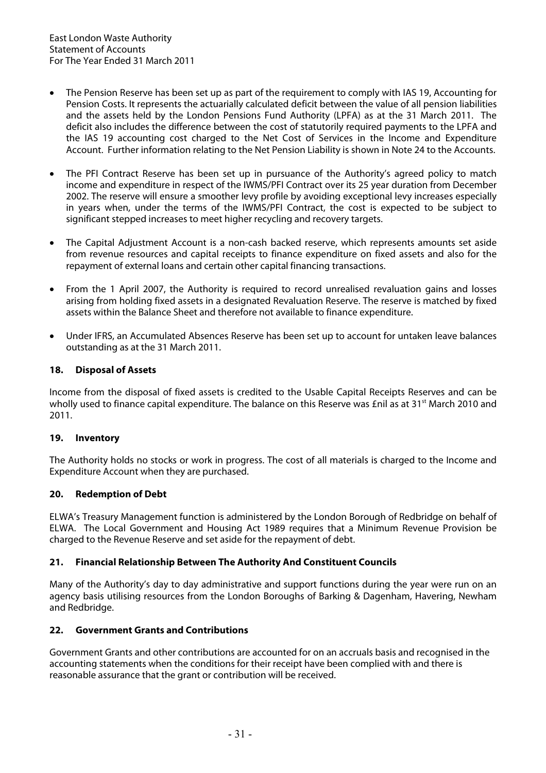- The Pension Reserve has been set up as part of the requirement to comply with IAS 19, Accounting for Pension Costs. It represents the actuarially calculated deficit between the value of all pension liabilities and the assets held by the London Pensions Fund Authority (LPFA) as at the 31 March 2011. The deficit also includes the difference between the cost of statutorily required payments to the LPFA and the IAS 19 accounting cost charged to the Net Cost of Services in the Income and Expenditure Account. Further information relating to the Net Pension Liability is shown in Note 24 to the Accounts.
- The PFI Contract Reserve has been set up in pursuance of the Authority's agreed policy to match income and expenditure in respect of the IWMS/PFI Contract over its 25 year duration from December 2002. The reserve will ensure a smoother levy profile by avoiding exceptional levy increases especially in years when, under the terms of the IWMS/PFI Contract, the cost is expected to be subject to significant stepped increases to meet higher recycling and recovery targets.
- The Capital Adjustment Account is a non-cash backed reserve, which represents amounts set aside from revenue resources and capital receipts to finance expenditure on fixed assets and also for the repayment of external loans and certain other capital financing transactions.
- From the 1 April 2007, the Authority is required to record unrealised revaluation gains and losses arising from holding fixed assets in a designated Revaluation Reserve. The reserve is matched by fixed assets within the Balance Sheet and therefore not available to finance expenditure.
- Under IFRS, an Accumulated Absences Reserve has been set up to account for untaken leave balances outstanding as at the 31 March 2011.

## **18. Disposal of Assets**

Income from the disposal of fixed assets is credited to the Usable Capital Receipts Reserves and can be wholly used to finance capital expenditure. The balance on this Reserve was £nil as at 31<sup>st</sup> March 2010 and 2011.

### **19. Inventory**

The Authority holds no stocks or work in progress. The cost of all materials is charged to the Income and Expenditure Account when they are purchased.

### **20. Redemption of Debt**

ELWA's Treasury Management function is administered by the London Borough of Redbridge on behalf of ELWA. The Local Government and Housing Act 1989 requires that a Minimum Revenue Provision be charged to the Revenue Reserve and set aside for the repayment of debt.

## **21. Financial Relationship Between The Authority And Constituent Councils**

Many of the Authority's day to day administrative and support functions during the year were run on an agency basis utilising resources from the London Boroughs of Barking & Dagenham, Havering, Newham and Redbridge.

## **22. Government Grants and Contributions**

Government Grants and other contributions are accounted for on an accruals basis and recognised in the accounting statements when the conditions for their receipt have been complied with and there is reasonable assurance that the grant or contribution will be received.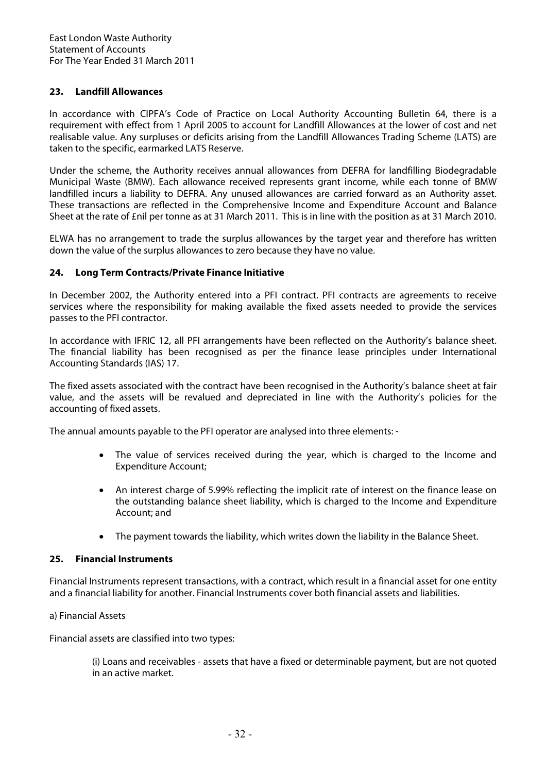## **23. Landfill Allowances**

In accordance with CIPFA's Code of Practice on Local Authority Accounting Bulletin 64, there is a requirement with effect from 1 April 2005 to account for Landfill Allowances at the lower of cost and net realisable value. Any surpluses or deficits arising from the Landfill Allowances Trading Scheme (LATS) are taken to the specific, earmarked LATS Reserve.

Under the scheme, the Authority receives annual allowances from DEFRA for landfilling Biodegradable Municipal Waste (BMW). Each allowance received represents grant income, while each tonne of BMW landfilled incurs a liability to DEFRA. Any unused allowances are carried forward as an Authority asset. These transactions are reflected in the Comprehensive Income and Expenditure Account and Balance Sheet at the rate of £nil per tonne as at 31 March 2011. This is in line with the position as at 31 March 2010.

ELWA has no arrangement to trade the surplus allowances by the target year and therefore has written down the value of the surplus allowances to zero because they have no value.

### **24. Long Term Contracts/Private Finance Initiative**

In December 2002, the Authority entered into a PFI contract. PFI contracts are agreements to receive services where the responsibility for making available the fixed assets needed to provide the services passes to the PFI contractor.

In accordance with IFRIC 12, all PFI arrangements have been reflected on the Authority's balance sheet. The financial liability has been recognised as per the finance lease principles under International Accounting Standards (IAS) 17.

The fixed assets associated with the contract have been recognised in the Authority's balance sheet at fair value, and the assets will be revalued and depreciated in line with the Authority's policies for the accounting of fixed assets.

The annual amounts payable to the PFI operator are analysed into three elements: -

- The value of services received during the year, which is charged to the Income and Expenditure Account;
- An interest charge of 5.99% reflecting the implicit rate of interest on the finance lease on the outstanding balance sheet liability, which is charged to the Income and Expenditure Account; and
- The payment towards the liability, which writes down the liability in the Balance Sheet.

### **25. Financial Instruments**

Financial Instruments represent transactions, with a contract, which result in a financial asset for one entity and a financial liability for another. Financial Instruments cover both financial assets and liabilities.

### a) Financial Assets

Financial assets are classified into two types:

(i) Loans and receivables - assets that have a fixed or determinable payment, but are not quoted in an active market.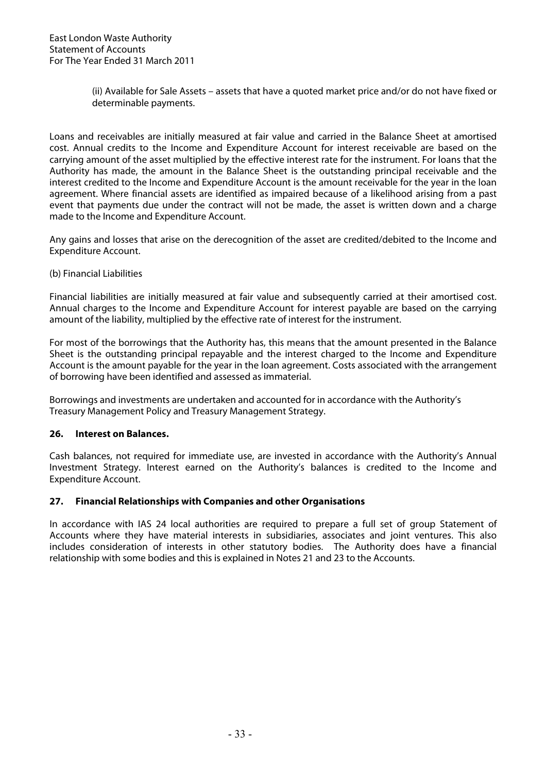(ii) Available for Sale Assets – assets that have a quoted market price and/or do not have fixed or determinable payments.

Loans and receivables are initially measured at fair value and carried in the Balance Sheet at amortised cost. Annual credits to the Income and Expenditure Account for interest receivable are based on the carrying amount of the asset multiplied by the effective interest rate for the instrument. For loans that the Authority has made, the amount in the Balance Sheet is the outstanding principal receivable and the interest credited to the Income and Expenditure Account is the amount receivable for the year in the loan agreement. Where financial assets are identified as impaired because of a likelihood arising from a past event that payments due under the contract will not be made, the asset is written down and a charge made to the Income and Expenditure Account.

Any gains and losses that arise on the derecognition of the asset are credited/debited to the Income and Expenditure Account.

(b) Financial Liabilities

Financial liabilities are initially measured at fair value and subsequently carried at their amortised cost. Annual charges to the Income and Expenditure Account for interest payable are based on the carrying amount of the liability, multiplied by the effective rate of interest for the instrument.

For most of the borrowings that the Authority has, this means that the amount presented in the Balance Sheet is the outstanding principal repayable and the interest charged to the Income and Expenditure Account is the amount payable for the year in the loan agreement. Costs associated with the arrangement of borrowing have been identified and assessed as immaterial.

Borrowings and investments are undertaken and accounted for in accordance with the Authority's Treasury Management Policy and Treasury Management Strategy.

## **26. Interest on Balances.**

Cash balances, not required for immediate use, are invested in accordance with the Authority's Annual Investment Strategy. Interest earned on the Authority's balances is credited to the Income and Expenditure Account.

## **27. Financial Relationships with Companies and other Organisations**

In accordance with IAS 24 local authorities are required to prepare a full set of group Statement of Accounts where they have material interests in subsidiaries, associates and joint ventures. This also includes consideration of interests in other statutory bodies. The Authority does have a financial relationship with some bodies and this is explained in Notes 21 and 23 to the Accounts.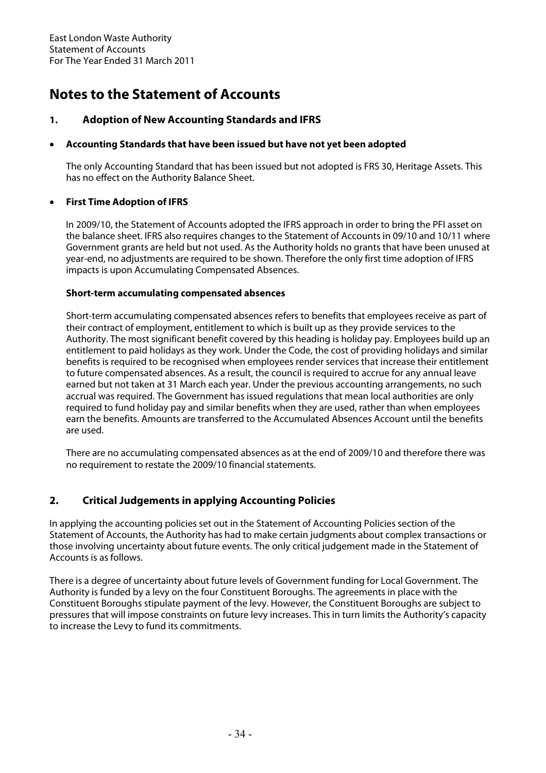# **Notes to the Statement of Accounts**

# **1. Adoption of New Accounting Standards and IFRS**

## • **Accounting Standards that have been issued but have not yet been adopted**

The only Accounting Standard that has been issued but not adopted is FRS 30, Heritage Assets. This has no effect on the Authority Balance Sheet.

## • **First Time Adoption of IFRS**

In 2009/10, the Statement of Accounts adopted the IFRS approach in order to bring the PFI asset on the balance sheet. IFRS also requires changes to the Statement of Accounts in 09/10 and 10/11 where Government grants are held but not used. As the Authority holds no grants that have been unused at year-end, no adjustments are required to be shown. Therefore the only first time adoption of IFRS impacts is upon Accumulating Compensated Absences.

## **Short-term accumulating compensated absences**

Short-term accumulating compensated absences refers to benefits that employees receive as part of their contract of employment, entitlement to which is built up as they provide services to the Authority. The most significant benefit covered by this heading is holiday pay. Employees build up an entitlement to paid holidays as they work. Under the Code, the cost of providing holidays and similar benefits is required to be recognised when employees render services that increase their entitlement to future compensated absences. As a result, the council is required to accrue for any annual leave earned but not taken at 31 March each year. Under the previous accounting arrangements, no such accrual was required. The Government has issued regulations that mean local authorities are only required to fund holiday pay and similar benefits when they are used, rather than when employees earn the benefits. Amounts are transferred to the Accumulated Absences Account until the benefits are used.

There are no accumulating compensated absences as at the end of 2009/10 and therefore there was no requirement to restate the 2009/10 financial statements.

# **2. Critical Judgements in applying Accounting Policies**

In applying the accounting policies set out in the Statement of Accounting Policies section of the Statement of Accounts, the Authority has had to make certain judgments about complex transactions or those involving uncertainty about future events. The only critical judgement made in the Statement of Accounts is as follows.

There is a degree of uncertainty about future levels of Government funding for Local Government. The Authority is funded by a levy on the four Constituent Boroughs. The agreements in place with the Constituent Boroughs stipulate payment of the levy. However, the Constituent Boroughs are subject to pressures that will impose constraints on future levy increases. This in turn limits the Authority's capacity to increase the Levy to fund its commitments.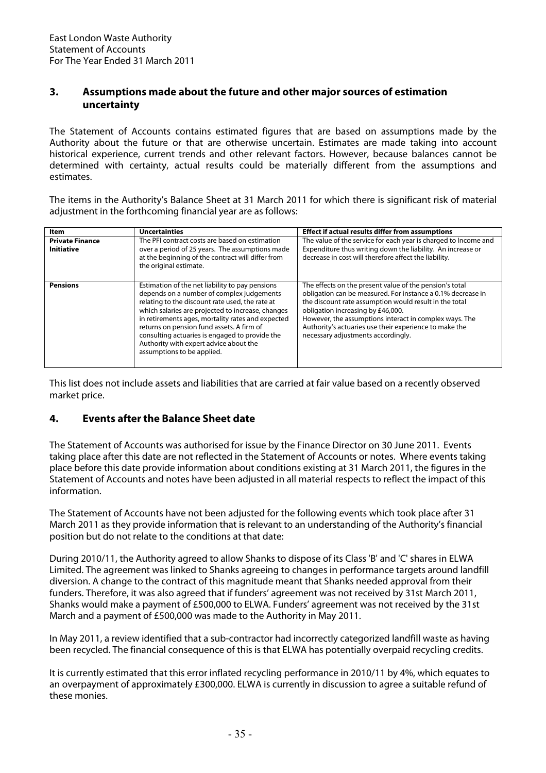# **3. Assumptions made about the future and other major sources of estimation uncertainty**

The Statement of Accounts contains estimated figures that are based on assumptions made by the Authority about the future or that are otherwise uncertain. Estimates are made taking into account historical experience, current trends and other relevant factors. However, because balances cannot be determined with certainty, actual results could be materially different from the assumptions and estimates.

The items in the Authority's Balance Sheet at 31 March 2011 for which there is significant risk of material adjustment in the forthcoming financial year are as follows:

| <b>Item</b>                                 | <b>Uncertainties</b>                                                                                                                                                                                                                                                                                                                                                                                                             | <b>Effect if actual results differ from assumptions</b>                                                                                                                                                                                                                                                                                                                         |
|---------------------------------------------|----------------------------------------------------------------------------------------------------------------------------------------------------------------------------------------------------------------------------------------------------------------------------------------------------------------------------------------------------------------------------------------------------------------------------------|---------------------------------------------------------------------------------------------------------------------------------------------------------------------------------------------------------------------------------------------------------------------------------------------------------------------------------------------------------------------------------|
| <b>Private Finance</b><br><b>Initiative</b> | The PFI contract costs are based on estimation<br>over a period of 25 years. The assumptions made<br>at the beginning of the contract will differ from<br>the original estimate.                                                                                                                                                                                                                                                 | The value of the service for each year is charged to Income and<br>Expenditure thus writing down the liability. An increase or<br>decrease in cost will therefore affect the liability.                                                                                                                                                                                         |
| <b>Pensions</b>                             | Estimation of the net liability to pay pensions<br>depends on a number of complex judgements<br>relating to the discount rate used, the rate at<br>which salaries are projected to increase, changes<br>in retirements ages, mortality rates and expected<br>returns on pension fund assets. A firm of<br>consulting actuaries is engaged to provide the<br>Authority with expert advice about the<br>assumptions to be applied. | The effects on the present value of the pension's total<br>obligation can be measured. For instance a 0.1% decrease in<br>the discount rate assumption would result in the total<br>obligation increasing by £46,000.<br>However, the assumptions interact in complex ways. The<br>Authority's actuaries use their experience to make the<br>necessary adjustments accordingly. |

This list does not include assets and liabilities that are carried at fair value based on a recently observed market price.

# **4. Events after the Balance Sheet date**

The Statement of Accounts was authorised for issue by the Finance Director on 30 June 2011. Events taking place after this date are not reflected in the Statement of Accounts or notes. Where events taking place before this date provide information about conditions existing at 31 March 2011, the figures in the Statement of Accounts and notes have been adjusted in all material respects to reflect the impact of this information.

The Statement of Accounts have not been adjusted for the following events which took place after 31 March 2011 as they provide information that is relevant to an understanding of the Authority's financial position but do not relate to the conditions at that date:

During 2010/11, the Authority agreed to allow Shanks to dispose of its Class 'B' and 'C' shares in ELWA Limited. The agreement was linked to Shanks agreeing to changes in performance targets around landfill diversion. A change to the contract of this magnitude meant that Shanks needed approval from their funders. Therefore, it was also agreed that if funders' agreement was not received by 31st March 2011, Shanks would make a payment of £500,000 to ELWA. Funders' agreement was not received by the 31st March and a payment of £500,000 was made to the Authority in May 2011.

In May 2011, a review identified that a sub-contractor had incorrectly categorized landfill waste as having been recycled. The financial consequence of this is that ELWA has potentially overpaid recycling credits.

It is currently estimated that this error inflated recycling performance in 2010/11 by 4%, which equates to an overpayment of approximately £300,000. ELWA is currently in discussion to agree a suitable refund of these monies.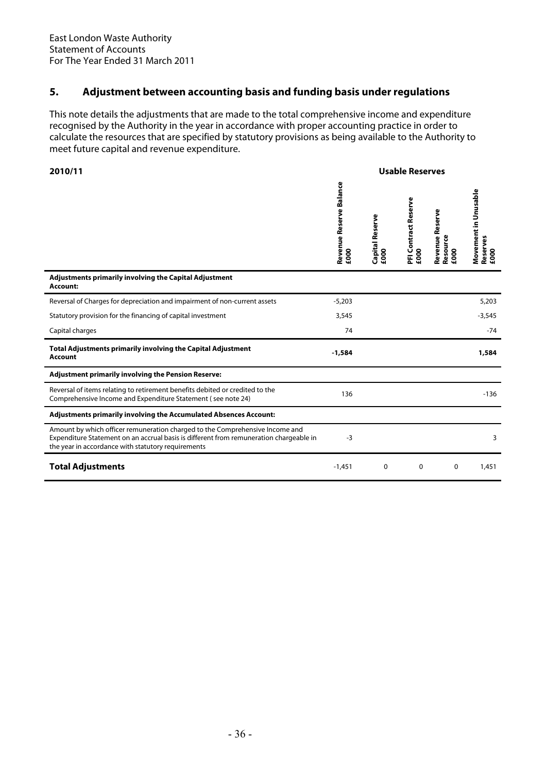# **5. Adjustment between accounting basis and funding basis under regulations**

This note details the adjustments that are made to the total comprehensive income and expenditure recognised by the Authority in the year in accordance with proper accounting practice in order to calculate the resources that are specified by statutory provisions as being available to the Authority to meet future capital and revenue expenditure.

| 2010/11                                                                                                                                                                                                                      |                                 |                         | <b>Usable Reserves</b>       |                                     |                                          |
|------------------------------------------------------------------------------------------------------------------------------------------------------------------------------------------------------------------------------|---------------------------------|-------------------------|------------------------------|-------------------------------------|------------------------------------------|
|                                                                                                                                                                                                                              | Revenue Reserve Balance<br>£000 | Capital Reserve<br>£000 | PFI Contract Reserve<br>£000 | Revenue Reserve<br>Resource<br>£000 | Movement in Unusable<br>Reserves<br>£000 |
| Adjustments primarily involving the Capital Adjustment<br>Account:                                                                                                                                                           |                                 |                         |                              |                                     |                                          |
| Reversal of Charges for depreciation and impairment of non-current assets                                                                                                                                                    | $-5,203$                        |                         |                              |                                     | 5,203                                    |
| Statutory provision for the financing of capital investment                                                                                                                                                                  | 3,545                           |                         |                              |                                     | $-3,545$                                 |
| Capital charges                                                                                                                                                                                                              | 74                              |                         |                              |                                     | $-74$                                    |
| Total Adjustments primarily involving the Capital Adjustment<br><b>Account</b>                                                                                                                                               | $-1,584$                        |                         |                              |                                     | 1,584                                    |
| <b>Adjustment primarily involving the Pension Reserve:</b>                                                                                                                                                                   |                                 |                         |                              |                                     |                                          |
| Reversal of items relating to retirement benefits debited or credited to the<br>Comprehensive Income and Expenditure Statement (see note 24)                                                                                 | 136                             |                         |                              |                                     | $-136$                                   |
| Adjustments primarily involving the Accumulated Absences Account:                                                                                                                                                            |                                 |                         |                              |                                     |                                          |
| Amount by which officer remuneration charged to the Comprehensive Income and<br>Expenditure Statement on an accrual basis is different from remuneration chargeable in<br>the year in accordance with statutory requirements | $-3$                            |                         |                              |                                     | 3                                        |
| <b>Total Adjustments</b>                                                                                                                                                                                                     | $-1,451$                        | $\mathbf 0$             | 0                            | 0                                   | 1,451                                    |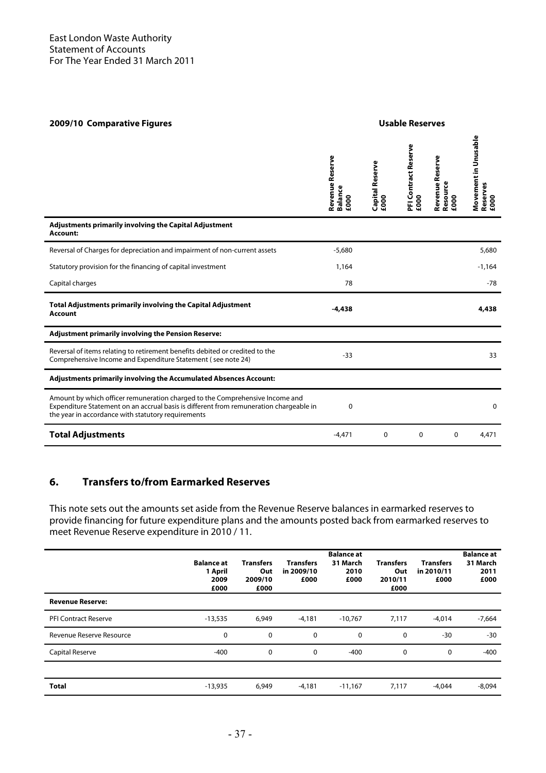| 2009/10 Comparative Figures                                                                                                                                                                                                  |                                           |                         | <b>Usable Reserves</b>       |                                     |                                          |
|------------------------------------------------------------------------------------------------------------------------------------------------------------------------------------------------------------------------------|-------------------------------------------|-------------------------|------------------------------|-------------------------------------|------------------------------------------|
|                                                                                                                                                                                                                              | Revenue Reserve<br><b>Balance</b><br>£000 | Capital Reserve<br>£000 | PFI Contract Reserve<br>£000 | Revenue Reserve<br>Resource<br>£000 | Movement in Unusable<br>Reserves<br>£000 |
| Adjustments primarily involving the Capital Adjustment<br>Account:                                                                                                                                                           |                                           |                         |                              |                                     |                                          |
| Reversal of Charges for depreciation and impairment of non-current assets                                                                                                                                                    | $-5,680$                                  |                         |                              |                                     | 5,680                                    |
| Statutory provision for the financing of capital investment                                                                                                                                                                  | 1,164                                     |                         |                              |                                     | $-1,164$                                 |
| Capital charges                                                                                                                                                                                                              | 78                                        |                         |                              |                                     | -78                                      |
| <b>Total Adjustments primarily involving the Capital Adjustment</b><br><b>Account</b>                                                                                                                                        | $-4,438$                                  |                         |                              |                                     | 4,438                                    |
| <b>Adjustment primarily involving the Pension Reserve:</b>                                                                                                                                                                   |                                           |                         |                              |                                     |                                          |
| Reversal of items relating to retirement benefits debited or credited to the<br>Comprehensive Income and Expenditure Statement (see note 24)                                                                                 | $-33$                                     |                         |                              |                                     | 33                                       |
| Adjustments primarily involving the Accumulated Absences Account:                                                                                                                                                            |                                           |                         |                              |                                     |                                          |
| Amount by which officer remuneration charged to the Comprehensive Income and<br>Expenditure Statement on an accrual basis is different from remuneration chargeable in<br>the year in accordance with statutory requirements | 0                                         |                         |                              |                                     | $\mathbf{0}$                             |
| <b>Total Adjustments</b>                                                                                                                                                                                                     | $-4,471$                                  | $\mathbf 0$             | $\mathbf 0$                  | $\mathbf 0$                         | 4,471                                    |

# **6. Transfers to/from Earmarked Reserves**

This note sets out the amounts set aside from the Revenue Reserve balances in earmarked reserves to provide financing for future expenditure plans and the amounts posted back from earmarked reserves to meet Revenue Reserve expenditure in 2010 / 11.

|                             | <b>Balance at</b><br>1 April<br>2009<br>£000 | <b>Transfers</b><br>Out<br>2009/10<br>£000 | <b>Transfers</b><br>in 2009/10<br>£000 | <b>Balance at</b><br>31 March<br>2010<br>£000 | <b>Transfers</b><br>Out<br>2010/11<br>£000 | <b>Transfers</b><br>in 2010/11<br>£000 | <b>Balance at</b><br>31 March<br>2011<br>£000 |
|-----------------------------|----------------------------------------------|--------------------------------------------|----------------------------------------|-----------------------------------------------|--------------------------------------------|----------------------------------------|-----------------------------------------------|
| <b>Revenue Reserve:</b>     |                                              |                                            |                                        |                                               |                                            |                                        |                                               |
| <b>PFI Contract Reserve</b> | $-13,535$                                    | 6,949                                      | $-4,181$                               | $-10,767$                                     | 7,117                                      | $-4.014$                               | $-7,664$                                      |
| Revenue Reserve Resource    | $\Omega$                                     | 0                                          | 0                                      | $\mathbf{0}$                                  | $\mathbf{0}$                               | -30                                    | $-30$                                         |
| Capital Reserve             | $-400$                                       | 0                                          | 0                                      | $-400$                                        | 0                                          | 0                                      | $-400$                                        |
|                             |                                              |                                            |                                        |                                               |                                            |                                        |                                               |
| <b>Total</b>                | $-13,935$                                    | 6,949                                      | $-4,181$                               | $-11,167$                                     | 7,117                                      | $-4.044$                               | $-8,094$                                      |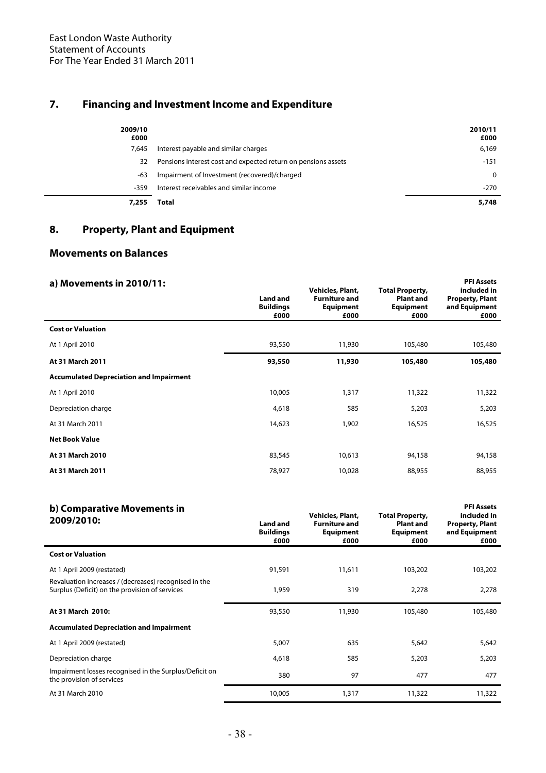# **7. Financing and Investment Income and Expenditure**

| 2009/10<br>£000<br>7.645 | Interest payable and similar charges                          | 2010/11<br>£000<br>6,169 |
|--------------------------|---------------------------------------------------------------|--------------------------|
| 32                       | Pensions interest cost and expected return on pensions assets | $-151$                   |
| -63                      | Impairment of Investment (recovered)/charged                  | 0                        |
| $-359$                   | Interest receivables and similar income                       | $-270$                   |
| 7,255                    | Total                                                         | 5,748                    |

# **8. Property, Plant and Equipment**

# **Movements on Balances**

| a) Movements in 2010/11:                       | <b>Land and</b><br><b>Buildings</b><br>£000 | Vehicles, Plant,<br><b>Furniture and</b><br><b>Equipment</b><br>£000 | <b>Total Property,</b><br><b>Plant and</b><br><b>Equipment</b><br>£000 | <b>PFI Assets</b><br>included in<br><b>Property, Plant</b><br>and Equipment<br>£000 |
|------------------------------------------------|---------------------------------------------|----------------------------------------------------------------------|------------------------------------------------------------------------|-------------------------------------------------------------------------------------|
| <b>Cost or Valuation</b>                       |                                             |                                                                      |                                                                        |                                                                                     |
| At 1 April 2010                                | 93,550                                      | 11,930                                                               | 105,480                                                                | 105,480                                                                             |
| At 31 March 2011                               | 93,550                                      | 11,930                                                               | 105,480                                                                | 105,480                                                                             |
| <b>Accumulated Depreciation and Impairment</b> |                                             |                                                                      |                                                                        |                                                                                     |
| At 1 April 2010                                | 10,005                                      | 1,317                                                                | 11,322                                                                 | 11,322                                                                              |
| Depreciation charge                            | 4,618                                       | 585                                                                  | 5,203                                                                  | 5,203                                                                               |
| At 31 March 2011                               | 14,623                                      | 1,902                                                                | 16,525                                                                 | 16,525                                                                              |
| <b>Net Book Value</b>                          |                                             |                                                                      |                                                                        |                                                                                     |
| At 31 March 2010                               | 83,545                                      | 10,613                                                               | 94,158                                                                 | 94,158                                                                              |
| At 31 March 2011                               | 78,927                                      | 10,028                                                               | 88,955                                                                 | 88,955                                                                              |

| b) Comparative Movements in<br>2009/2010:                                                               | <b>Land and</b><br><b>Buildings</b><br>£000 | Vehicles, Plant,<br><b>Furniture and</b><br><b>Equipment</b><br>£000 | <b>Total Property,</b><br><b>Plant and</b><br><b>Equipment</b><br>£000 | <b>PFI Assets</b><br>included in<br><b>Property, Plant</b><br>and Equipment<br>£000 |
|---------------------------------------------------------------------------------------------------------|---------------------------------------------|----------------------------------------------------------------------|------------------------------------------------------------------------|-------------------------------------------------------------------------------------|
| <b>Cost or Valuation</b>                                                                                |                                             |                                                                      |                                                                        |                                                                                     |
| At 1 April 2009 (restated)                                                                              | 91,591                                      | 11,611                                                               | 103,202                                                                | 103,202                                                                             |
| Revaluation increases / (decreases) recognised in the<br>Surplus (Deficit) on the provision of services | 1,959                                       | 319                                                                  | 2,278                                                                  | 2,278                                                                               |
| At 31 March 2010:                                                                                       | 93,550                                      | 11,930                                                               | 105,480                                                                | 105,480                                                                             |
| <b>Accumulated Depreciation and Impairment</b>                                                          |                                             |                                                                      |                                                                        |                                                                                     |
| At 1 April 2009 (restated)                                                                              | 5,007                                       | 635                                                                  | 5,642                                                                  | 5,642                                                                               |
| Depreciation charge                                                                                     | 4,618                                       | 585                                                                  | 5,203                                                                  | 5,203                                                                               |
| Impairment losses recognised in the Surplus/Deficit on<br>the provision of services                     | 380                                         | 97                                                                   | 477                                                                    | 477                                                                                 |
| At 31 March 2010                                                                                        | 10,005                                      | 1,317                                                                | 11,322                                                                 | 11,322                                                                              |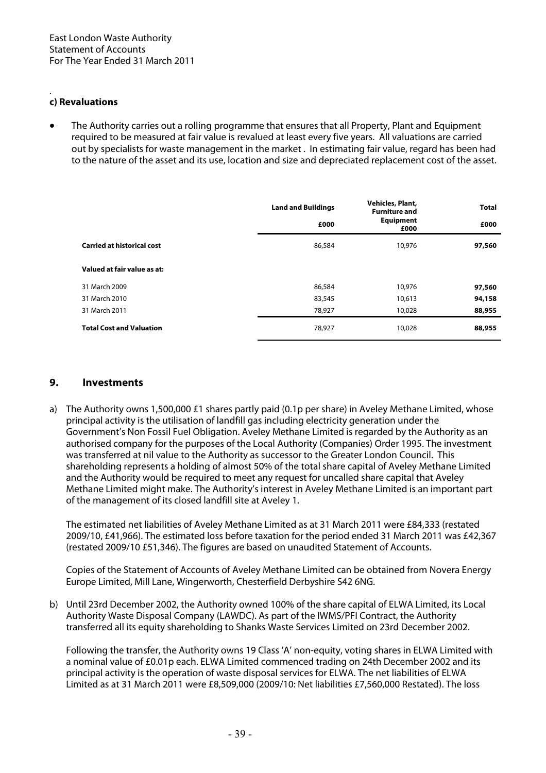#### . **c) Revaluations**

• The Authority carries out a rolling programme that ensures that all Property, Plant and Equipment required to be measured at fair value is revalued at least every five years. All valuations are carried out by specialists for waste management in the market . In estimating fair value, regard has been had to the nature of the asset and its use, location and size and depreciated replacement cost of the asset.

|                                   | <b>Land and Buildings</b><br>£000 | Vehicles, Plant,<br><b>Furniture and</b><br><b>Equipment</b><br>£000 | <b>Total</b><br>£000 |
|-----------------------------------|-----------------------------------|----------------------------------------------------------------------|----------------------|
| <b>Carried at historical cost</b> | 86,584                            | 10,976                                                               | 97,560               |
| Valued at fair value as at:       |                                   |                                                                      |                      |
| 31 March 2009                     | 86,584                            | 10,976                                                               | 97,560               |
| 31 March 2010                     | 83,545                            | 10,613                                                               | 94,158               |
| 31 March 2011                     | 78,927                            | 10,028                                                               | 88,955               |
| <b>Total Cost and Valuation</b>   | 78,927                            | 10,028                                                               | 88,955               |

## **9. Investments**

a) The Authority owns 1,500,000 £1 shares partly paid (0.1p per share) in Aveley Methane Limited, whose principal activity is the utilisation of landfill gas including electricity generation under the Government's Non Fossil Fuel Obligation. Aveley Methane Limited is regarded by the Authority as an authorised company for the purposes of the Local Authority (Companies) Order 1995. The investment was transferred at nil value to the Authority as successor to the Greater London Council. This shareholding represents a holding of almost 50% of the total share capital of Aveley Methane Limited and the Authority would be required to meet any request for uncalled share capital that Aveley Methane Limited might make. The Authority's interest in Aveley Methane Limited is an important part of the management of its closed landfill site at Aveley 1.

The estimated net liabilities of Aveley Methane Limited as at 31 March 2011 were £84,333 (restated 2009/10, £41,966). The estimated loss before taxation for the period ended 31 March 2011 was £42,367 (restated 2009/10 £51,346). The figures are based on unaudited Statement of Accounts.

Copies of the Statement of Accounts of Aveley Methane Limited can be obtained from Novera Energy Europe Limited, Mill Lane, Wingerworth, Chesterfield Derbyshire S42 6NG.

b) Until 23rd December 2002, the Authority owned 100% of the share capital of ELWA Limited, its Local Authority Waste Disposal Company (LAWDC). As part of the IWMS/PFI Contract, the Authority transferred all its equity shareholding to Shanks Waste Services Limited on 23rd December 2002.

Following the transfer, the Authority owns 19 Class 'A' non-equity, voting shares in ELWA Limited with a nominal value of £0.01p each. ELWA Limited commenced trading on 24th December 2002 and its principal activity is the operation of waste disposal services for ELWA. The net liabilities of ELWA Limited as at 31 March 2011 were £8,509,000 (2009/10: Net liabilities £7,560,000 Restated). The loss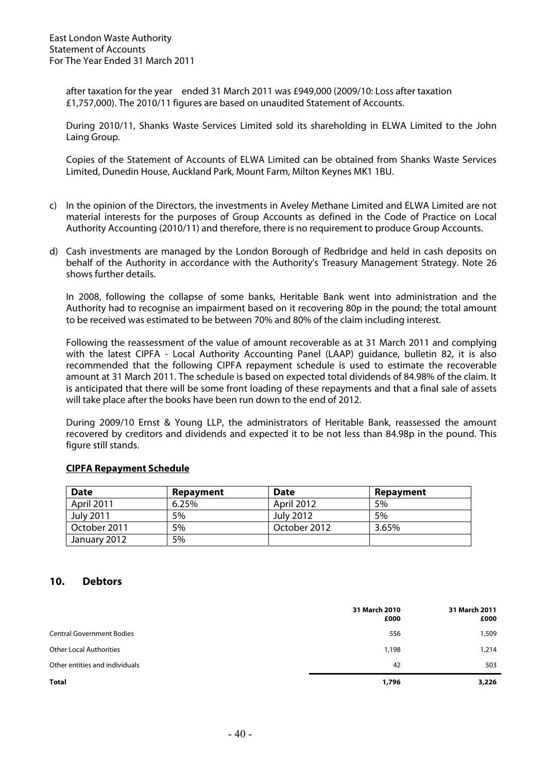after taxation for the year ended 31 March 2011 was £949,000 (2009/10: Loss after taxation £1,757,000). The 2010/11 figures are based on unaudited Statement of Accounts.

During 2010/11, Shanks Waste Services Limited sold its shareholding in ELWA Limited to the John Laing Group.

Copies of the Statement of Accounts of ELWA Limited can be obtained from Shanks Waste Services Limited, Dunedin House, Auckland Park, Mount Farm, Milton Keynes MK1 1BU.

- c) In the opinion of the Directors, the investments in Aveley Methane Limited and ELWA Limited are not material interests for the purposes of Group Accounts as defined in the Code of Practice on Local Authority Accounting (2010/11) and therefore, there is no requirement to produce Group Accounts.
- d) Cash investments are managed by the London Borough of Redbridge and held in cash deposits on behalf of the Authority in accordance with the Authority's Treasury Management Strategy. Note 26 shows further details.

In 2008, following the collapse of some banks, Heritable Bank went into administration and the Authority had to recognise an impairment based on it recovering 80p in the pound; the total amount to be received was estimated to be between 70% and 80% of the claim including interest.

Following the reassessment of the value of amount recoverable as at 31 March 2011 and complying with the latest CIPFA - Local Authority Accounting Panel (LAAP) guidance, bulletin 82, it is also recommended that the following CIPFA repayment schedule is used to estimate the recoverable amount at 31 March 2011. The schedule is based on expected total dividends of 84.98% of the claim. It is anticipated that there will be some front loading of these repayments and that a final sale of assets will take place after the books have been run down to the end of 2012.

During 2009/10 Ernst & Young LLP, the administrators of Heritable Bank, reassessed the amount recovered by creditors and dividends and expected it to be not less than 84.98p in the pound. This figure still stands.

## **CIPFA Repayment Schedule**

| <b>Date</b>      | Repayment | <b>Date</b>       | Repayment |
|------------------|-----------|-------------------|-----------|
| April 2011       | 6.25%     | <b>April 2012</b> | 5%        |
| <b>July 2011</b> | 5%        | <b>July 2012</b>  | .5%       |
| October 2011     | 5%        | October 2012      | 3.65%     |
| January 2012     | 5%        |                   |           |

## **10. Debtors**

|                                  | 31 March 2010<br>£000 | 31 March 2011<br>£000 |
|----------------------------------|-----------------------|-----------------------|
| <b>Central Government Bodies</b> | 556                   | 1,509                 |
| <b>Other Local Authorities</b>   | 1,198                 | 1,214                 |
| Other entities and individuals   | 42                    | 503                   |
| <b>Total</b>                     | 1,796                 | 3,226                 |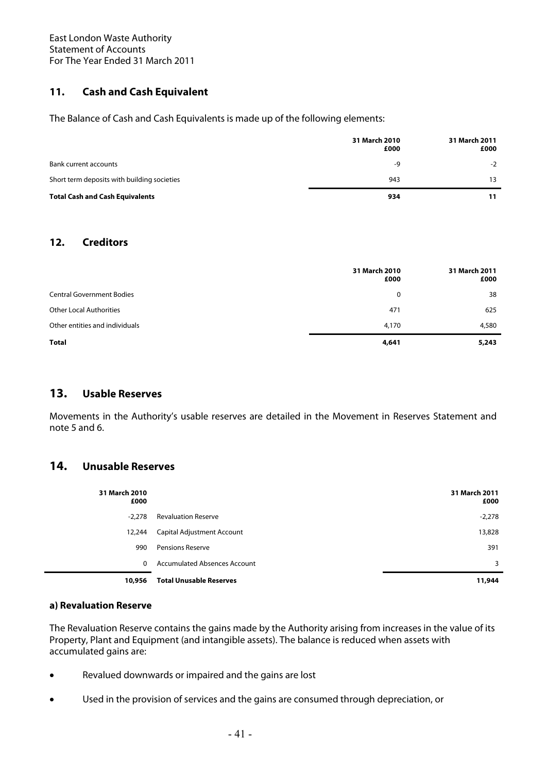# **11. Cash and Cash Equivalent**

The Balance of Cash and Cash Equivalents is made up of the following elements:

|                                             | 31 March 2010<br>£000 | 31 March 2011<br>£000 |
|---------------------------------------------|-----------------------|-----------------------|
| Bank current accounts                       | -9                    | $-2$                  |
| Short term deposits with building societies | 943                   | 13                    |
| <b>Total Cash and Cash Equivalents</b>      | 934                   | 11                    |

# **12. Creditors**

|                                  | 31 March 2010<br>£000 | 31 March 2011<br>£000 |
|----------------------------------|-----------------------|-----------------------|
| <b>Central Government Bodies</b> | 0                     | 38                    |
| <b>Other Local Authorities</b>   | 471                   | 625                   |
| Other entities and individuals   | 4,170                 | 4,580                 |
| Total                            | 4,641                 | 5,243                 |

# **13. Usable Reserves**

Movements in the Authority's usable reserves are detailed in the Movement in Reserves Statement and note 5 and 6.

# **14. Unusable Reserves**

| 31 March 2010<br>£000 |                                     | 31 March 2011<br>£000 |
|-----------------------|-------------------------------------|-----------------------|
| $-2,278$              | <b>Revaluation Reserve</b>          | $-2,278$              |
| 12,244                | Capital Adjustment Account          | 13,828                |
| 990                   | <b>Pensions Reserve</b>             | 391                   |
| $\mathbf{0}$          | <b>Accumulated Absences Account</b> | 3                     |
| 10,956                | <b>Total Unusable Reserves</b>      | 11,944                |

### **a) Revaluation Reserve**

The Revaluation Reserve contains the gains made by the Authority arising from increases in the value of its Property, Plant and Equipment (and intangible assets). The balance is reduced when assets with accumulated gains are:

- Revalued downwards or impaired and the gains are lost
- Used in the provision of services and the gains are consumed through depreciation, or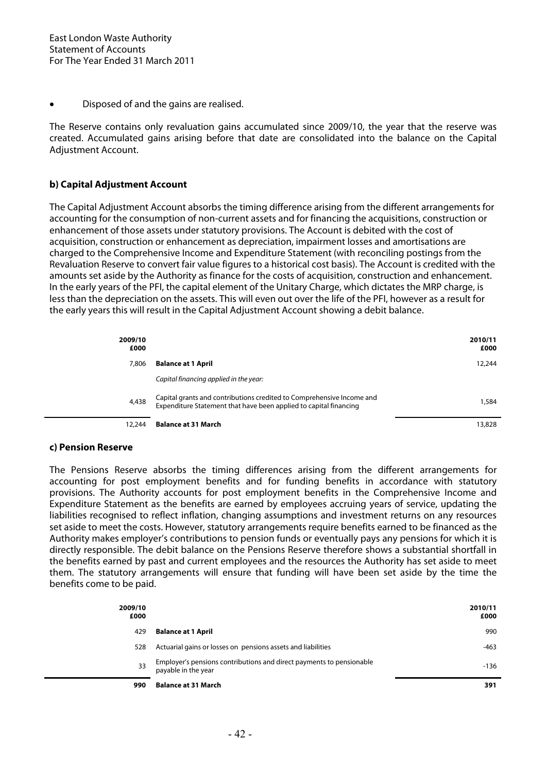• Disposed of and the gains are realised.

The Reserve contains only revaluation gains accumulated since 2009/10, the year that the reserve was created. Accumulated gains arising before that date are consolidated into the balance on the Capital Adjustment Account.

## **b) Capital Adjustment Account**

The Capital Adjustment Account absorbs the timing difference arising from the different arrangements for accounting for the consumption of non-current assets and for financing the acquisitions, construction or enhancement of those assets under statutory provisions. The Account is debited with the cost of acquisition, construction or enhancement as depreciation, impairment losses and amortisations are charged to the Comprehensive Income and Expenditure Statement (with reconciling postings from the Revaluation Reserve to convert fair value figures to a historical cost basis). The Account is credited with the amounts set aside by the Authority as finance for the costs of acquisition, construction and enhancement. In the early years of the PFI, the capital element of the Unitary Charge, which dictates the MRP charge, is less than the depreciation on the assets. This will even out over the life of the PFI, however as a result for the early years this will result in the Capital Adjustment Account showing a debit balance.

| 2009/10<br>£000 |                                                                                                                                            | 2010/11<br>£000 |
|-----------------|--------------------------------------------------------------------------------------------------------------------------------------------|-----------------|
| 7,806           | <b>Balance at 1 April</b>                                                                                                                  | 12,244          |
|                 | Capital financing applied in the year:                                                                                                     |                 |
| 4,438           | Capital grants and contributions credited to Comprehensive Income and<br>Expenditure Statement that have been applied to capital financing | 1,584           |
| 12,244          | <b>Balance at 31 March</b>                                                                                                                 | 13,828          |

### **c) Pension Reserve**

The Pensions Reserve absorbs the timing differences arising from the different arrangements for accounting for post employment benefits and for funding benefits in accordance with statutory provisions. The Authority accounts for post employment benefits in the Comprehensive Income and Expenditure Statement as the benefits are earned by employees accruing years of service, updating the liabilities recognised to reflect inflation, changing assumptions and investment returns on any resources set aside to meet the costs. However, statutory arrangements require benefits earned to be financed as the Authority makes employer's contributions to pension funds or eventually pays any pensions for which it is directly responsible. The debit balance on the Pensions Reserve therefore shows a substantial shortfall in the benefits earned by past and current employees and the resources the Authority has set aside to meet them. The statutory arrangements will ensure that funding will have been set aside by the time the benefits come to be paid.

| 2009/10<br>£000 |                                                                                             | 2010/11<br>£000 |
|-----------------|---------------------------------------------------------------------------------------------|-----------------|
| 429             | <b>Balance at 1 April</b>                                                                   | 990             |
| 528             | Actuarial gains or losses on pensions assets and liabilities                                | $-463$          |
| 33              | Employer's pensions contributions and direct payments to pensionable<br>payable in the year | -136            |
| 990             | <b>Balance at 31 March</b>                                                                  | 391             |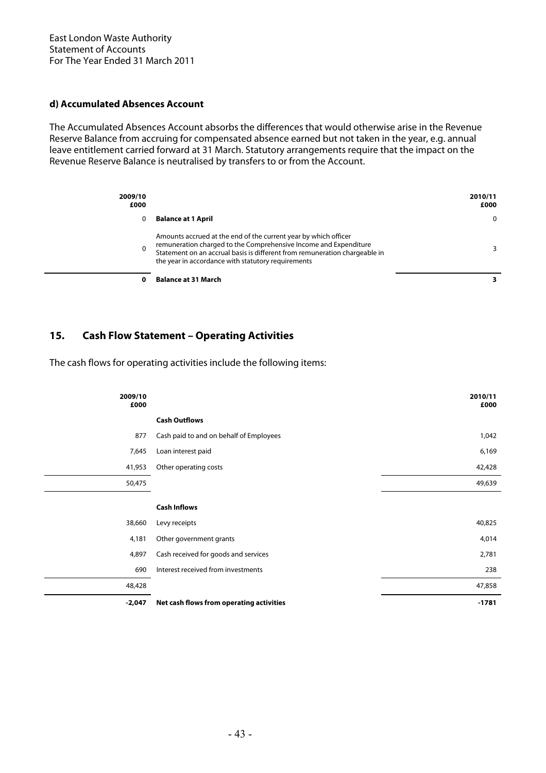## **d) Accumulated Absences Account**

The Accumulated Absences Account absorbs the differences that would otherwise arise in the Revenue Reserve Balance from accruing for compensated absence earned but not taken in the year, e.g. annual leave entitlement carried forward at 31 March. Statutory arrangements require that the impact on the Revenue Reserve Balance is neutralised by transfers to or from the Account.

| 2009/10<br>£000 |                                                                                                                                                                                                                                                                         | 2010/11<br>£000 |
|-----------------|-------------------------------------------------------------------------------------------------------------------------------------------------------------------------------------------------------------------------------------------------------------------------|-----------------|
| 0               | <b>Balance at 1 April</b>                                                                                                                                                                                                                                               | 0               |
| $\mathbf{0}$    | Amounts accrued at the end of the current year by which officer<br>remuneration charged to the Comprehensive Income and Expenditure<br>Statement on an accrual basis is different from remuneration chargeable in<br>the year in accordance with statutory requirements | 3.              |
|                 | <b>Balance at 31 March</b>                                                                                                                                                                                                                                              |                 |

# **15. Cash Flow Statement – Operating Activities**

The cash flows for operating activities include the following items:

| 2009/10<br>£000 |                                          | 2010/11<br>£000 |
|-----------------|------------------------------------------|-----------------|
|                 | <b>Cash Outflows</b>                     |                 |
| 877             | Cash paid to and on behalf of Employees  | 1,042           |
| 7,645           | Loan interest paid                       | 6,169           |
| 41,953          | Other operating costs                    | 42,428          |
| 50,475          |                                          | 49,639          |
|                 | <b>Cash Inflows</b>                      |                 |
| 38,660          | Levy receipts                            | 40,825          |
| 4,181           | Other government grants                  | 4,014           |
| 4,897           | Cash received for goods and services     | 2,781           |
| 690             | Interest received from investments       | 238             |
| 48,428          |                                          | 47,858          |
| $-2,047$        | Net cash flows from operating activities | $-1781$         |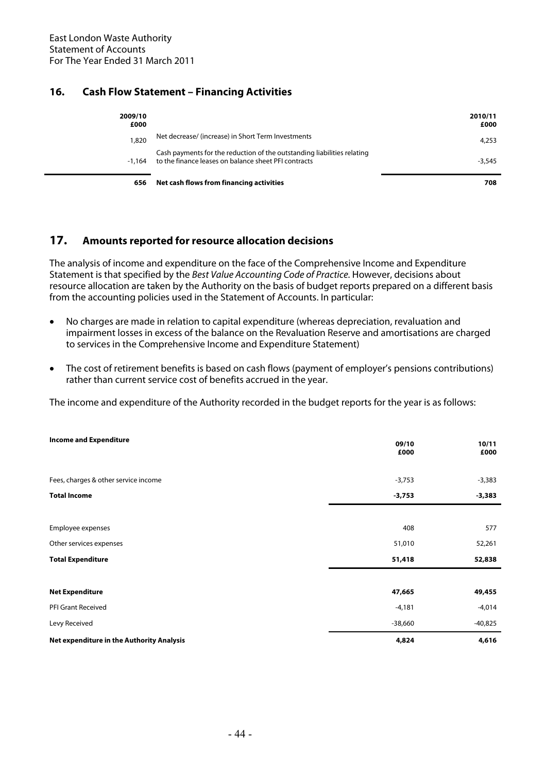# **16. Cash Flow Statement – Financing Activities**

| 2009/10<br>£000 |                                                                                                                                 | 2010/11<br>£000 |
|-----------------|---------------------------------------------------------------------------------------------------------------------------------|-----------------|
| 1,820           | Net decrease/ (increase) in Short Term Investments                                                                              | 4,253           |
| $-1.164$        | Cash payments for the reduction of the outstanding liabilities relating<br>to the finance leases on balance sheet PFI contracts | $-3.545$        |
| 656             | Net cash flows from financing activities                                                                                        | 708             |

# **17. Amounts reported for resource allocation decisions**

The analysis of income and expenditure on the face of the Comprehensive Income and Expenditure Statement is that specified by the Best Value Accounting Code of Practice. However, decisions about resource allocation are taken by the Authority on the basis of budget reports prepared on a different basis from the accounting policies used in the Statement of Accounts. In particular:

- No charges are made in relation to capital expenditure (whereas depreciation, revaluation and impairment losses in excess of the balance on the Revaluation Reserve and amortisations are charged to services in the Comprehensive Income and Expenditure Statement)
- The cost of retirement benefits is based on cash flows (payment of employer's pensions contributions) rather than current service cost of benefits accrued in the year.

The income and expenditure of the Authority recorded in the budget reports for the year is as follows:

| <b>Income and Expenditure</b>             | 09/10<br>£000 | 10/11<br>£000 |
|-------------------------------------------|---------------|---------------|
| Fees, charges & other service income      | $-3,753$      | $-3,383$      |
| <b>Total Income</b>                       | $-3,753$      | $-3,383$      |
|                                           |               |               |
| Employee expenses                         | 408           | 577           |
| Other services expenses                   | 51,010        | 52,261        |
| <b>Total Expenditure</b>                  | 51,418        | 52,838        |
|                                           |               |               |
| <b>Net Expenditure</b>                    | 47,665        | 49,455        |
| PFI Grant Received                        | $-4,181$      | $-4,014$      |
| Levy Received                             | $-38,660$     | $-40,825$     |
| Net expenditure in the Authority Analysis | 4,824         | 4,616         |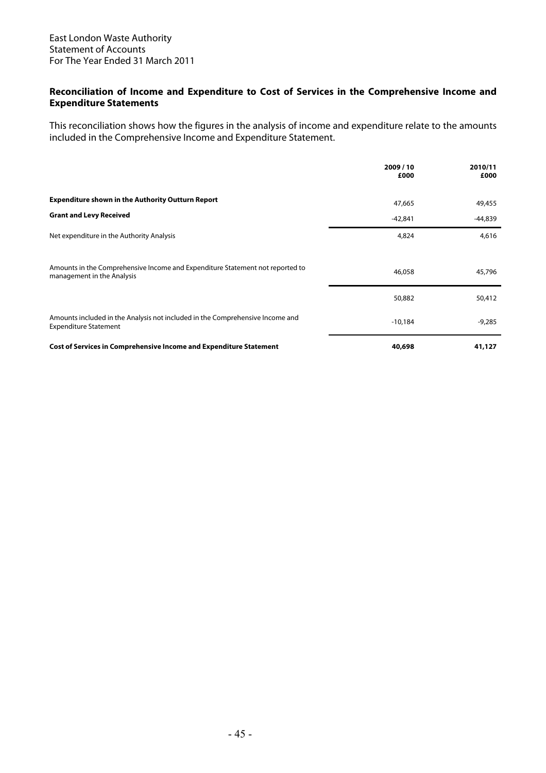## **Reconciliation of Income and Expenditure to Cost of Services in the Comprehensive Income and Expenditure Statements**

This reconciliation shows how the figures in the analysis of income and expenditure relate to the amounts included in the Comprehensive Income and Expenditure Statement.

|                                                                                                               | 2009/10<br>£000 | 2010/11<br>£000 |
|---------------------------------------------------------------------------------------------------------------|-----------------|-----------------|
| <b>Expenditure shown in the Authority Outturn Report</b>                                                      | 47,665          | 49,455          |
| <b>Grant and Levy Received</b>                                                                                | $-42,841$       | -44,839         |
| Net expenditure in the Authority Analysis                                                                     | 4,824           | 4,616           |
| Amounts in the Comprehensive Income and Expenditure Statement not reported to<br>management in the Analysis   | 46,058          | 45,796          |
|                                                                                                               | 50,882          | 50,412          |
| Amounts included in the Analysis not included in the Comprehensive Income and<br><b>Expenditure Statement</b> | $-10,184$       | $-9,285$        |
| <b>Cost of Services in Comprehensive Income and Expenditure Statement</b>                                     | 40,698          | 41,127          |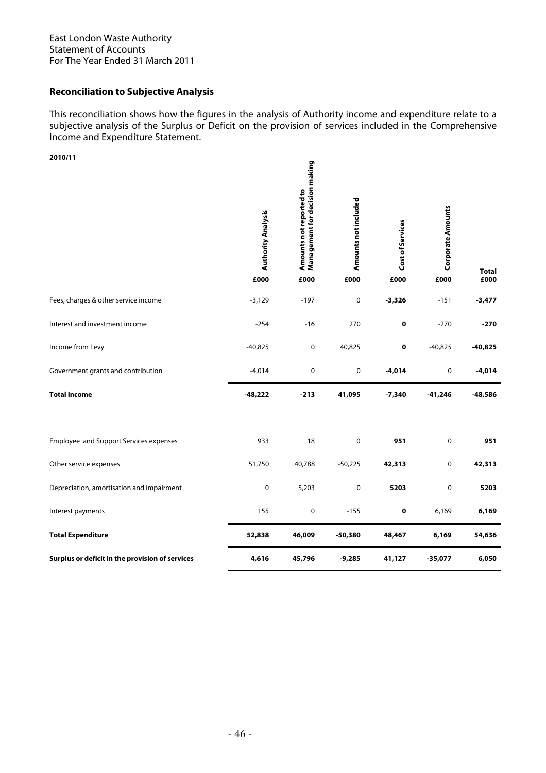## **Reconciliation to Subjective Analysis**

This reconciliation shows how the figures in the analysis of Authority income and expenditure relate to a subjective analysis of the Surplus or Deficit on the provision of services included in the Comprehensive Income and Expenditure Statement.

| 2010/11                                         | <b>Authority Analysis</b><br>£000 | Management for decision making<br>Amounts not reported to<br>£000 | Amounts not included<br>£000 | Cost of Services<br>£000 | <b>Corporate Amounts</b><br>£000 | <b>Total</b><br>£000 |
|-------------------------------------------------|-----------------------------------|-------------------------------------------------------------------|------------------------------|--------------------------|----------------------------------|----------------------|
| Fees, charges & other service income            | $-3,129$                          | $-197$                                                            | 0                            | $-3,326$                 | $-151$                           | $-3,477$             |
| Interest and investment income                  | $-254$                            | $-16$                                                             | 270                          | $\pmb{0}$                | $-270$                           | $-270$               |
| Income from Levy                                | $-40,825$                         | 0                                                                 | 40,825                       | 0                        | $-40,825$                        | $-40,825$            |
| Government grants and contribution              | $-4,014$                          | 0                                                                 | 0                            | $-4,014$                 | 0                                | $-4,014$             |
| <b>Total Income</b>                             | $-48,222$                         | $-213$                                                            | 41,095                       | $-7,340$                 | $-41,246$                        | $-48,586$            |
|                                                 |                                   |                                                                   |                              |                          |                                  |                      |
| Employee and Support Services expenses          | 933                               | 18                                                                | 0                            | 951                      | $\pmb{0}$                        | 951                  |
| Other service expenses                          | 51,750                            | 40,788                                                            | $-50,225$                    | 42,313                   | $\pmb{0}$                        | 42,313               |
| Depreciation, amortisation and impairment       | 0                                 | 5,203                                                             | 0                            | 5203                     | 0                                | 5203                 |
| Interest payments                               | 155                               | 0                                                                 | $-155$                       | $\pmb{0}$                | 6,169                            | 6,169                |
| <b>Total Expenditure</b>                        | 52,838                            | 46,009                                                            | $-50,380$                    | 48,467                   | 6,169                            | 54,636               |
| Surplus or deficit in the provision of services | 4,616                             | 45,796                                                            | $-9,285$                     | 41,127                   | $-35,077$                        | 6,050                |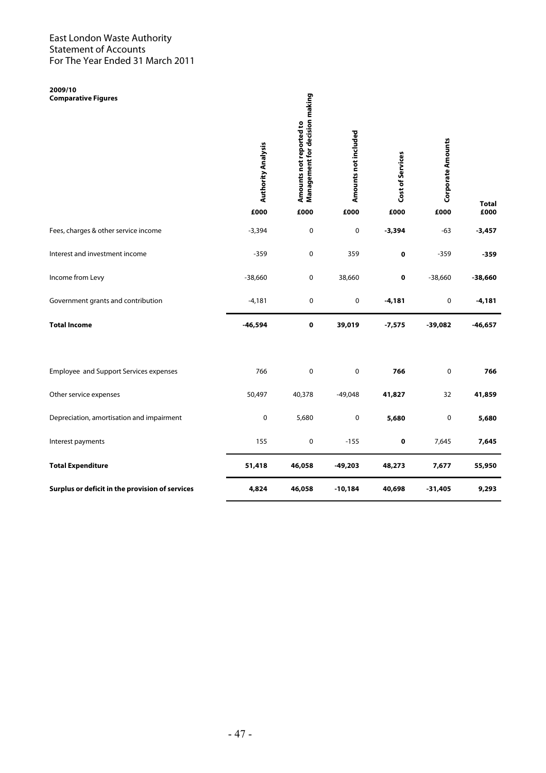**2009/10 Comparative Figures** 

| 2009/10<br><b>Comparative Figures</b>           | <b>Authority Analysis</b><br>£000 | Management for decision making<br>Amounts not reported to | Amounts not included | Cost of Services<br>£000 | <b>Corporate Amounts</b> | <b>Total</b><br>£000 |
|-------------------------------------------------|-----------------------------------|-----------------------------------------------------------|----------------------|--------------------------|--------------------------|----------------------|
|                                                 |                                   | £000                                                      | £000                 |                          | £000                     |                      |
| Fees, charges & other service income            | $-3,394$                          | 0                                                         | 0                    | $-3,394$                 | $-63$                    | $-3,457$             |
| Interest and investment income                  | $-359$                            | 0                                                         | 359                  | 0                        | $-359$                   | $-359$               |
| Income from Levy                                | $-38,660$                         | 0                                                         | 38,660               | 0                        | $-38,660$                | $-38,660$            |
| Government grants and contribution              | $-4,181$                          | 0                                                         | $\pmb{0}$            | $-4,181$                 | 0                        | $-4,181$             |
| <b>Total Income</b>                             | $-46,594$                         | $\pmb{0}$                                                 | 39,019               | $-7,575$                 | $-39,082$                | $-46,657$            |
| Employee and Support Services expenses          | 766                               | $\mathbf 0$                                               | $\pmb{0}$            | 766                      | 0                        | 766                  |
| Other service expenses                          | 50,497                            | 40,378                                                    | $-49,048$            | 41,827                   | 32                       | 41,859               |
| Depreciation, amortisation and impairment       | 0                                 | 5,680                                                     | $\pmb{0}$            | 5,680                    | 0                        | 5,680                |
| Interest payments                               | 155                               | $\pmb{0}$                                                 | $-155$               | $\pmb{0}$                | 7,645                    | 7,645                |
| <b>Total Expenditure</b>                        | 51,418                            | 46,058                                                    | $-49,203$            | 48,273                   | 7,677                    | 55,950               |
| Surplus or deficit in the provision of services | 4,824                             | 46,058                                                    | $-10,184$            | 40,698                   | $-31,405$                | 9,293                |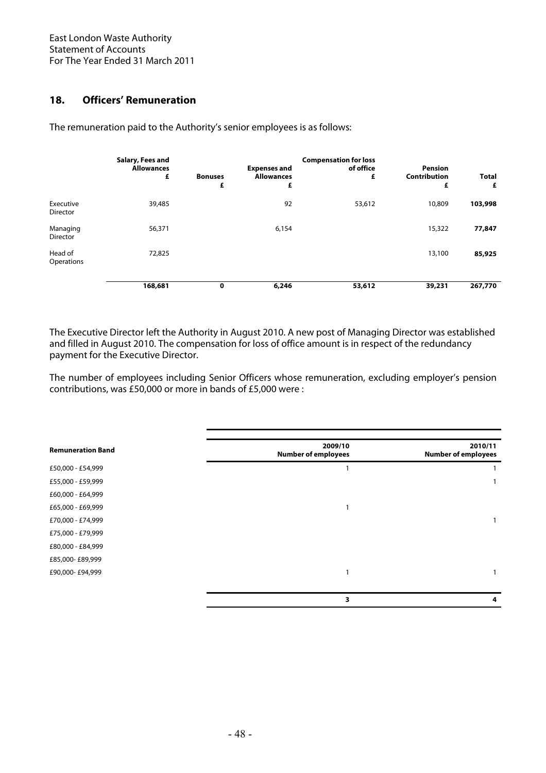# **18. Officers' Remuneration**

The remuneration paid to the Authority's senior employees is as follows:

|                              | Salary, Fees and<br><b>Allowances</b><br>£ | <b>Bonuses</b><br>£ | <b>Expenses and</b><br><b>Allowances</b><br>£ | <b>Compensation for loss</b><br>of office<br>£ | <b>Pension</b><br><b>Contribution</b><br>£ | <b>Total</b><br>£ |
|------------------------------|--------------------------------------------|---------------------|-----------------------------------------------|------------------------------------------------|--------------------------------------------|-------------------|
| Executive<br><b>Director</b> | 39,485                                     |                     | 92                                            | 53,612                                         | 10,809                                     | 103,998           |
| Managing<br>Director         | 56,371                                     |                     | 6,154                                         |                                                | 15,322                                     | 77,847            |
| Head of<br>Operations        | 72,825                                     |                     |                                               |                                                | 13,100                                     | 85,925            |
|                              | 168,681                                    | 0                   | 6,246                                         | 53,612                                         | 39,231                                     | 267,770           |

The Executive Director left the Authority in August 2010. A new post of Managing Director was established and filled in August 2010. The compensation for loss of office amount is in respect of the redundancy payment for the Executive Director.

The number of employees including Senior Officers whose remuneration, excluding employer's pension contributions, was £50,000 or more in bands of £5,000 were :

| <b>Remuneration Band</b> | 2009/10<br><b>Number of employees</b> | 2010/11<br><b>Number of employees</b> |
|--------------------------|---------------------------------------|---------------------------------------|
| £50,000 - £54,999        |                                       |                                       |
| £55,000 - £59,999        |                                       |                                       |
| £60,000 - £64,999        |                                       |                                       |
| £65,000 - £69,999        |                                       |                                       |
| £70,000 - £74,999        |                                       |                                       |
| £75,000 - £79,999        |                                       |                                       |
| £80,000 - £84,999        |                                       |                                       |
| £85,000-£89,999          |                                       |                                       |
| £90,000-£94,999          |                                       |                                       |
|                          |                                       |                                       |
|                          | 3                                     | 4                                     |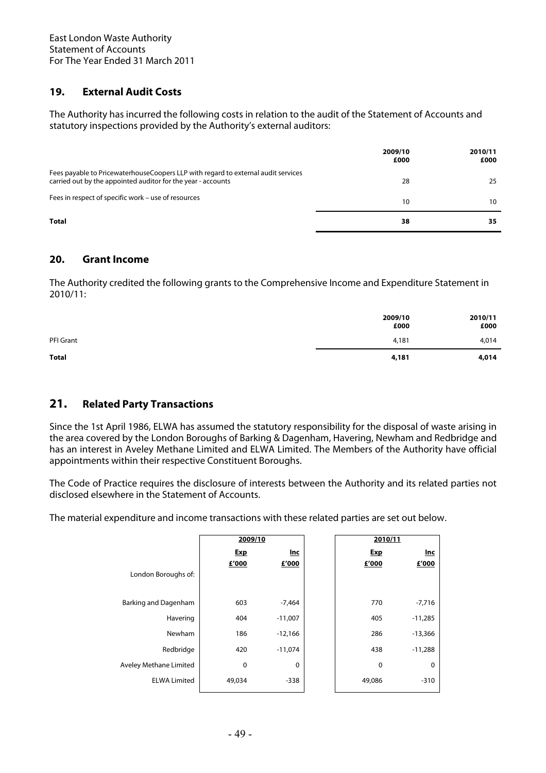# **19. External Audit Costs**

The Authority has incurred the following costs in relation to the audit of the Statement of Accounts and statutory inspections provided by the Authority's external auditors:

|                                                                                                                                                    | 2009/10<br>£000 | 2010/11<br>£000 |
|----------------------------------------------------------------------------------------------------------------------------------------------------|-----------------|-----------------|
| Fees payable to Pricewaterhouse Coopers LLP with regard to external audit services<br>carried out by the appointed auditor for the year - accounts | 28              | 25              |
| Fees in respect of specific work - use of resources                                                                                                | 10              | 10              |
| Total                                                                                                                                              | 38              | 35              |

# **20. Grant Income**

The Authority credited the following grants to the Comprehensive Income and Expenditure Statement in 2010/11:

|              | 2009/10<br>£000 | 2010/11<br>£000 |
|--------------|-----------------|-----------------|
| PFI Grant    | 4,181           | 4,014           |
| <b>Total</b> | 4,181           | 4,014           |

# **21. Related Party Transactions**

Since the 1st April 1986, ELWA has assumed the statutory responsibility for the disposal of waste arising in the area covered by the London Boroughs of Barking & Dagenham, Havering, Newham and Redbridge and has an interest in Aveley Methane Limited and ELWA Limited. The Members of the Authority have official appointments within their respective Constituent Boroughs.

The Code of Practice requires the disclosure of interests between the Authority and its related parties not disclosed elsewhere in the Statement of Accounts.

The material expenditure and income transactions with these related parties are set out below.

|                        |            | 2009/10    |            | 2010/11    |
|------------------------|------------|------------|------------|------------|
|                        | <b>Exp</b> | <u>Inc</u> | <b>Exp</b> | <u>Inc</u> |
|                        | £'000      | £'000      | £'000      | £'000      |
| London Boroughs of:    |            |            |            |            |
|                        |            |            |            |            |
| Barking and Dagenham   | 603        | $-7,464$   | 770        | $-7,716$   |
| Havering               | 404        | $-11,007$  | 405        | $-11,285$  |
| Newham                 | 186        | $-12,166$  | 286        | $-13,366$  |
| Redbridge              | 420        | $-11,074$  | 438        | $-11,288$  |
| Aveley Methane Limited | 0          | 0          | 0          | 0          |
| <b>ELWA Limited</b>    | 49,034     | $-338$     | 49,086     | $-310$     |
|                        |            |            |            |            |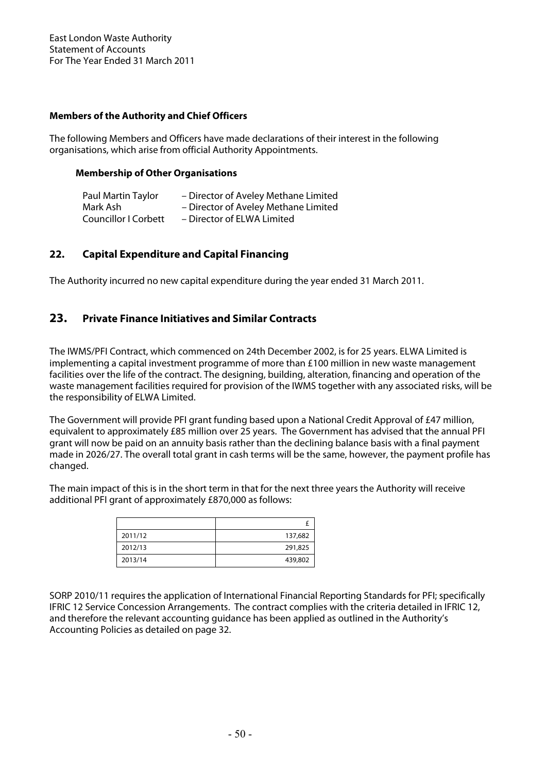## **Members of the Authority and Chief Officers**

The following Members and Officers have made declarations of their interest in the following organisations, which arise from official Authority Appointments.

## **Membership of Other Organisations**

| Paul Martin Taylor          | - Director of Aveley Methane Limited |
|-----------------------------|--------------------------------------|
| Mark Ash                    | - Director of Aveley Methane Limited |
| <b>Councillor I Corbett</b> | - Director of ELWA Limited           |

# **22. Capital Expenditure and Capital Financing**

The Authority incurred no new capital expenditure during the year ended 31 March 2011.

# **23. Private Finance Initiatives and Similar Contracts**

The IWMS/PFI Contract, which commenced on 24th December 2002, is for 25 years. ELWA Limited is implementing a capital investment programme of more than £100 million in new waste management facilities over the life of the contract. The designing, building, alteration, financing and operation of the waste management facilities required for provision of the IWMS together with any associated risks, will be the responsibility of ELWA Limited.

The Government will provide PFI grant funding based upon a National Credit Approval of £47 million, equivalent to approximately £85 million over 25 years. The Government has advised that the annual PFI grant will now be paid on an annuity basis rather than the declining balance basis with a final payment made in 2026/27. The overall total grant in cash terms will be the same, however, the payment profile has changed.

The main impact of this is in the short term in that for the next three years the Authority will receive additional PFI grant of approximately £870,000 as follows:

| 2011/12 | 137,682 |
|---------|---------|
| 2012/13 | 291,825 |
| 2013/14 | 439,802 |

SORP 2010/11 requires the application of International Financial Reporting Standards for PFI; specifically IFRIC 12 Service Concession Arrangements. The contract complies with the criteria detailed in IFRIC 12, and therefore the relevant accounting guidance has been applied as outlined in the Authority's Accounting Policies as detailed on page 32.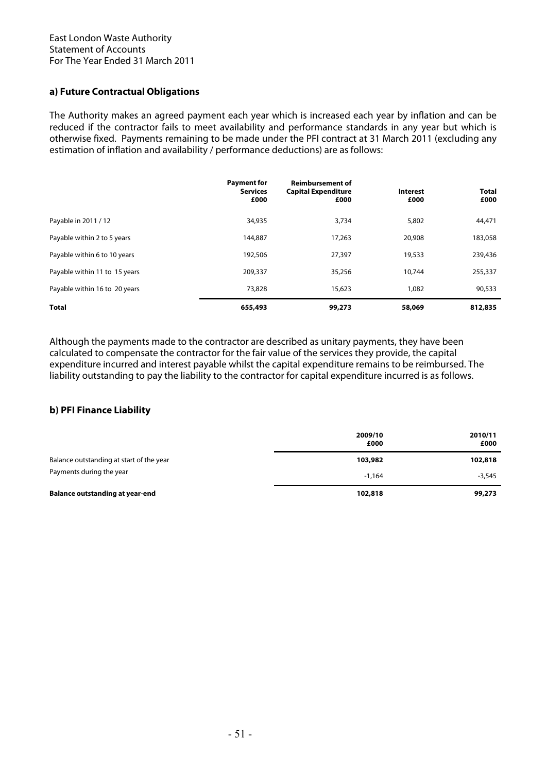## **a) Future Contractual Obligations**

The Authority makes an agreed payment each year which is increased each year by inflation and can be reduced if the contractor fails to meet availability and performance standards in any year but which is otherwise fixed. Payments remaining to be made under the PFI contract at 31 March 2011 (excluding any estimation of inflation and availability / performance deductions) are as follows:

|                               | <b>Payment for</b><br><b>Services</b><br>£000 | <b>Reimbursement of</b><br><b>Capital Expenditure</b><br>£000 | Interest<br>£000 | <b>Total</b><br>£000 |
|-------------------------------|-----------------------------------------------|---------------------------------------------------------------|------------------|----------------------|
| Payable in 2011 / 12          | 34,935                                        | 3,734                                                         | 5,802            | 44,471               |
| Payable within 2 to 5 years   | 144,887                                       | 17,263                                                        | 20,908           | 183,058              |
| Payable within 6 to 10 years  | 192,506                                       | 27,397                                                        | 19,533           | 239,436              |
| Payable within 11 to 15 years | 209,337                                       | 35,256                                                        | 10,744           | 255,337              |
| Payable within 16 to 20 years | 73,828                                        | 15,623                                                        | 1,082            | 90,533               |
| <b>Total</b>                  | 655,493                                       | 99,273                                                        | 58,069           | 812,835              |

Although the payments made to the contractor are described as unitary payments, they have been calculated to compensate the contractor for the fair value of the services they provide, the capital expenditure incurred and interest payable whilst the capital expenditure remains to be reimbursed. The liability outstanding to pay the liability to the contractor for capital expenditure incurred is as follows.

### **b) PFI Finance Liability**

|                                          | 2009/10<br>£000 | 2010/11<br>£000 |
|------------------------------------------|-----------------|-----------------|
| Balance outstanding at start of the year | 103,982         | 102,818         |
| Payments during the year                 | $-1.164$        | $-3,545$        |
| <b>Balance outstanding at year-end</b>   | 102,818         | 99,273          |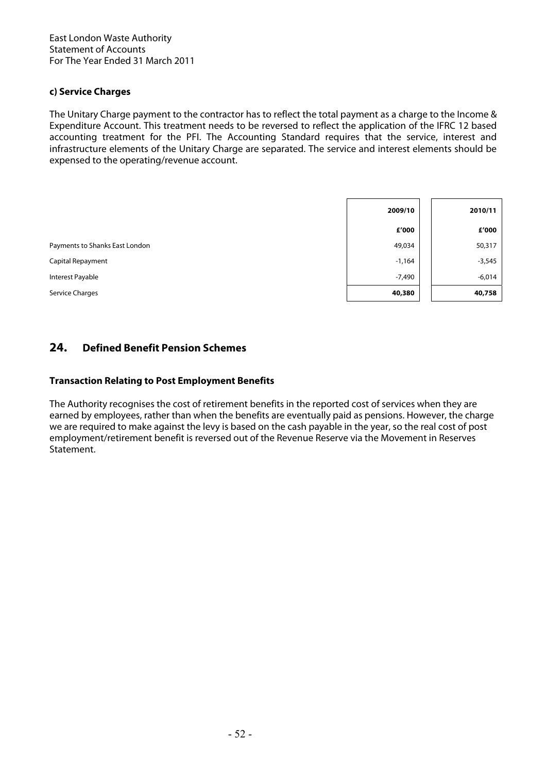## **c) Service Charges**

The Unitary Charge payment to the contractor has to reflect the total payment as a charge to the Income & Expenditure Account. This treatment needs to be reversed to reflect the application of the IFRC 12 based accounting treatment for the PFI. The Accounting Standard requires that the service, interest and infrastructure elements of the Unitary Charge are separated. The service and interest elements should be expensed to the operating/revenue account.

|                                | 2009/10  | 2010/11  |
|--------------------------------|----------|----------|
|                                | £'000    | £'000    |
| Payments to Shanks East London | 49,034   | 50,317   |
| Capital Repayment              | $-1,164$ | $-3,545$ |
| Interest Payable               | $-7,490$ | $-6,014$ |
| Service Charges                | 40,380   | 40,758   |

# **24. Defined Benefit Pension Schemes**

## **Transaction Relating to Post Employment Benefits**

The Authority recognises the cost of retirement benefits in the reported cost of services when they are earned by employees, rather than when the benefits are eventually paid as pensions. However, the charge we are required to make against the levy is based on the cash payable in the year, so the real cost of post employment/retirement benefit is reversed out of the Revenue Reserve via the Movement in Reserves Statement.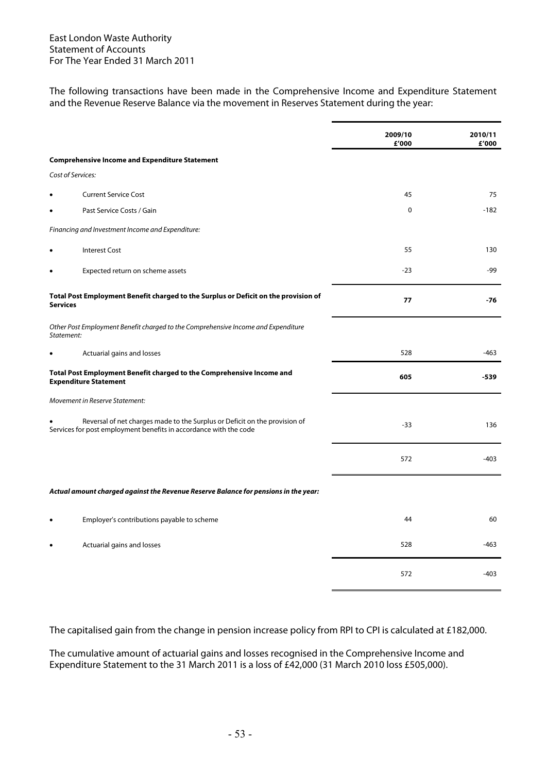The following transactions have been made in the Comprehensive Income and Expenditure Statement and the Revenue Reserve Balance via the movement in Reserves Statement during the year:

|                 |                                                                                                                                                 | 2009/10<br>£'000 | 2010/11<br>£'000 |
|-----------------|-------------------------------------------------------------------------------------------------------------------------------------------------|------------------|------------------|
|                 | <b>Comprehensive Income and Expenditure Statement</b>                                                                                           |                  |                  |
|                 | Cost of Services:                                                                                                                               |                  |                  |
| $\bullet$       | <b>Current Service Cost</b>                                                                                                                     | 45               | 75               |
| $\bullet$       | Past Service Costs / Gain                                                                                                                       | 0                | -182             |
|                 | Financing and Investment Income and Expenditure:                                                                                                |                  |                  |
| $\bullet$       | <b>Interest Cost</b>                                                                                                                            | 55               | 130              |
| $\bullet$       | Expected return on scheme assets                                                                                                                | $-23$            | -99              |
| <b>Services</b> | Total Post Employment Benefit charged to the Surplus or Deficit on the provision of                                                             | 77               | $-76$            |
| Statement:      | Other Post Employment Benefit charged to the Comprehensive Income and Expenditure                                                               |                  |                  |
| $\bullet$       | Actuarial gains and losses                                                                                                                      | 528              | -463             |
|                 | Total Post Employment Benefit charged to the Comprehensive Income and<br><b>Expenditure Statement</b>                                           | 605              | $-539$           |
|                 | Movement in Reserve Statement:                                                                                                                  |                  |                  |
|                 | Reversal of net charges made to the Surplus or Deficit on the provision of<br>Services for post employment benefits in accordance with the code | $-33$            | 136              |
|                 |                                                                                                                                                 | 572              | $-403$           |
|                 | Actual amount charged against the Revenue Reserve Balance for pensions in the year:                                                             |                  |                  |
| $\bullet$       | Employer's contributions payable to scheme                                                                                                      | 44               | 60               |
| $\bullet$       | Actuarial gains and losses                                                                                                                      | 528              | -463             |
|                 |                                                                                                                                                 | 572              | $-403$           |

The capitalised gain from the change in pension increase policy from RPI to CPI is calculated at £182,000.

The cumulative amount of actuarial gains and losses recognised in the Comprehensive Income and Expenditure Statement to the 31 March 2011 is a loss of £42,000 (31 March 2010 loss £505,000).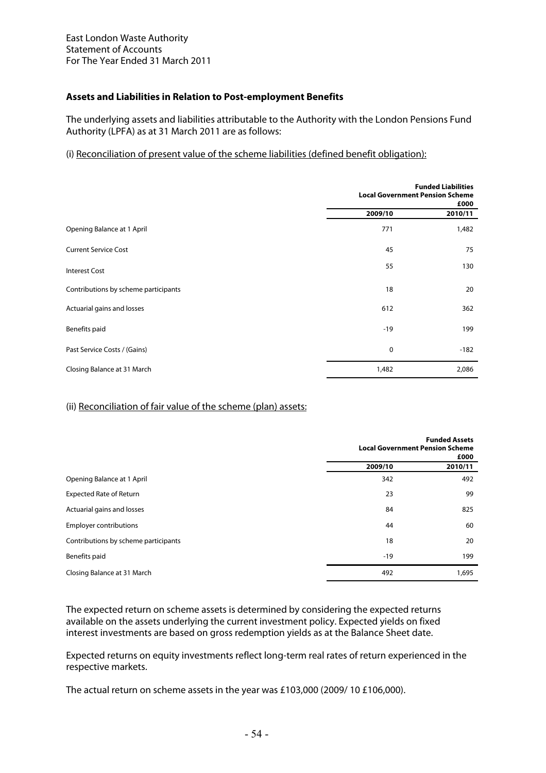## **Assets and Liabilities in Relation to Post-employment Benefits**

The underlying assets and liabilities attributable to the Authority with the London Pensions Fund Authority (LPFA) as at 31 March 2011 are as follows:

## (i) Reconciliation of present value of the scheme liabilities (defined benefit obligation):

|                                      | <b>Funded Liabilities</b><br><b>Local Government Pension Scheme</b><br>£000 |         |
|--------------------------------------|-----------------------------------------------------------------------------|---------|
|                                      | 2009/10                                                                     | 2010/11 |
| Opening Balance at 1 April           | 771                                                                         | 1,482   |
| <b>Current Service Cost</b>          | 45                                                                          | 75      |
| <b>Interest Cost</b>                 | 55                                                                          | 130     |
| Contributions by scheme participants | 18                                                                          | 20      |
| Actuarial gains and losses           | 612                                                                         | 362     |
| Benefits paid                        | $-19$                                                                       | 199     |
| Past Service Costs / (Gains)         | $\mathbf 0$                                                                 | $-182$  |
| Closing Balance at 31 March          | 1,482                                                                       | 2,086   |

## (ii) Reconciliation of fair value of the scheme (plan) assets:

|                                      |         | <b>Funded Assets</b><br><b>Local Government Pension Scheme</b><br>£000 |
|--------------------------------------|---------|------------------------------------------------------------------------|
|                                      | 2009/10 | 2010/11                                                                |
| Opening Balance at 1 April           | 342     | 492                                                                    |
| <b>Expected Rate of Return</b>       | 23      | 99                                                                     |
| Actuarial gains and losses           | 84      | 825                                                                    |
| <b>Employer contributions</b>        | 44      | 60                                                                     |
| Contributions by scheme participants | 18      | 20                                                                     |
| Benefits paid                        | $-19$   | 199                                                                    |
| Closing Balance at 31 March          | 492     | 1,695                                                                  |

The expected return on scheme assets is determined by considering the expected returns available on the assets underlying the current investment policy. Expected yields on fixed interest investments are based on gross redemption yields as at the Balance Sheet date.

Expected returns on equity investments reflect long-term real rates of return experienced in the respective markets.

The actual return on scheme assets in the year was £103,000 (2009/ 10 £106,000).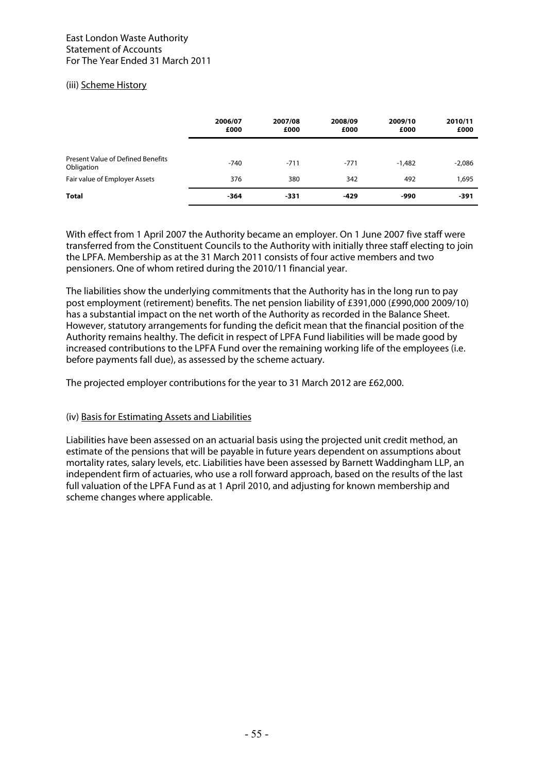## (iii) Scheme History

|                                                        | 2006/07<br>£000 | 2007/08<br>£000 | 2008/09<br>£000 | 2009/10<br>£000 | 2010/11<br>£000 |
|--------------------------------------------------------|-----------------|-----------------|-----------------|-----------------|-----------------|
| <b>Present Value of Defined Benefits</b><br>Obligation | $-740$          | $-711$          | $-771$          | $-1,482$        | $-2,086$        |
| Fair value of Employer Assets                          | 376             | 380             | 342             | 492             | 1,695           |
| <b>Total</b>                                           | $-364$          | -331            | $-429$          | -990            | -391            |

With effect from 1 April 2007 the Authority became an employer. On 1 June 2007 five staff were transferred from the Constituent Councils to the Authority with initially three staff electing to join the LPFA. Membership as at the 31 March 2011 consists of four active members and two pensioners. One of whom retired during the 2010/11 financial year.

The liabilities show the underlying commitments that the Authority has in the long run to pay post employment (retirement) benefits. The net pension liability of £391,000 (£990,000 2009/10) has a substantial impact on the net worth of the Authority as recorded in the Balance Sheet. However, statutory arrangements for funding the deficit mean that the financial position of the Authority remains healthy. The deficit in respect of LPFA Fund liabilities will be made good by increased contributions to the LPFA Fund over the remaining working life of the employees (i.e. before payments fall due), as assessed by the scheme actuary.

The projected employer contributions for the year to 31 March 2012 are £62,000.

## (iv) Basis for Estimating Assets and Liabilities

Liabilities have been assessed on an actuarial basis using the projected unit credit method, an estimate of the pensions that will be payable in future years dependent on assumptions about mortality rates, salary levels, etc. Liabilities have been assessed by Barnett Waddingham LLP, an independent firm of actuaries, who use a roll forward approach, based on the results of the last full valuation of the LPFA Fund as at 1 April 2010, and adjusting for known membership and scheme changes where applicable.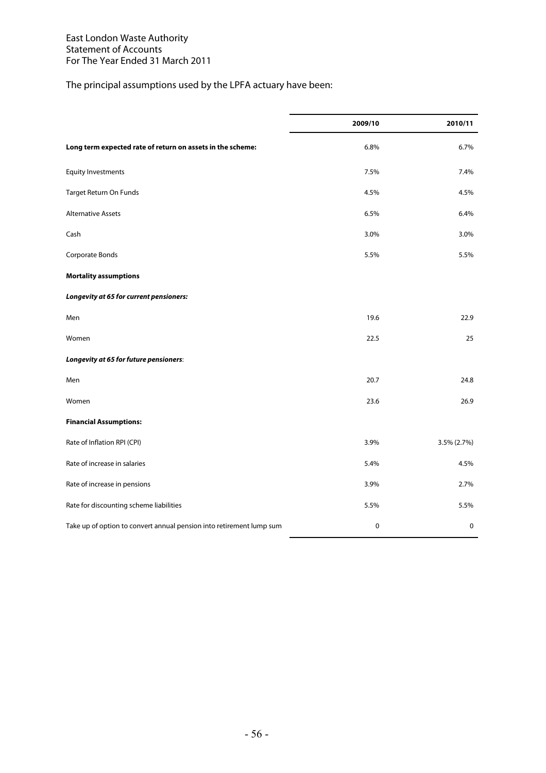# The principal assumptions used by the LPFA actuary have been:

|                                                                      | 2009/10   | 2010/11     |
|----------------------------------------------------------------------|-----------|-------------|
| Long term expected rate of return on assets in the scheme:           | 6.8%      | 6.7%        |
| <b>Equity Investments</b>                                            | 7.5%      | 7.4%        |
| Target Return On Funds                                               | 4.5%      | 4.5%        |
| <b>Alternative Assets</b>                                            | 6.5%      | 6.4%        |
| Cash                                                                 | 3.0%      | 3.0%        |
| Corporate Bonds                                                      | 5.5%      | 5.5%        |
| <b>Mortality assumptions</b>                                         |           |             |
| Longevity at 65 for current pensioners:                              |           |             |
| Men                                                                  | 19.6      | 22.9        |
| Women                                                                | 22.5      | 25          |
| Longevity at 65 for future pensioners:                               |           |             |
| Men                                                                  | 20.7      | 24.8        |
| Women                                                                | 23.6      | 26.9        |
| <b>Financial Assumptions:</b>                                        |           |             |
| Rate of Inflation RPI (CPI)                                          | 3.9%      | 3.5% (2.7%) |
| Rate of increase in salaries                                         | 5.4%      | 4.5%        |
| Rate of increase in pensions                                         | 3.9%      | 2.7%        |
| Rate for discounting scheme liabilities                              | 5.5%      | 5.5%        |
| Take up of option to convert annual pension into retirement lump sum | $\pmb{0}$ | $\pmb{0}$   |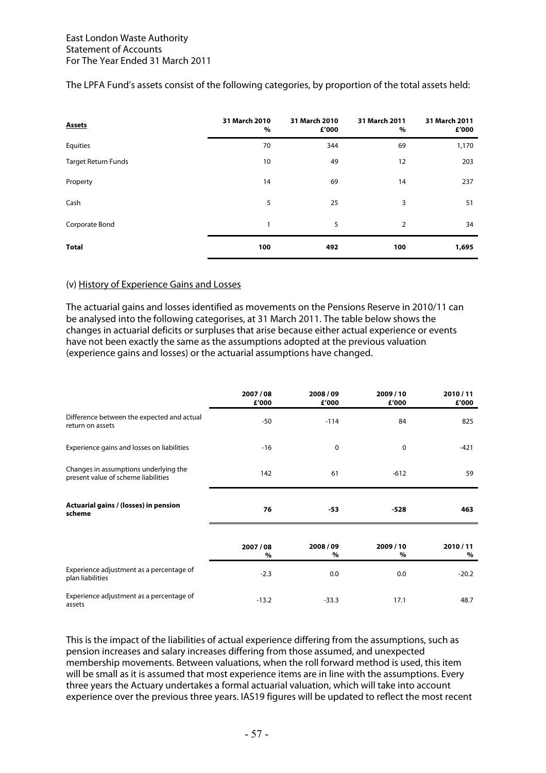| <b>Assets</b>       | 31 March 2010<br>$\%$ | 31 March 2010<br>£'000 | 31 March 2011<br>% | 31 March 2011<br>£'000 |
|---------------------|-----------------------|------------------------|--------------------|------------------------|
| Equities            | 70                    | 344                    | 69                 | 1,170                  |
| Target Return Funds | 10                    | 49                     | 12                 | 203                    |
| Property            | 14                    | 69                     | 14                 | 237                    |
| Cash                | 5                     | 25                     | 3                  | 51                     |
| Corporate Bond      | 1                     | 5                      | $\overline{2}$     | 34                     |
| <b>Total</b>        | 100                   | 492                    | 100                | 1,695                  |

## The LPFA Fund's assets consist of the following categories, by proportion of the total assets held:

## (v) History of Experience Gains and Losses

The actuarial gains and losses identified as movements on the Pensions Reserve in 2010/11 can be analysed into the following categorises, at 31 March 2011. The table below shows the changes in actuarial deficits or surpluses that arise because either actual experience or events have not been exactly the same as the assumptions adopted at the previous valuation (experience gains and losses) or the actuarial assumptions have changed.

|                                                                              | 2007/08<br>£'000 | 2008/09<br>£'000 | 2009/10<br>£'000 | 2010/11<br>£'000 |
|------------------------------------------------------------------------------|------------------|------------------|------------------|------------------|
| Difference between the expected and actual<br>return on assets               | $-50$            | $-114$           | 84               | 825              |
| Experience gains and losses on liabilities                                   | $-16$            | 0                | 0                | $-421$           |
| Changes in assumptions underlying the<br>present value of scheme liabilities | 142              | 61               | $-612$           | 59               |
| Actuarial gains / (losses) in pension<br>scheme                              | 76               | -53              | $-528$           | 463              |
|                                                                              | 2007/08<br>%     | 2008/09<br>%     | 2009/10<br>$\%$  | 2010/11<br>$\%$  |
| Experience adjustment as a percentage of<br>plan liabilities                 | $-2.3$           | 0.0              | 0.0              | $-20.2$          |
| Experience adjustment as a percentage of<br>assets                           | $-13.2$          | $-33.3$          | 17.1             | 48.7             |

This is the impact of the liabilities of actual experience differing from the assumptions, such as pension increases and salary increases differing from those assumed, and unexpected membership movements. Between valuations, when the roll forward method is used, this item will be small as it is assumed that most experience items are in line with the assumptions. Every three years the Actuary undertakes a formal actuarial valuation, which will take into account experience over the previous three years. IAS19 figures will be updated to reflect the most recent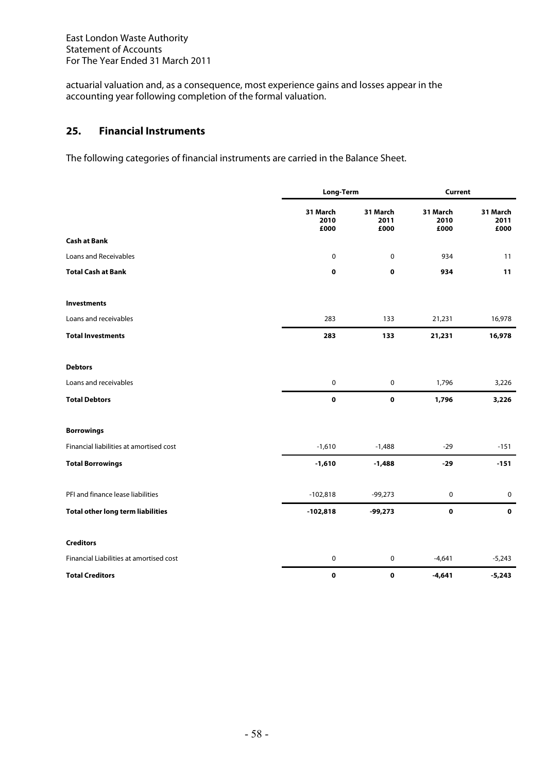actuarial valuation and, as a consequence, most experience gains and losses appear in the accounting year following completion of the formal valuation.

# **25. Financial Instruments**

The following categories of financial instruments are carried in the Balance Sheet.

|                                          |                          | Long-Term                |                          | <b>Current</b>           |  |  |
|------------------------------------------|--------------------------|--------------------------|--------------------------|--------------------------|--|--|
|                                          | 31 March<br>2010<br>£000 | 31 March<br>2011<br>£000 | 31 March<br>2010<br>£000 | 31 March<br>2011<br>£000 |  |  |
| <b>Cash at Bank</b>                      |                          |                          |                          |                          |  |  |
| Loans and Receivables                    | 0                        | 0                        | 934                      | 11                       |  |  |
| <b>Total Cash at Bank</b>                | $\mathbf 0$              | $\pmb{0}$                | 934                      | 11                       |  |  |
| <b>Investments</b>                       |                          |                          |                          |                          |  |  |
| Loans and receivables                    | 283                      | 133                      | 21,231                   | 16,978                   |  |  |
| <b>Total Investments</b>                 | 283                      | 133                      | 21,231                   | 16,978                   |  |  |
| <b>Debtors</b>                           |                          |                          |                          |                          |  |  |
| Loans and receivables                    | $\mathbf 0$              | $\mathbf 0$              | 1,796                    | 3,226                    |  |  |
| <b>Total Debtors</b>                     | $\mathbf 0$              | $\pmb{0}$                | 1,796                    | 3,226                    |  |  |
| <b>Borrowings</b>                        |                          |                          |                          |                          |  |  |
| Financial liabilities at amortised cost  | $-1,610$                 | $-1,488$                 | $-29$                    | $-151$                   |  |  |
| <b>Total Borrowings</b>                  | $-1,610$                 | $-1,488$                 | $-29$                    | $-151$                   |  |  |
| PFI and finance lease liabilities        | $-102,818$               | $-99,273$                | $\pmb{0}$                | $\mathbf 0$              |  |  |
| <b>Total other long term liabilities</b> | $-102,818$               | $-99,273$                | $\mathbf 0$              | $\mathbf 0$              |  |  |
| <b>Creditors</b>                         |                          |                          |                          |                          |  |  |
| Financial Liabilities at amortised cost  | $\mathbf 0$              | 0                        | $-4,641$                 | $-5,243$                 |  |  |
| <b>Total Creditors</b>                   | $\mathbf 0$              | $\bf o$                  | $-4,641$                 | $-5,243$                 |  |  |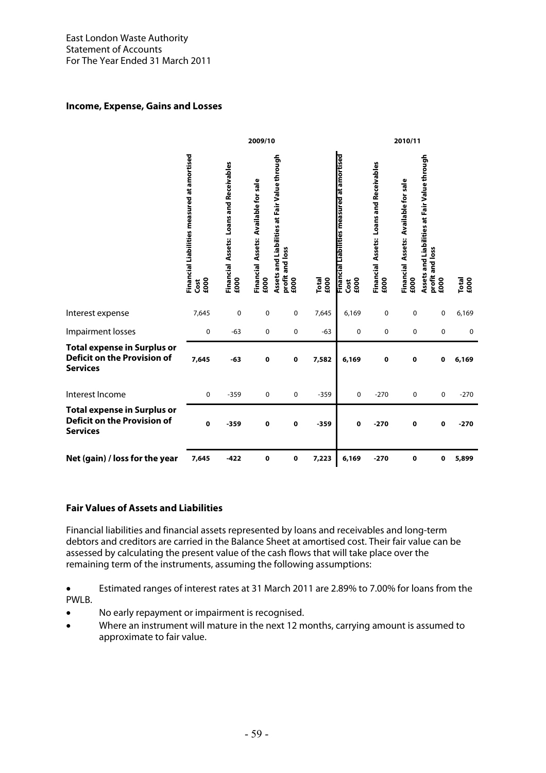## **Income, Expense, Gains and Losses**

|                                                                                      |                                                             |                                                 | 2009/10                                      |                                                                         |               |                                                             |                                                 | 2010/11                                      |                                                                         |               |
|--------------------------------------------------------------------------------------|-------------------------------------------------------------|-------------------------------------------------|----------------------------------------------|-------------------------------------------------------------------------|---------------|-------------------------------------------------------------|-------------------------------------------------|----------------------------------------------|-------------------------------------------------------------------------|---------------|
|                                                                                      | Financial Liabilities measured at amortised<br>£000<br>Cost | Financial Assets: Loans and Receivables<br>£000 | Financial Assets: Available for sale<br>£000 | Assets and Liabilities at Fair Value through<br>profit and loss<br>£000 | £000<br>Total | Financial Liabilities measured at amortised<br>£000<br>Cost | Financial Assets: Loans and Receivables<br>£000 | Financial Assets: Available for sale<br>£000 | Assets and Liabilities at Fair Value through<br>profit and loss<br>£000 | Total<br>£000 |
| Interest expense                                                                     | 7,645                                                       | $\mathbf 0$                                     | $\pmb{0}$                                    | 0                                                                       | 7,645         | 6,169                                                       | 0                                               | 0                                            | $\pmb{0}$                                                               | 6,169         |
| Impairment losses                                                                    | 0                                                           | $-63$                                           | 0                                            | 0                                                                       | $-63$         | 0                                                           | 0                                               | 0                                            | 0                                                                       | $\mathbf 0$   |
| <b>Total expense in Surplus or</b><br>Deficit on the Provision of<br><b>Services</b> | 7,645                                                       | $-63$                                           | $\mathbf 0$                                  | 0                                                                       | 7,582         | 6,169                                                       | $\mathbf 0$                                     | 0                                            | $\mathbf 0$                                                             | 6,169         |
| Interest Income                                                                      | $\pmb{0}$                                                   | $-359$                                          | $\mathbf 0$                                  | $\pmb{0}$                                                               | $-359$        | 0                                                           | $-270$                                          | 0                                            | $\pmb{0}$                                                               | $-270$        |
| <b>Total expense in Surplus or</b><br>Deficit on the Provision of<br><b>Services</b> | $\mathbf 0$                                                 | $-359$                                          | 0                                            | 0                                                                       | $-359$        | 0                                                           | $-270$                                          | 0                                            | 0                                                                       | $-270$        |
| Net (gain) / loss for the year                                                       | 7,645                                                       | $-422$                                          | 0                                            | 0                                                                       | 7,223         | 6,169                                                       | $-270$                                          | 0                                            | $\mathbf 0$                                                             | 5,899         |

## **Fair Values of Assets and Liabilities**

Financial liabilities and financial assets represented by loans and receivables and long-term debtors and creditors are carried in the Balance Sheet at amortised cost. Their fair value can be assessed by calculating the present value of the cash flows that will take place over the remaining term of the instruments, assuming the following assumptions:

• Estimated ranges of interest rates at 31 March 2011 are 2.89% to 7.00% for loans from the PWLB.

- No early repayment or impairment is recognised.
- Where an instrument will mature in the next 12 months, carrying amount is assumed to approximate to fair value.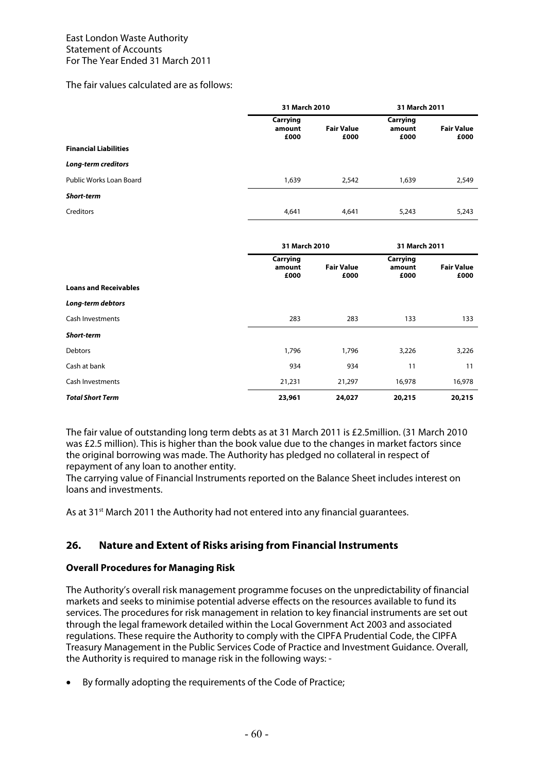The fair values calculated are as follows:

|                              | 31 March 2010              |                           | 31 March 2011              |                           |
|------------------------------|----------------------------|---------------------------|----------------------------|---------------------------|
|                              | Carrying<br>amount<br>£000 | <b>Fair Value</b><br>£000 | Carrying<br>amount<br>£000 | <b>Fair Value</b><br>£000 |
| <b>Financial Liabilities</b> |                            |                           |                            |                           |
| <b>Long-term creditors</b>   |                            |                           |                            |                           |
| Public Works Loan Board      | 1,639                      | 2,542                     | 1,639                      | 2,549                     |
| <b>Short-term</b>            |                            |                           |                            |                           |
| Creditors                    | 4,641                      | 4,641                     | 5,243                      | 5,243                     |
|                              |                            |                           |                            |                           |

|                              | 31 March 2010              |                           | 31 March 2011              |                           |
|------------------------------|----------------------------|---------------------------|----------------------------|---------------------------|
|                              | Carrying<br>amount<br>£000 | <b>Fair Value</b><br>£000 | Carrying<br>amount<br>£000 | <b>Fair Value</b><br>£000 |
| <b>Loans and Receivables</b> |                            |                           |                            |                           |
| Long-term debtors            |                            |                           |                            |                           |
| Cash Investments             | 283                        | 283                       | 133                        | 133                       |
| <b>Short-term</b>            |                            |                           |                            |                           |
| <b>Debtors</b>               | 1,796                      | 1,796                     | 3,226                      | 3,226                     |
| Cash at bank                 | 934                        | 934                       | 11                         | 11                        |
| <b>Cash Investments</b>      | 21,231                     | 21,297                    | 16,978                     | 16,978                    |
| <b>Total Short Term</b>      | 23,961                     | 24,027                    | 20,215                     | 20,215                    |

The fair value of outstanding long term debts as at 31 March 2011 is £2.5million. (31 March 2010 was £2.5 million). This is higher than the book value due to the changes in market factors since the original borrowing was made. The Authority has pledged no collateral in respect of repayment of any loan to another entity.

The carrying value of Financial Instruments reported on the Balance Sheet includes interest on loans and investments.

As at 31<sup>st</sup> March 2011 the Authority had not entered into any financial guarantees.

## **26. Nature and Extent of Risks arising from Financial Instruments**

### **Overall Procedures for Managing Risk**

The Authority's overall risk management programme focuses on the unpredictability of financial markets and seeks to minimise potential adverse effects on the resources available to fund its services. The procedures for risk management in relation to key financial instruments are set out through the legal framework detailed within the Local Government Act 2003 and associated regulations. These require the Authority to comply with the CIPFA Prudential Code, the CIPFA Treasury Management in the Public Services Code of Practice and Investment Guidance. Overall, the Authority is required to manage risk in the following ways: -

• By formally adopting the requirements of the Code of Practice;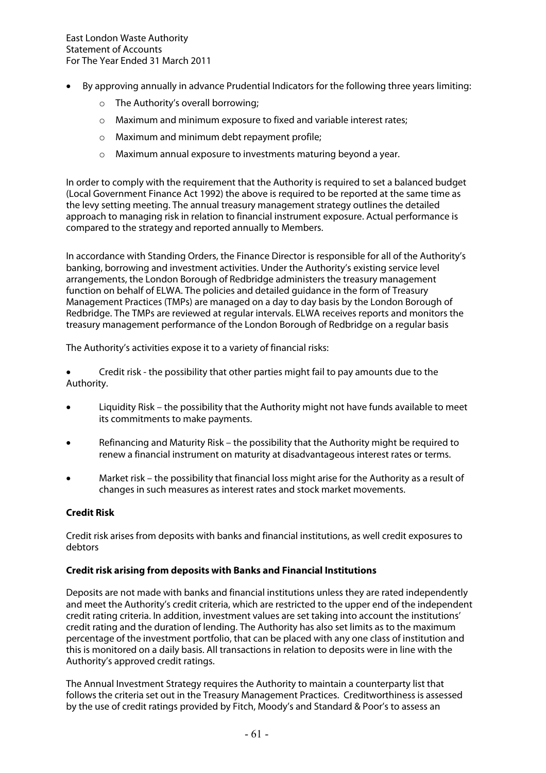- By approving annually in advance Prudential Indicators for the following three years limiting:
	- o The Authority's overall borrowing;
	- o Maximum and minimum exposure to fixed and variable interest rates;
	- $\circ$  Maximum and minimum debt repayment profile:
	- o Maximum annual exposure to investments maturing beyond a year.

In order to comply with the requirement that the Authority is required to set a balanced budget (Local Government Finance Act 1992) the above is required to be reported at the same time as the levy setting meeting. The annual treasury management strategy outlines the detailed approach to managing risk in relation to financial instrument exposure. Actual performance is compared to the strategy and reported annually to Members.

In accordance with Standing Orders, the Finance Director is responsible for all of the Authority's banking, borrowing and investment activities. Under the Authority's existing service level arrangements, the London Borough of Redbridge administers the treasury management function on behalf of ELWA. The policies and detailed guidance in the form of Treasury Management Practices (TMPs) are managed on a day to day basis by the London Borough of Redbridge. The TMPs are reviewed at regular intervals. ELWA receives reports and monitors the treasury management performance of the London Borough of Redbridge on a regular basis

The Authority's activities expose it to a variety of financial risks:

• Credit risk - the possibility that other parties might fail to pay amounts due to the Authority.

- Liquidity Risk the possibility that the Authority might not have funds available to meet its commitments to make payments.
- Refinancing and Maturity Risk the possibility that the Authority might be required to renew a financial instrument on maturity at disadvantageous interest rates or terms.
- Market risk the possibility that financial loss might arise for the Authority as a result of changes in such measures as interest rates and stock market movements.

## **Credit Risk**

Credit risk arises from deposits with banks and financial institutions, as well credit exposures to debtors

## **Credit risk arising from deposits with Banks and Financial Institutions**

Deposits are not made with banks and financial institutions unless they are rated independently and meet the Authority's credit criteria, which are restricted to the upper end of the independent credit rating criteria. In addition, investment values are set taking into account the institutions' credit rating and the duration of lending. The Authority has also set limits as to the maximum percentage of the investment portfolio, that can be placed with any one class of institution and this is monitored on a daily basis. All transactions in relation to deposits were in line with the Authority's approved credit ratings.

The Annual Investment Strategy requires the Authority to maintain a counterparty list that follows the criteria set out in the Treasury Management Practices. Creditworthiness is assessed by the use of credit ratings provided by Fitch, Moody's and Standard & Poor's to assess an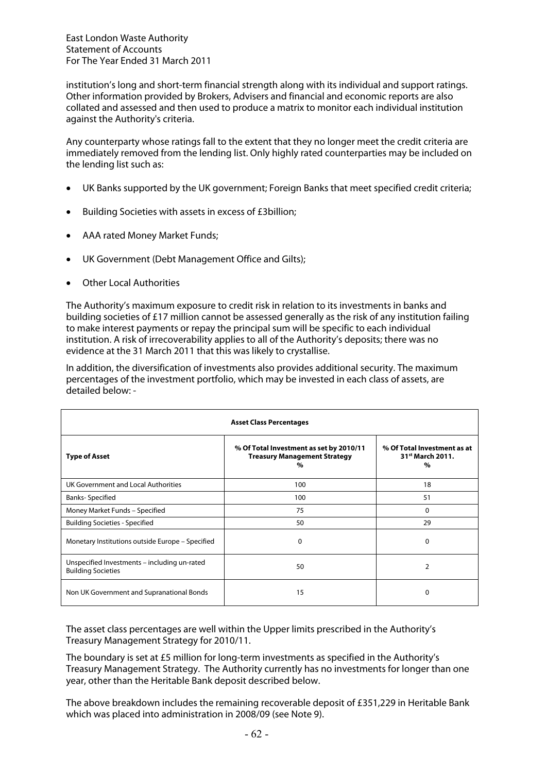institution's long and short-term financial strength along with its individual and support ratings. Other information provided by Brokers, Advisers and financial and economic reports are also collated and assessed and then used to produce a matrix to monitor each individual institution against the Authority's criteria.

Any counterparty whose ratings fall to the extent that they no longer meet the credit criteria are immediately removed from the lending list. Only highly rated counterparties may be included on the lending list such as:

- UK Banks supported by the UK government; Foreign Banks that meet specified credit criteria;
- Building Societies with assets in excess of £3billion;
- AAA rated Money Market Funds;
- UK Government (Debt Management Office and Gilts);
- Other Local Authorities

The Authority's maximum exposure to credit risk in relation to its investments in banks and building societies of £17 million cannot be assessed generally as the risk of any institution failing to make interest payments or repay the principal sum will be specific to each individual institution. A risk of irrecoverability applies to all of the Authority's deposits; there was no evidence at the 31 March 2011 that this was likely to crystallise.

In addition, the diversification of investments also provides additional security. The maximum percentages of the investment portfolio, which may be invested in each class of assets, are detailed below: -

| <b>Asset Class Percentages</b>                                            |                                                                                     |                                                                              |  |  |
|---------------------------------------------------------------------------|-------------------------------------------------------------------------------------|------------------------------------------------------------------------------|--|--|
| <b>Type of Asset</b>                                                      | % Of Total Investment as set by 2010/11<br><b>Treasury Management Strategy</b><br>% | % Of Total Investment as at<br>31 <sup>st</sup> March 2011.<br>$\frac{0}{0}$ |  |  |
| UK Government and Local Authorities                                       | 100                                                                                 | 18                                                                           |  |  |
| <b>Banks-Specified</b>                                                    | 100                                                                                 | 51                                                                           |  |  |
| Money Market Funds - Specified                                            | 75                                                                                  | 0                                                                            |  |  |
| <b>Building Societies - Specified</b>                                     | 50                                                                                  | 29                                                                           |  |  |
| Monetary Institutions outside Europe – Specified                          | $\Omega$                                                                            | 0                                                                            |  |  |
| Unspecified Investments – including un-rated<br><b>Building Societies</b> | 50                                                                                  | 2                                                                            |  |  |
| Non UK Government and Supranational Bonds                                 | 15                                                                                  | $\Omega$                                                                     |  |  |

The asset class percentages are well within the Upper limits prescribed in the Authority's Treasury Management Strategy for 2010/11.

The boundary is set at £5 million for long-term investments as specified in the Authority's Treasury Management Strategy. The Authority currently has no investments for longer than one year, other than the Heritable Bank deposit described below.

The above breakdown includes the remaining recoverable deposit of £351,229 in Heritable Bank which was placed into administration in 2008/09 (see Note 9).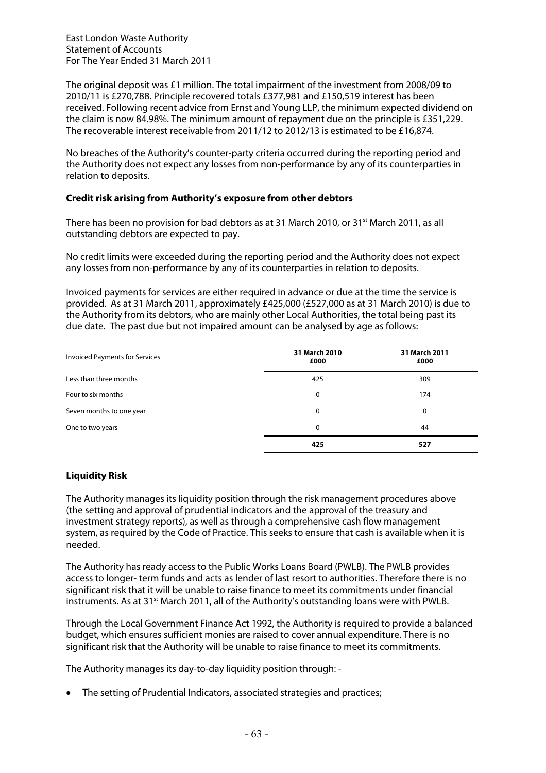The original deposit was £1 million. The total impairment of the investment from 2008/09 to 2010/11 is £270,788. Principle recovered totals £377,981 and £150,519 interest has been received. Following recent advice from Ernst and Young LLP, the minimum expected dividend on the claim is now 84.98%. The minimum amount of repayment due on the principle is £351,229. The recoverable interest receivable from 2011/12 to 2012/13 is estimated to be £16,874.

No breaches of the Authority's counter-party criteria occurred during the reporting period and the Authority does not expect any losses from non-performance by any of its counterparties in relation to deposits.

## **Credit risk arising from Authority's exposure from other debtors**

There has been no provision for bad debtors as at 31 March 2010, or 31<sup>st</sup> March 2011, as all outstanding debtors are expected to pay.

No credit limits were exceeded during the reporting period and the Authority does not expect any losses from non-performance by any of its counterparties in relation to deposits.

Invoiced payments for services are either required in advance or due at the time the service is provided. As at 31 March 2011, approximately £425,000 (£527,000 as at 31 March 2010) is due to the Authority from its debtors, who are mainly other Local Authorities, the total being past its due date. The past due but not impaired amount can be analysed by age as follows:

| <b>Invoiced Payments for Services</b> | 31 March 2010<br>£000 | 31 March 2011<br>£000 |
|---------------------------------------|-----------------------|-----------------------|
| Less than three months                | 425                   | 309                   |
| Four to six months                    | 0                     | 174                   |
| Seven months to one year              | 0                     | 0                     |
| One to two years                      | 0                     | 44                    |
|                                       | 425                   | 527                   |

## **Liquidity Risk**

The Authority manages its liquidity position through the risk management procedures above (the setting and approval of prudential indicators and the approval of the treasury and investment strategy reports), as well as through a comprehensive cash flow management system, as required by the Code of Practice. This seeks to ensure that cash is available when it is needed.

The Authority has ready access to the Public Works Loans Board (PWLB). The PWLB provides access to longer- term funds and acts as lender of last resort to authorities. Therefore there is no significant risk that it will be unable to raise finance to meet its commitments under financial instruments. As at 31<sup>st</sup> March 2011, all of the Authority's outstanding loans were with PWLB.

Through the Local Government Finance Act 1992, the Authority is required to provide a balanced budget, which ensures sufficient monies are raised to cover annual expenditure. There is no significant risk that the Authority will be unable to raise finance to meet its commitments.

The Authority manages its day-to-day liquidity position through: -

• The setting of Prudential Indicators, associated strategies and practices;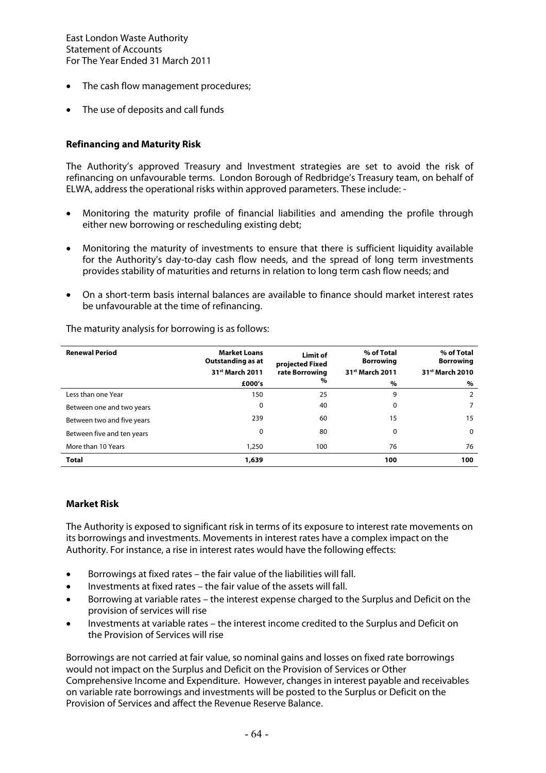- The cash flow management procedures;
- The use of deposits and call funds

## **Refinancing and Maturity Risk**

The Authority's approved Treasury and Investment strategies are set to avoid the risk of refinancing on unfavourable terms. London Borough of Redbridge's Treasury team, on behalf of ELWA, address the operational risks within approved parameters. These include: -

- Monitoring the maturity profile of financial liabilities and amending the profile through either new borrowing or rescheduling existing debt;
- Monitoring the maturity of investments to ensure that there is sufficient liquidity available for the Authority's day-to-day cash flow needs, and the spread of long term investments provides stability of maturities and returns in relation to long term cash flow needs; and
- On a short-term basis internal balances are available to finance should market interest rates be unfavourable at the time of refinancing.

| <b>Renewal Period</b>      | <b>Market Loans</b><br>Outstanding as at<br>31 <sup>st</sup> March 2011 | Limit of<br>projected Fixed<br>rate Borrowing | % of Total<br><b>Borrowing</b><br>31 <sup>st</sup> March 2011 | % of Total<br><b>Borrowing</b><br>31 <sup>st</sup> March 2010 |
|----------------------------|-------------------------------------------------------------------------|-----------------------------------------------|---------------------------------------------------------------|---------------------------------------------------------------|
|                            | £000's                                                                  | %                                             | $\%$                                                          | %                                                             |
| Less than one Year         | 150                                                                     | 25                                            | 9                                                             | 2                                                             |
| Between one and two years  | 0                                                                       | 40                                            | 0                                                             |                                                               |
| Between two and five years | 239                                                                     | 60                                            | 15                                                            | 15                                                            |
| Between five and ten years | 0                                                                       | 80                                            | 0                                                             | 0                                                             |
| More than 10 Years         | 1,250                                                                   | 100                                           | 76                                                            | 76                                                            |
| <b>Total</b>               | 1,639                                                                   |                                               | 100                                                           | 100                                                           |

The maturity analysis for borrowing is as follows:

### **Market Risk**

The Authority is exposed to significant risk in terms of its exposure to interest rate movements on its borrowings and investments. Movements in interest rates have a complex impact on the Authority. For instance, a rise in interest rates would have the following effects:

- Borrowings at fixed rates the fair value of the liabilities will fall.
- Investments at fixed rates the fair value of the assets will fall.
- Borrowing at variable rates the interest expense charged to the Surplus and Deficit on the provision of services will rise
- Investments at variable rates the interest income credited to the Surplus and Deficit on the Provision of Services will rise

Borrowings are not carried at fair value, so nominal gains and losses on fixed rate borrowings would not impact on the Surplus and Deficit on the Provision of Services or Other Comprehensive Income and Expenditure. However, changes in interest payable and receivables on variable rate borrowings and investments will be posted to the Surplus or Deficit on the Provision of Services and affect the Revenue Reserve Balance.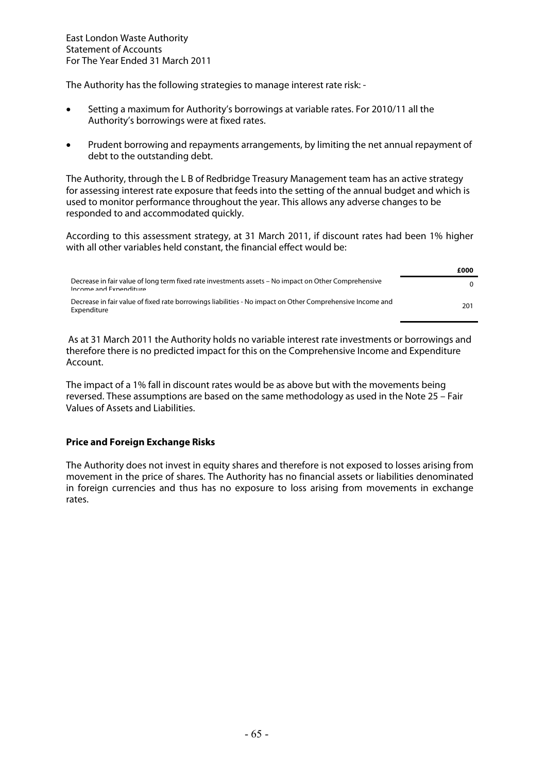The Authority has the following strategies to manage interest rate risk: -

- Setting a maximum for Authority's borrowings at variable rates. For 2010/11 all the Authority's borrowings were at fixed rates.
- Prudent borrowing and repayments arrangements, by limiting the net annual repayment of debt to the outstanding debt.

The Authority, through the L B of Redbridge Treasury Management team has an active strategy for assessing interest rate exposure that feeds into the setting of the annual budget and which is used to monitor performance throughout the year. This allows any adverse changes to be responded to and accommodated quickly.

According to this assessment strategy, at 31 March 2011, if discount rates had been 1% higher with all other variables held constant, the financial effect would be:

|                                                                                                                                | £000 |
|--------------------------------------------------------------------------------------------------------------------------------|------|
| Decrease in fair value of long term fixed rate investments assets – No impact on Other Comprehensive<br>Income and Expenditure | 0    |
| Decrease in fair value of fixed rate borrowings liabilities - No impact on Other Comprehensive Income and<br>Expenditure       | 201  |

 As at 31 March 2011 the Authority holds no variable interest rate investments or borrowings and therefore there is no predicted impact for this on the Comprehensive Income and Expenditure Account.

The impact of a 1% fall in discount rates would be as above but with the movements being reversed. These assumptions are based on the same methodology as used in the Note 25 – Fair Values of Assets and Liabilities.

## **Price and Foreign Exchange Risks**

The Authority does not invest in equity shares and therefore is not exposed to losses arising from movement in the price of shares. The Authority has no financial assets or liabilities denominated in foreign currencies and thus has no exposure to loss arising from movements in exchange rates.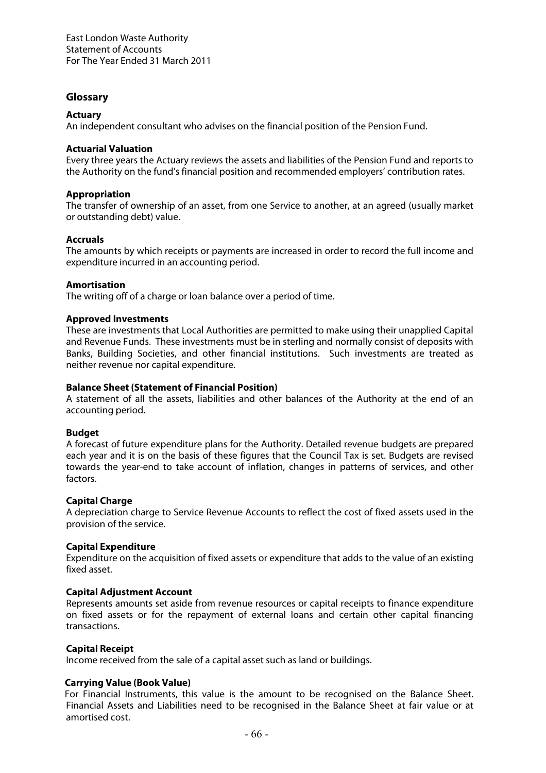## **Glossary**

## **Actuary**

An independent consultant who advises on the financial position of the Pension Fund.

### **Actuarial Valuation**

Every three years the Actuary reviews the assets and liabilities of the Pension Fund and reports to the Authority on the fund's financial position and recommended employers' contribution rates.

## **Appropriation**

The transfer of ownership of an asset, from one Service to another, at an agreed (usually market or outstanding debt) value.

## **Accruals**

The amounts by which receipts or payments are increased in order to record the full income and expenditure incurred in an accounting period.

### **Amortisation**

The writing off of a charge or loan balance over a period of time.

### **Approved Investments**

These are investments that Local Authorities are permitted to make using their unapplied Capital and Revenue Funds. These investments must be in sterling and normally consist of deposits with Banks, Building Societies, and other financial institutions. Such investments are treated as neither revenue nor capital expenditure.

### **Balance Sheet (Statement of Financial Position)**

A statement of all the assets, liabilities and other balances of the Authority at the end of an accounting period.

### **Budget**

A forecast of future expenditure plans for the Authority. Detailed revenue budgets are prepared each year and it is on the basis of these figures that the Council Tax is set. Budgets are revised towards the year-end to take account of inflation, changes in patterns of services, and other factors.

### **Capital Charge**

A depreciation charge to Service Revenue Accounts to reflect the cost of fixed assets used in the provision of the service.

### **Capital Expenditure**

Expenditure on the acquisition of fixed assets or expenditure that adds to the value of an existing fixed asset.

### **Capital Adjustment Account**

Represents amounts set aside from revenue resources or capital receipts to finance expenditure on fixed assets or for the repayment of external loans and certain other capital financing transactions.

### **Capital Receipt**

Income received from the sale of a capital asset such as land or buildings.

### **Carrying Value (Book Value)**

For Financial Instruments, this value is the amount to be recognised on the Balance Sheet. Financial Assets and Liabilities need to be recognised in the Balance Sheet at fair value or at amortised cost.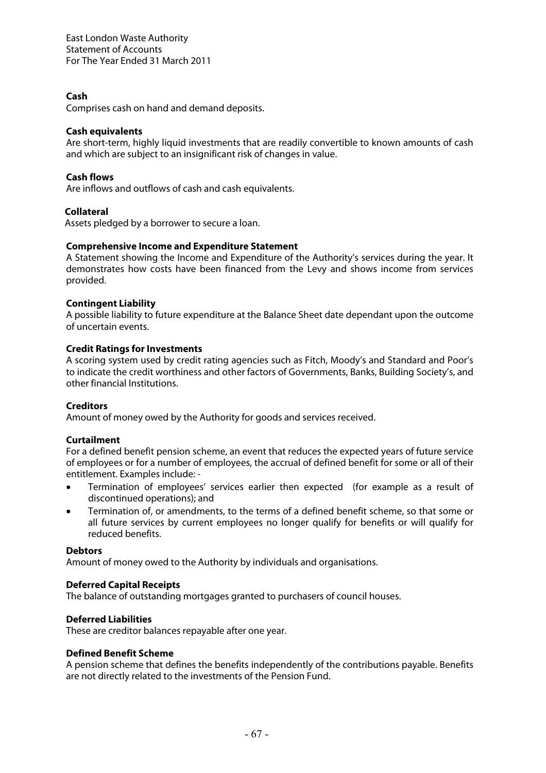## **Cash**

Comprises cash on hand and demand deposits.

### **Cash equivalents**

Are short-term, highly liquid investments that are readily convertible to known amounts of cash and which are subject to an insignificant risk of changes in value.

## **Cash flows**

Are inflows and outflows of cash and cash equivalents.

### **Collateral**

Assets pledged by a borrower to secure a loan.

#### **Comprehensive Income and Expenditure Statement**

A Statement showing the Income and Expenditure of the Authority's services during the year. It demonstrates how costs have been financed from the Levy and shows income from services provided.

#### **Contingent Liability**

A possible liability to future expenditure at the Balance Sheet date dependant upon the outcome of uncertain events.

#### **Credit Ratings for Investments**

A scoring system used by credit rating agencies such as Fitch, Moody's and Standard and Poor's to indicate the credit worthiness and other factors of Governments, Banks, Building Society's, and other financial Institutions.

#### **Creditors**

Amount of money owed by the Authority for goods and services received.

#### **Curtailment**

For a defined benefit pension scheme, an event that reduces the expected years of future service of employees or for a number of employees, the accrual of defined benefit for some or all of their entitlement. Examples include: -

- Termination of employees' services earlier then expected (for example as a result of discontinued operations); and
- Termination of, or amendments, to the terms of a defined benefit scheme, so that some or all future services by current employees no longer qualify for benefits or will qualify for reduced benefits.

#### **Debtors**

Amount of money owed to the Authority by individuals and organisations.

### **Deferred Capital Receipts**

The balance of outstanding mortgages granted to purchasers of council houses.

### **Deferred Liabilities**

These are creditor balances repayable after one year.

#### **Defined Benefit Scheme**

A pension scheme that defines the benefits independently of the contributions payable. Benefits are not directly related to the investments of the Pension Fund.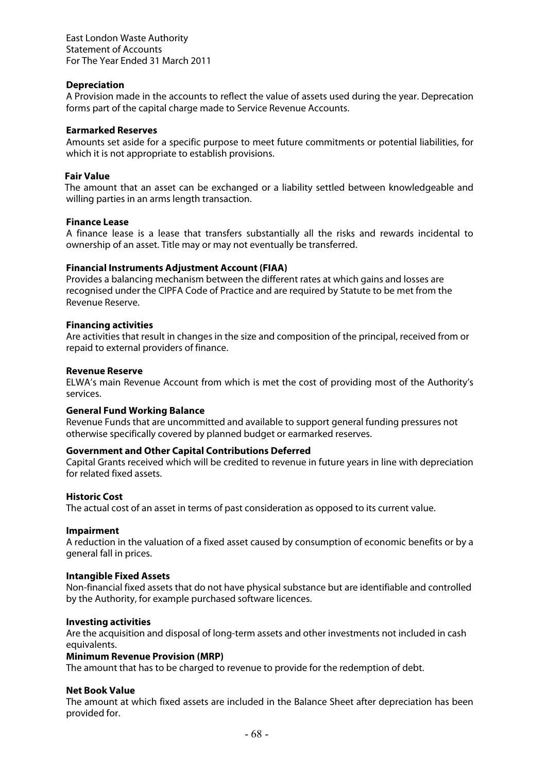### **Depreciation**

A Provision made in the accounts to reflect the value of assets used during the year. Deprecation forms part of the capital charge made to Service Revenue Accounts.

#### **Earmarked Reserves**

Amounts set aside for a specific purpose to meet future commitments or potential liabilities, for which it is not appropriate to establish provisions.

## **Fair Value**

The amount that an asset can be exchanged or a liability settled between knowledgeable and willing parties in an arms length transaction.

#### **Finance Lease**

A finance lease is a lease that transfers substantially all the risks and rewards incidental to ownership of an asset. Title may or may not eventually be transferred.

#### **Financial Instruments Adjustment Account (FIAA)**

Provides a balancing mechanism between the different rates at which gains and losses are recognised under the CIPFA Code of Practice and are required by Statute to be met from the Revenue Reserve.

#### **Financing activities**

Are activities that result in changes in the size and composition of the principal, received from or repaid to external providers of finance.

#### **Revenue Reserve**

ELWA's main Revenue Account from which is met the cost of providing most of the Authority's services.

#### **General Fund Working Balance**

Revenue Funds that are uncommitted and available to support general funding pressures not otherwise specifically covered by planned budget or earmarked reserves.

### **Government and Other Capital Contributions Deferred**

Capital Grants received which will be credited to revenue in future years in line with depreciation for related fixed assets.

#### **Historic Cost**

The actual cost of an asset in terms of past consideration as opposed to its current value.

#### **Impairment**

A reduction in the valuation of a fixed asset caused by consumption of economic benefits or by a general fall in prices.

#### **Intangible Fixed Assets**

Non-financial fixed assets that do not have physical substance but are identifiable and controlled by the Authority, for example purchased software licences.

#### **Investing activities**

Are the acquisition and disposal of long-term assets and other investments not included in cash equivalents.

#### **Minimum Revenue Provision (MRP)**

The amount that has to be charged to revenue to provide for the redemption of debt.

#### **Net Book Value**

The amount at which fixed assets are included in the Balance Sheet after depreciation has been provided for.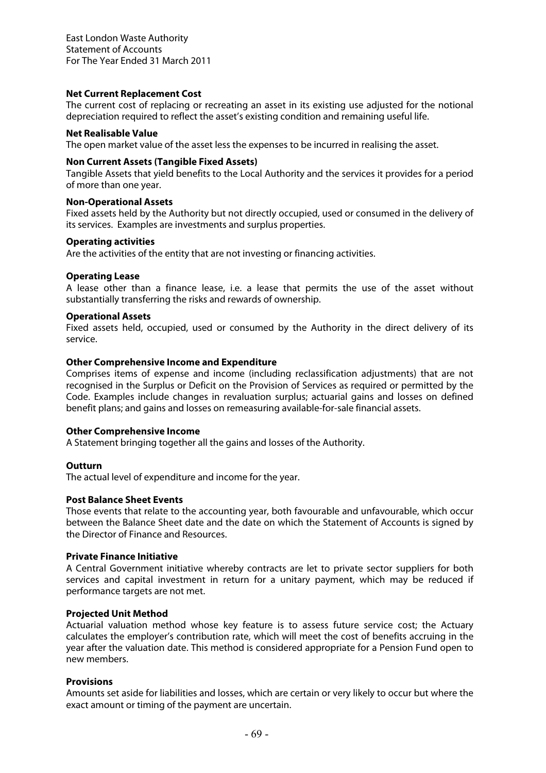### **Net Current Replacement Cost**

The current cost of replacing or recreating an asset in its existing use adjusted for the notional depreciation required to reflect the asset's existing condition and remaining useful life.

#### **Net Realisable Value**

The open market value of the asset less the expenses to be incurred in realising the asset.

#### **Non Current Assets (Tangible Fixed Assets)**

Tangible Assets that yield benefits to the Local Authority and the services it provides for a period of more than one year.

#### **Non-Operational Assets**

Fixed assets held by the Authority but not directly occupied, used or consumed in the delivery of its services. Examples are investments and surplus properties.

#### **Operating activities**

Are the activities of the entity that are not investing or financing activities.

#### **Operating Lease**

A lease other than a finance lease, i.e. a lease that permits the use of the asset without substantially transferring the risks and rewards of ownership.

#### **Operational Assets**

Fixed assets held, occupied, used or consumed by the Authority in the direct delivery of its service.

#### **Other Comprehensive Income and Expenditure**

Comprises items of expense and income (including reclassification adjustments) that are not recognised in the Surplus or Deficit on the Provision of Services as required or permitted by the Code. Examples include changes in revaluation surplus; actuarial gains and losses on defined benefit plans; and gains and losses on remeasuring available-for-sale financial assets.

#### **Other Comprehensive Income**

A Statement bringing together all the gains and losses of the Authority.

### **Outturn**

The actual level of expenditure and income for the year.

#### **Post Balance Sheet Events**

Those events that relate to the accounting year, both favourable and unfavourable, which occur between the Balance Sheet date and the date on which the Statement of Accounts is signed by the Director of Finance and Resources.

#### **Private Finance Initiative**

A Central Government initiative whereby contracts are let to private sector suppliers for both services and capital investment in return for a unitary payment, which may be reduced if performance targets are not met.

### **Projected Unit Method**

Actuarial valuation method whose key feature is to assess future service cost; the Actuary calculates the employer's contribution rate, which will meet the cost of benefits accruing in the year after the valuation date. This method is considered appropriate for a Pension Fund open to new members.

#### **Provisions**

Amounts set aside for liabilities and losses, which are certain or very likely to occur but where the exact amount or timing of the payment are uncertain.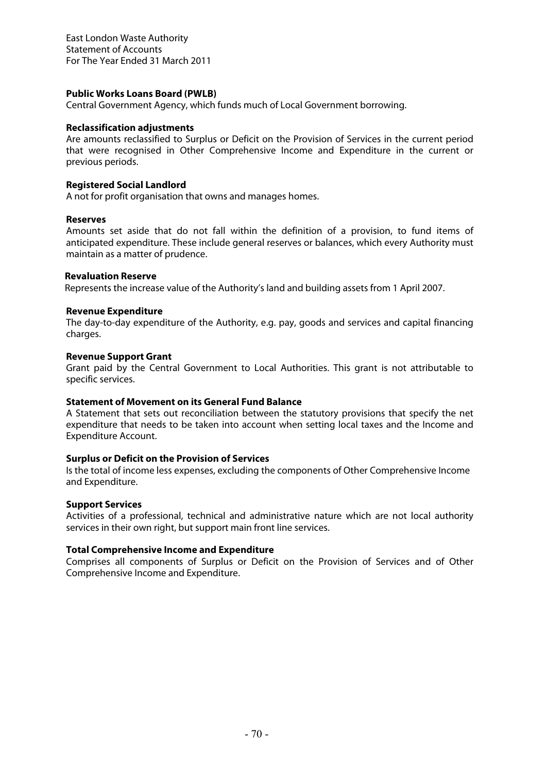#### **Public Works Loans Board (PWLB)**

Central Government Agency, which funds much of Local Government borrowing.

### **Reclassification adjustments**

Are amounts reclassified to Surplus or Deficit on the Provision of Services in the current period that were recognised in Other Comprehensive Income and Expenditure in the current or previous periods.

#### **Registered Social Landlord**

A not for profit organisation that owns and manages homes.

#### **Reserves**

Amounts set aside that do not fall within the definition of a provision, to fund items of anticipated expenditure. These include general reserves or balances, which every Authority must maintain as a matter of prudence.

#### **Revaluation Reserve**

Represents the increase value of the Authority's land and building assets from 1 April 2007.

#### **Revenue Expenditure**

The day-to-day expenditure of the Authority, e.g. pay, goods and services and capital financing charges.

#### **Revenue Support Grant**

Grant paid by the Central Government to Local Authorities. This grant is not attributable to specific services.

### **Statement of Movement on its General Fund Balance**

A Statement that sets out reconciliation between the statutory provisions that specify the net expenditure that needs to be taken into account when setting local taxes and the Income and Expenditure Account.

### **Surplus or Deficit on the Provision of Services**

Is the total of income less expenses, excluding the components of Other Comprehensive Income and Expenditure.

#### **Support Services**

Activities of a professional, technical and administrative nature which are not local authority services in their own right, but support main front line services.

## **Total Comprehensive Income and Expenditure**

Comprises all components of Surplus or Deficit on the Provision of Services and of Other Comprehensive Income and Expenditure.